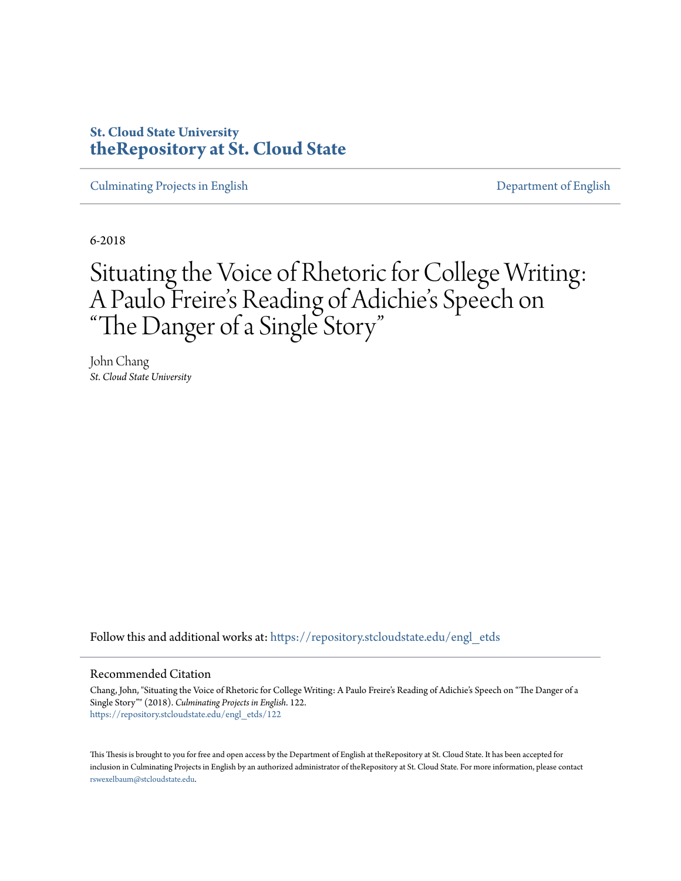## **St. Cloud State University [theRepository at St. Cloud State](https://repository.stcloudstate.edu?utm_source=repository.stcloudstate.edu%2Fengl_etds%2F122&utm_medium=PDF&utm_campaign=PDFCoverPages)**

[Culminating Projects in English](https://repository.stcloudstate.edu/engl_etds?utm_source=repository.stcloudstate.edu%2Fengl_etds%2F122&utm_medium=PDF&utm_campaign=PDFCoverPages) [Department of English](https://repository.stcloudstate.edu/engl?utm_source=repository.stcloudstate.edu%2Fengl_etds%2F122&utm_medium=PDF&utm_campaign=PDFCoverPages)

6-2018

# Situating the Voice of Rhetoric for College Writing: A Paulo Freire 's Reading of Adichie's Speech on "The Danger of a Single Story "

John Chang *St. Cloud State University*

Follow this and additional works at: [https://repository.stcloudstate.edu/engl\\_etds](https://repository.stcloudstate.edu/engl_etds?utm_source=repository.stcloudstate.edu%2Fengl_etds%2F122&utm_medium=PDF&utm_campaign=PDFCoverPages)

## Recommended Citation

Chang, John, "Situating the Voice of Rhetoric for College Writing: A Paulo Freire's Reading of Adichie's Speech on "The Danger of a Single Story"" (2018). *Culminating Projects in English*. 122. [https://repository.stcloudstate.edu/engl\\_etds/122](https://repository.stcloudstate.edu/engl_etds/122?utm_source=repository.stcloudstate.edu%2Fengl_etds%2F122&utm_medium=PDF&utm_campaign=PDFCoverPages)

This Thesis is brought to you for free and open access by the Department of English at theRepository at St. Cloud State. It has been accepted for inclusion in Culminating Projects in English by an authorized administrator of theRepository at St. Cloud State. For more information, please contact [rswexelbaum@stcloudstate.edu](mailto:rswexelbaum@stcloudstate.edu).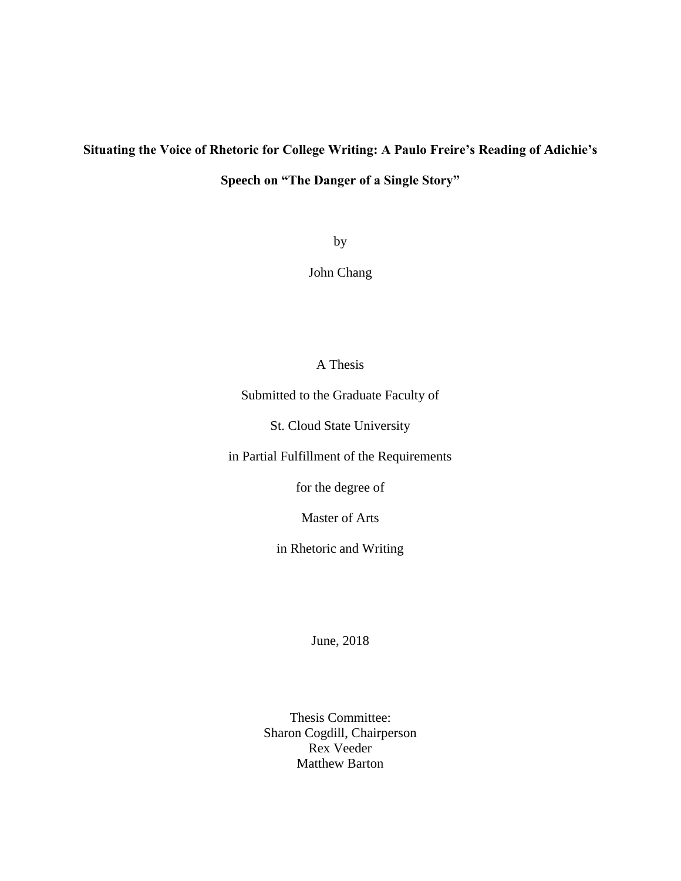## **Situating the Voice of Rhetoric for College Writing: A Paulo Freire's Reading of Adichie's Speech on "The Danger of a Single Story"**

by

John Chang

## A Thesis

Submitted to the Graduate Faculty of

St. Cloud State University

in Partial Fulfillment of the Requirements

for the degree of

Master of Arts

in Rhetoric and Writing

June, 2018

Thesis Committee: Sharon Cogdill, Chairperson Rex Veeder Matthew Barton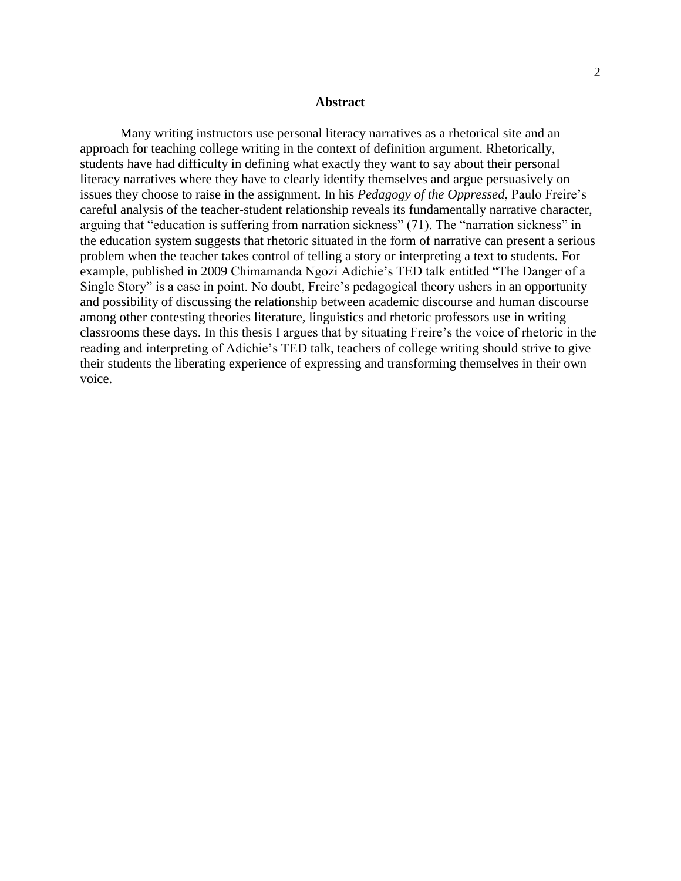#### **Abstract**

Many writing instructors use personal literacy narratives as a rhetorical site and an approach for teaching college writing in the context of definition argument. Rhetorically, students have had difficulty in defining what exactly they want to say about their personal literacy narratives where they have to clearly identify themselves and argue persuasively on issues they choose to raise in the assignment. In his *Pedagogy of the Oppressed*, Paulo Freire's careful analysis of the teacher-student relationship reveals its fundamentally narrative character, arguing that "education is suffering from narration sickness" (71). The "narration sickness" in the education system suggests that rhetoric situated in the form of narrative can present a serious problem when the teacher takes control of telling a story or interpreting a text to students. For example, published in 2009 Chimamanda Ngozi Adichie's TED talk entitled "The Danger of a Single Story" is a case in point. No doubt, Freire's pedagogical theory ushers in an opportunity and possibility of discussing the relationship between academic discourse and human discourse among other contesting theories literature, linguistics and rhetoric professors use in writing classrooms these days. In this thesis I argues that by situating Freire's the voice of rhetoric in the reading and interpreting of Adichie's TED talk, teachers of college writing should strive to give their students the liberating experience of expressing and transforming themselves in their own voice.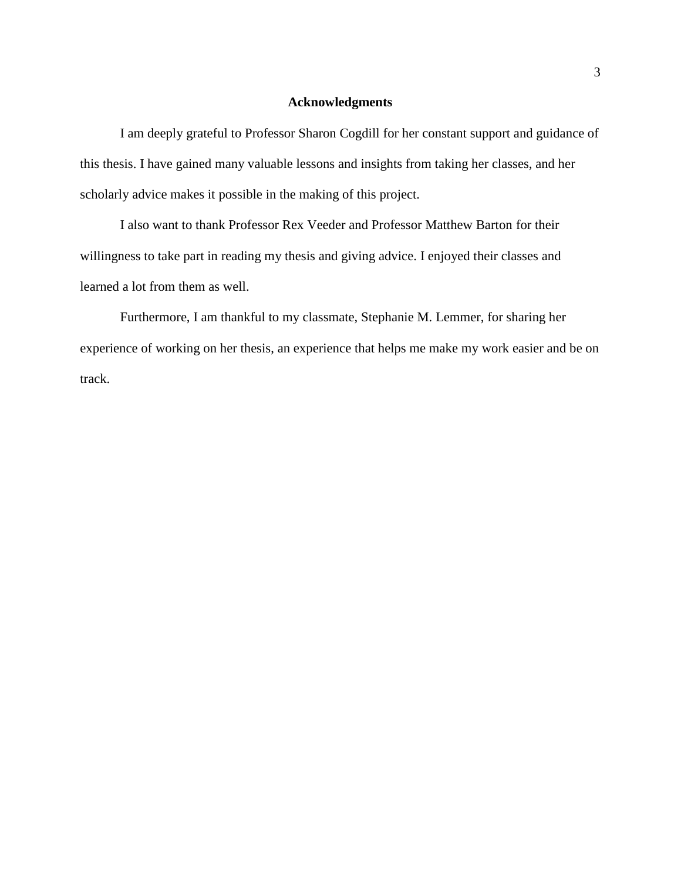## **Acknowledgments**

I am deeply grateful to Professor Sharon Cogdill for her constant support and guidance of this thesis. I have gained many valuable lessons and insights from taking her classes, and her scholarly advice makes it possible in the making of this project.

I also want to thank Professor Rex Veeder and Professor Matthew Barton for their willingness to take part in reading my thesis and giving advice. I enjoyed their classes and learned a lot from them as well.

Furthermore, I am thankful to my classmate, Stephanie M. Lemmer, for sharing her experience of working on her thesis, an experience that helps me make my work easier and be on track.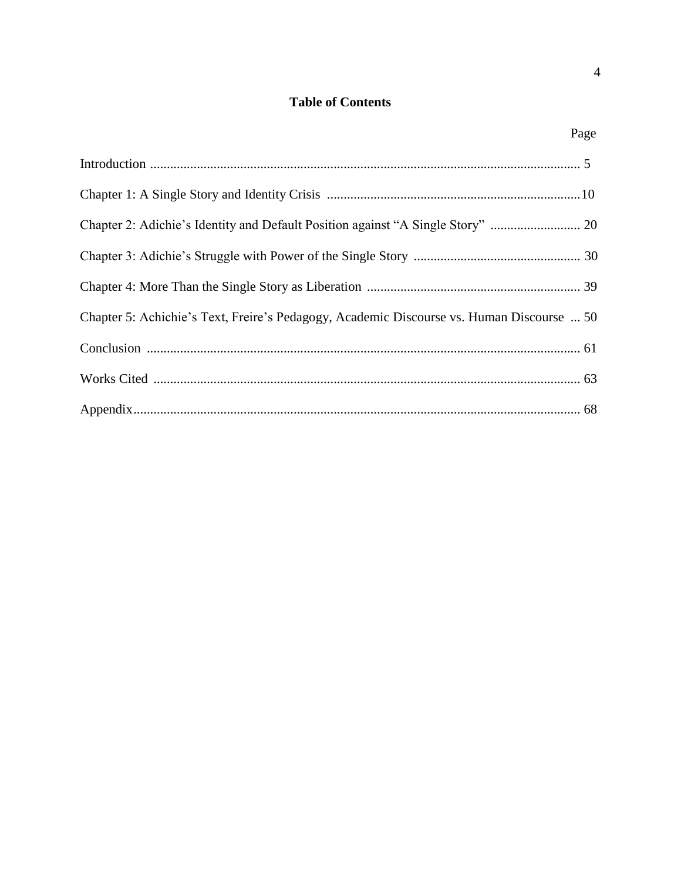## **Table of Contents**

Page **Page** 

| Chapter 2: Adichie's Identity and Default Position against "A Single Story"  20           |  |
|-------------------------------------------------------------------------------------------|--|
|                                                                                           |  |
|                                                                                           |  |
| Chapter 5: Achichie's Text, Freire's Pedagogy, Academic Discourse vs. Human Discourse  50 |  |
|                                                                                           |  |
|                                                                                           |  |
|                                                                                           |  |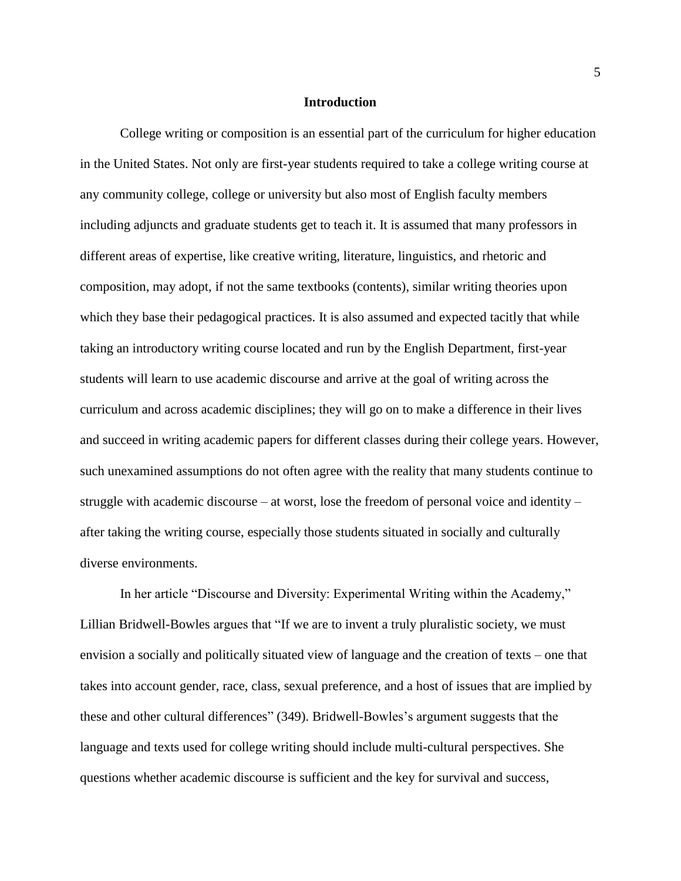### **Introduction**

College writing or composition is an essential part of the curriculum for higher education in the United States. Not only are first-year students required to take a college writing course at any community college, college or university but also most of English faculty members including adjuncts and graduate students get to teach it. It is assumed that many professors in different areas of expertise, like creative writing, literature, linguistics, and rhetoric and composition, may adopt, if not the same textbooks (contents), similar writing theories upon which they base their pedagogical practices. It is also assumed and expected tacitly that while taking an introductory writing course located and run by the English Department, first-year students will learn to use academic discourse and arrive at the goal of writing across the curriculum and across academic disciplines; they will go on to make a difference in their lives and succeed in writing academic papers for different classes during their college years. However, such unexamined assumptions do not often agree with the reality that many students continue to struggle with academic discourse – at worst, lose the freedom of personal voice and identity – after taking the writing course, especially those students situated in socially and culturally diverse environments.

In her article "Discourse and Diversity: Experimental Writing within the Academy," Lillian Bridwell-Bowles argues that "If we are to invent a truly pluralistic society, we must envision a socially and politically situated view of language and the creation of texts – one that takes into account gender, race, class, sexual preference, and a host of issues that are implied by these and other cultural differences" (349). Bridwell-Bowles's argument suggests that the language and texts used for college writing should include multi-cultural perspectives. She questions whether academic discourse is sufficient and the key for survival and success,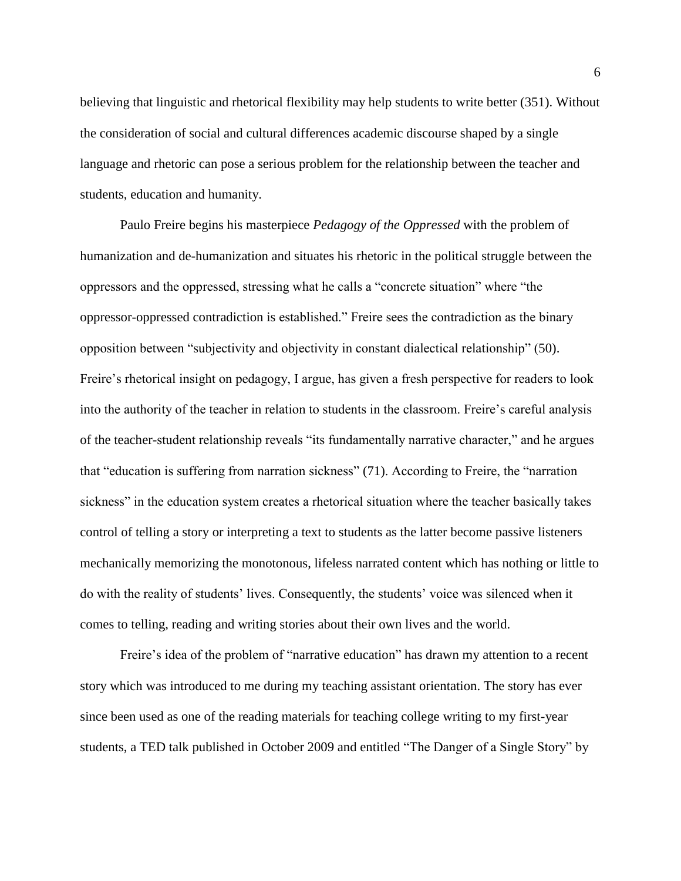believing that linguistic and rhetorical flexibility may help students to write better (351). Without the consideration of social and cultural differences academic discourse shaped by a single language and rhetoric can pose a serious problem for the relationship between the teacher and students, education and humanity.

Paulo Freire begins his masterpiece *Pedagogy of the Oppressed* with the problem of humanization and de-humanization and situates his rhetoric in the political struggle between the oppressors and the oppressed, stressing what he calls a "concrete situation" where "the oppressor-oppressed contradiction is established." Freire sees the contradiction as the binary opposition between "subjectivity and objectivity in constant dialectical relationship" (50). Freire's rhetorical insight on pedagogy, I argue, has given a fresh perspective for readers to look into the authority of the teacher in relation to students in the classroom. Freire's careful analysis of the teacher-student relationship reveals "its fundamentally narrative character," and he argues that "education is suffering from narration sickness" (71). According to Freire, the "narration sickness" in the education system creates a rhetorical situation where the teacher basically takes control of telling a story or interpreting a text to students as the latter become passive listeners mechanically memorizing the monotonous, lifeless narrated content which has nothing or little to do with the reality of students' lives. Consequently, the students' voice was silenced when it comes to telling, reading and writing stories about their own lives and the world.

Freire's idea of the problem of "narrative education" has drawn my attention to a recent story which was introduced to me during my teaching assistant orientation. The story has ever since been used as one of the reading materials for teaching college writing to my first-year students, a TED talk published in October 2009 and entitled "The Danger of a Single Story" by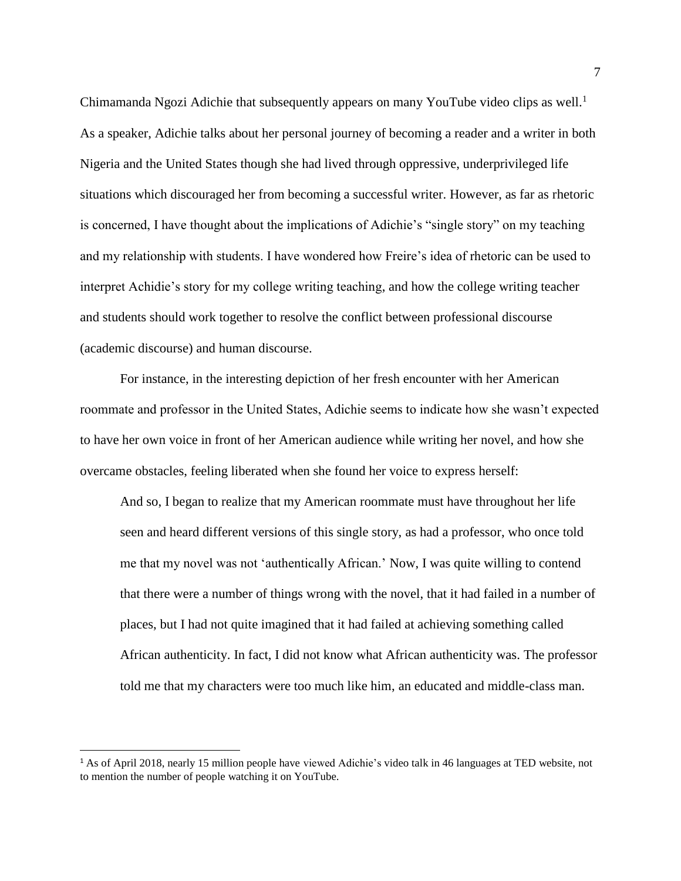Chimamanda Ngozi Adichie that subsequently appears on many YouTube video clips as well.<sup>1</sup> As a speaker, Adichie talks about her personal journey of becoming a reader and a writer in both Nigeria and the United States though she had lived through oppressive, underprivileged life situations which discouraged her from becoming a successful writer. However, as far as rhetoric is concerned, I have thought about the implications of Adichie's "single story" on my teaching and my relationship with students. I have wondered how Freire's idea of rhetoric can be used to interpret Achidie's story for my college writing teaching, and how the college writing teacher and students should work together to resolve the conflict between professional discourse (academic discourse) and human discourse.

For instance, in the interesting depiction of her fresh encounter with her American roommate and professor in the United States, Adichie seems to indicate how she wasn't expected to have her own voice in front of her American audience while writing her novel, and how she overcame obstacles, feeling liberated when she found her voice to express herself:

And so, I began to realize that my American roommate must have throughout her life seen and heard different versions of this single story, as had a professor, who once told me that my novel was not 'authentically African.' Now, I was quite willing to contend that there were a number of things wrong with the novel, that it had failed in a number of places, but I had not quite imagined that it had failed at achieving something called African authenticity. In fact, I did not know what African authenticity was. The professor told me that my characters were too much like him, an educated and middle-class man.

l

<sup>1</sup> As of April 2018, nearly 15 million people have viewed Adichie's video talk in 46 languages at TED website, not to mention the number of people watching it on YouTube.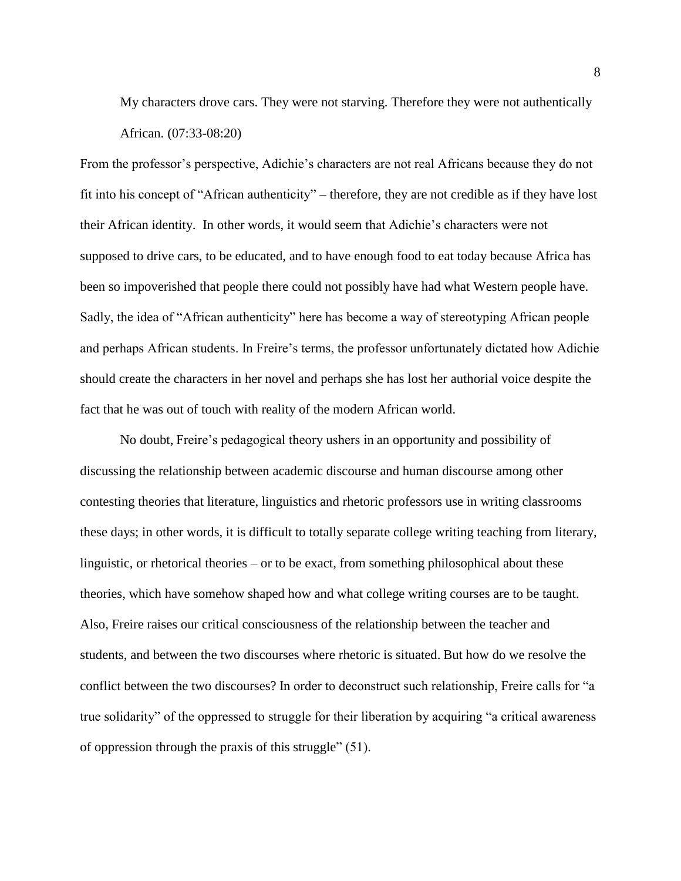My characters drove cars. They were not starving. Therefore they were not authentically African. (07:33-08:20)

From the professor's perspective, Adichie's characters are not real Africans because they do not fit into his concept of "African authenticity" – therefore, they are not credible as if they have lost their African identity. In other words, it would seem that Adichie's characters were not supposed to drive cars, to be educated, and to have enough food to eat today because Africa has been so impoverished that people there could not possibly have had what Western people have. Sadly, the idea of "African authenticity" here has become a way of stereotyping African people and perhaps African students. In Freire's terms, the professor unfortunately dictated how Adichie should create the characters in her novel and perhaps she has lost her authorial voice despite the fact that he was out of touch with reality of the modern African world.

No doubt, Freire's pedagogical theory ushers in an opportunity and possibility of discussing the relationship between academic discourse and human discourse among other contesting theories that literature, linguistics and rhetoric professors use in writing classrooms these days; in other words, it is difficult to totally separate college writing teaching from literary, linguistic, or rhetorical theories – or to be exact, from something philosophical about these theories, which have somehow shaped how and what college writing courses are to be taught. Also, Freire raises our critical consciousness of the relationship between the teacher and students, and between the two discourses where rhetoric is situated. But how do we resolve the conflict between the two discourses? In order to deconstruct such relationship, Freire calls for "a true solidarity" of the oppressed to struggle for their liberation by acquiring "a critical awareness of oppression through the praxis of this struggle" (51).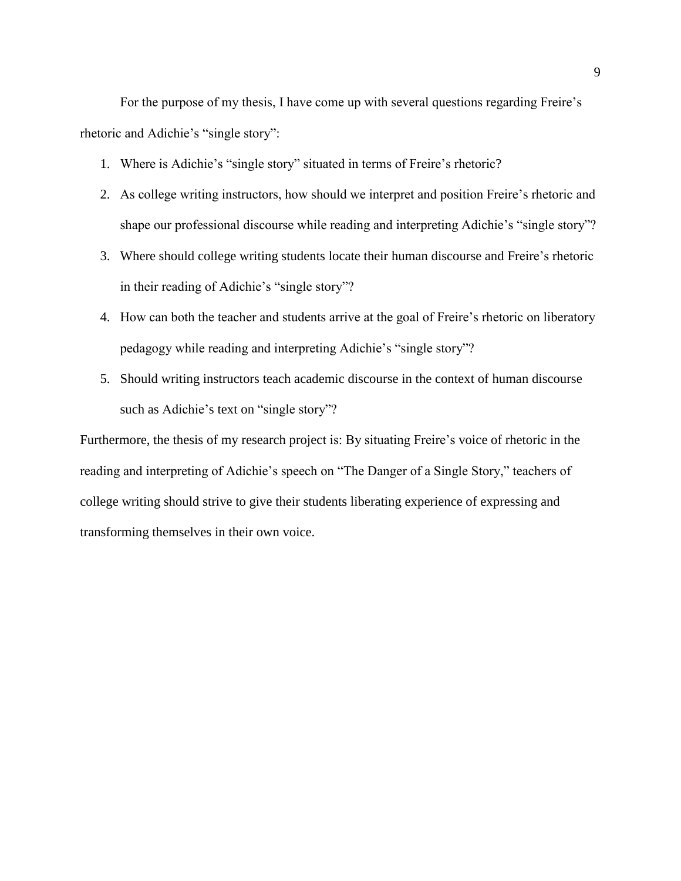For the purpose of my thesis, I have come up with several questions regarding Freire's rhetoric and Adichie's "single story":

- 1. Where is Adichie's "single story" situated in terms of Freire's rhetoric?
- 2. As college writing instructors, how should we interpret and position Freire's rhetoric and shape our professional discourse while reading and interpreting Adichie's "single story"?
- 3. Where should college writing students locate their human discourse and Freire's rhetoric in their reading of Adichie's "single story"?
- 4. How can both the teacher and students arrive at the goal of Freire's rhetoric on liberatory pedagogy while reading and interpreting Adichie's "single story"?
- 5. Should writing instructors teach academic discourse in the context of human discourse such as Adichie's text on "single story"?

Furthermore, the thesis of my research project is: By situating Freire's voice of rhetoric in the reading and interpreting of Adichie's speech on "The Danger of a Single Story," teachers of college writing should strive to give their students liberating experience of expressing and transforming themselves in their own voice.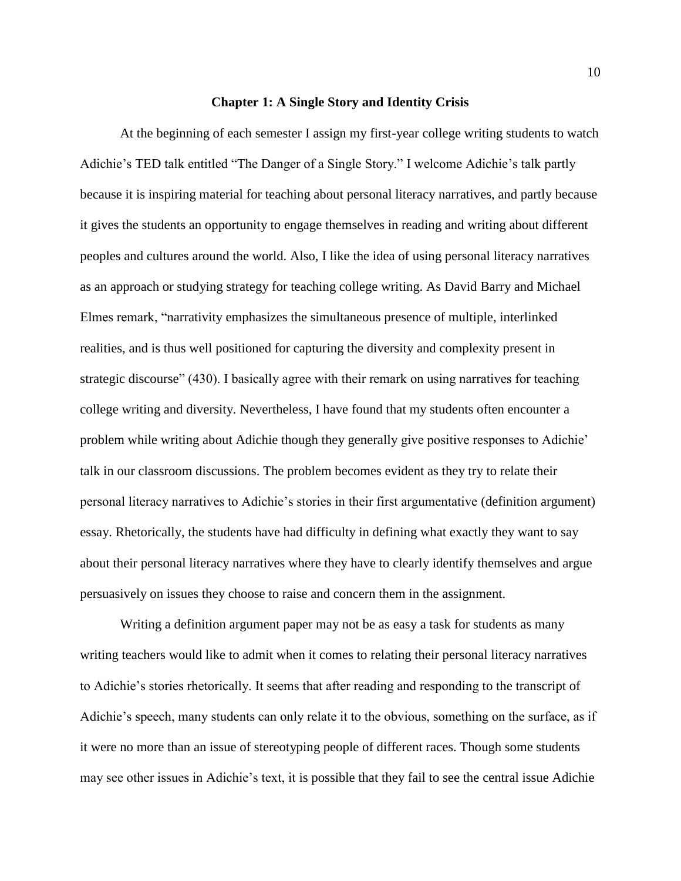### **Chapter 1: A Single Story and Identity Crisis**

At the beginning of each semester I assign my first-year college writing students to watch Adichie's TED talk entitled "The Danger of a Single Story." I welcome Adichie's talk partly because it is inspiring material for teaching about personal literacy narratives, and partly because it gives the students an opportunity to engage themselves in reading and writing about different peoples and cultures around the world. Also, I like the idea of using personal literacy narratives as an approach or studying strategy for teaching college writing. As David Barry and Michael Elmes remark, "narrativity emphasizes the simultaneous presence of multiple, interlinked realities, and is thus well positioned for capturing the diversity and complexity present in strategic discourse" (430). I basically agree with their remark on using narratives for teaching college writing and diversity. Nevertheless, I have found that my students often encounter a problem while writing about Adichie though they generally give positive responses to Adichie' talk in our classroom discussions. The problem becomes evident as they try to relate their personal literacy narratives to Adichie's stories in their first argumentative (definition argument) essay. Rhetorically, the students have had difficulty in defining what exactly they want to say about their personal literacy narratives where they have to clearly identify themselves and argue persuasively on issues they choose to raise and concern them in the assignment.

Writing a definition argument paper may not be as easy a task for students as many writing teachers would like to admit when it comes to relating their personal literacy narratives to Adichie's stories rhetorically. It seems that after reading and responding to the transcript of Adichie's speech, many students can only relate it to the obvious, something on the surface, as if it were no more than an issue of stereotyping people of different races. Though some students may see other issues in Adichie's text, it is possible that they fail to see the central issue Adichie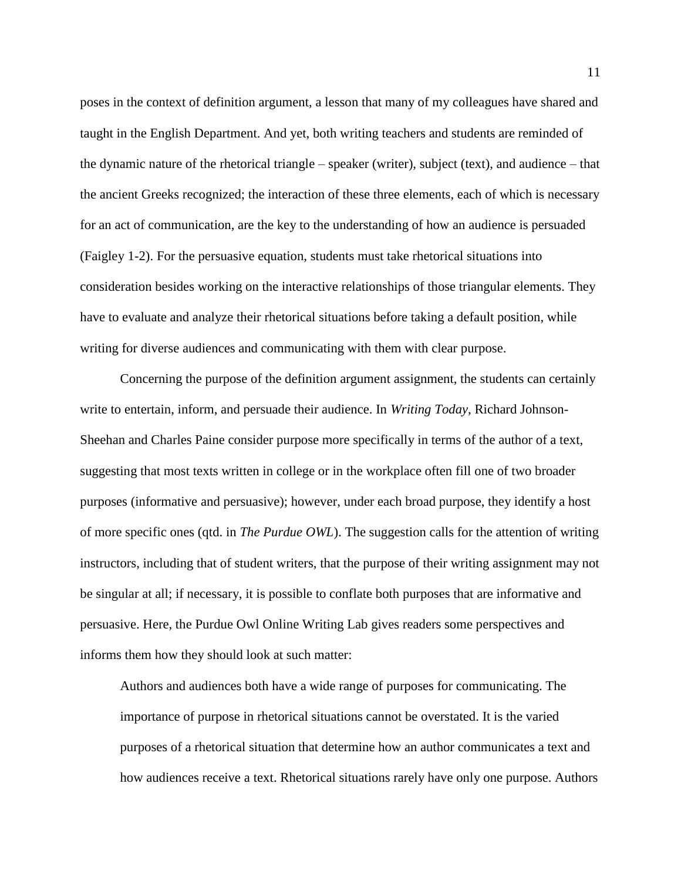poses in the context of definition argument, a lesson that many of my colleagues have shared and taught in the English Department. And yet, both writing teachers and students are reminded of the dynamic nature of the rhetorical triangle – speaker (writer), subject (text), and audience – that the ancient Greeks recognized; the interaction of these three elements, each of which is necessary for an act of communication, are the key to the understanding of how an audience is persuaded (Faigley 1-2). For the persuasive equation, students must take rhetorical situations into consideration besides working on the interactive relationships of those triangular elements. They have to evaluate and analyze their rhetorical situations before taking a default position, while writing for diverse audiences and communicating with them with clear purpose.

Concerning the purpose of the definition argument assignment, the students can certainly write to entertain, inform, and persuade their audience. In *Writing Today*, Richard Johnson-Sheehan and Charles Paine consider purpose more specifically in terms of the author of a text, suggesting that most texts written in college or in the workplace often fill one of two broader purposes (informative and persuasive); however, under each broad purpose, they identify a host of more specific ones (qtd. in *The Purdue OWL*). The suggestion calls for the attention of writing instructors, including that of student writers, that the purpose of their writing assignment may not be singular at all; if necessary, it is possible to conflate both purposes that are informative and persuasive. Here, the Purdue Owl Online Writing Lab gives readers some perspectives and informs them how they should look at such matter:

Authors and audiences both have a wide range of purposes for communicating. The importance of purpose in rhetorical situations cannot be overstated. It is the varied purposes of a rhetorical situation that determine how an author communicates a text and how audiences receive a text. Rhetorical situations rarely have only one purpose. Authors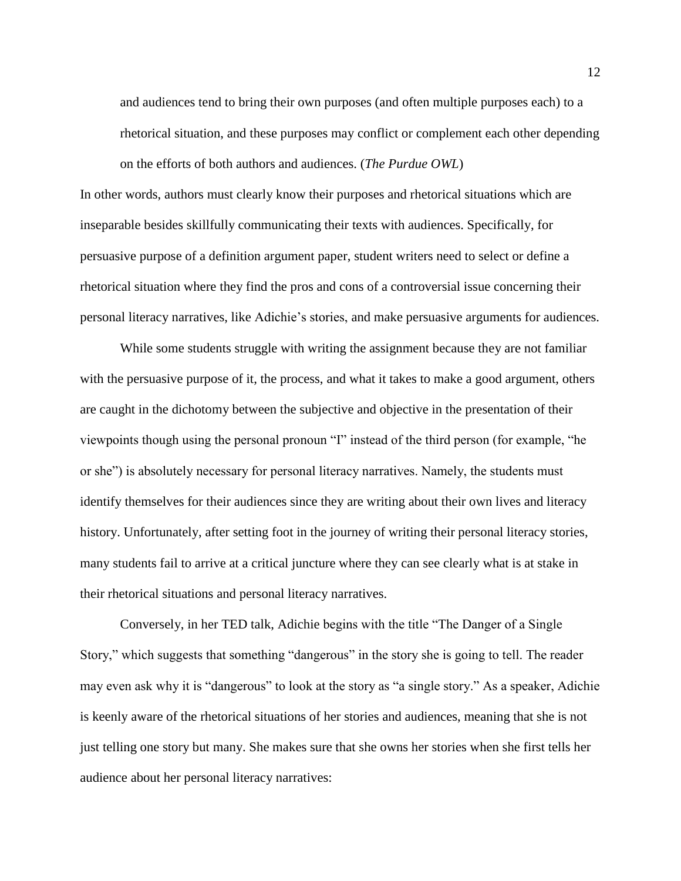and audiences tend to bring their own purposes (and often multiple purposes each) to a rhetorical situation, and these purposes may conflict or complement each other depending on the efforts of both authors and audiences. (*The Purdue OWL*)

In other words, authors must clearly know their purposes and rhetorical situations which are inseparable besides skillfully communicating their texts with audiences. Specifically, for persuasive purpose of a definition argument paper, student writers need to select or define a rhetorical situation where they find the pros and cons of a controversial issue concerning their personal literacy narratives, like Adichie's stories, and make persuasive arguments for audiences.

While some students struggle with writing the assignment because they are not familiar with the persuasive purpose of it, the process, and what it takes to make a good argument, others are caught in the dichotomy between the subjective and objective in the presentation of their viewpoints though using the personal pronoun "I" instead of the third person (for example, "he or she") is absolutely necessary for personal literacy narratives. Namely, the students must identify themselves for their audiences since they are writing about their own lives and literacy history. Unfortunately, after setting foot in the journey of writing their personal literacy stories, many students fail to arrive at a critical juncture where they can see clearly what is at stake in their rhetorical situations and personal literacy narratives.

Conversely, in her TED talk, Adichie begins with the title "The Danger of a Single Story," which suggests that something "dangerous" in the story she is going to tell. The reader may even ask why it is "dangerous" to look at the story as "a single story." As a speaker, Adichie is keenly aware of the rhetorical situations of her stories and audiences, meaning that she is not just telling one story but many. She makes sure that she owns her stories when she first tells her audience about her personal literacy narratives: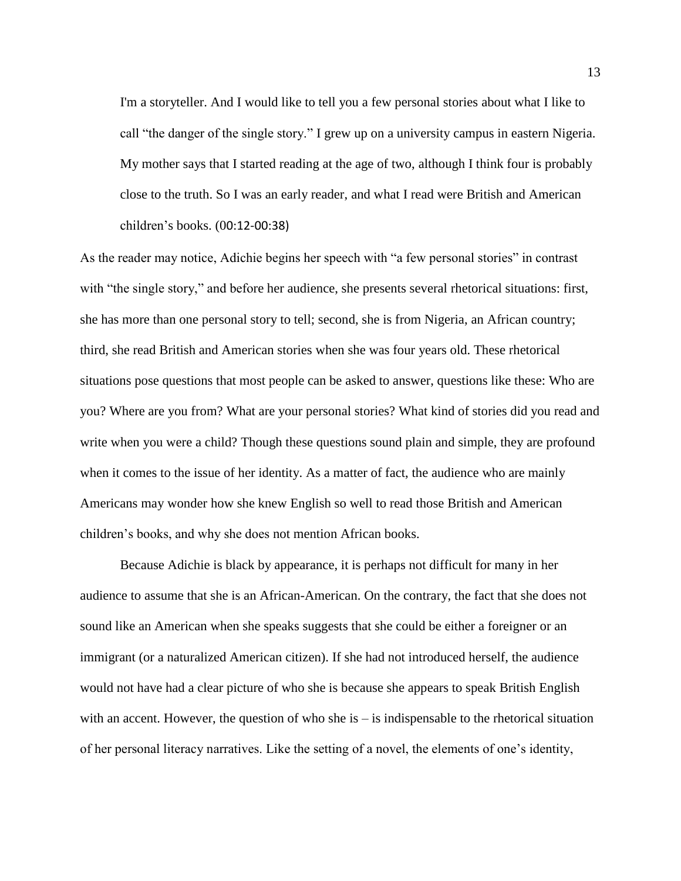I'm a storyteller. And I would like to tell you a few personal stories about what I like to call "the danger of the single story." I grew up on a university campus in eastern Nigeria. My mother says that I started reading at the age of two, although I think four is probably close to the truth. So I was an early reader, and what I read were British and American children's books. (00:12-00:38)

As the reader may notice, Adichie begins her speech with "a few personal stories" in contrast with "the single story," and before her audience, she presents several rhetorical situations: first, she has more than one personal story to tell; second, she is from Nigeria, an African country; third, she read British and American stories when she was four years old. These rhetorical situations pose questions that most people can be asked to answer, questions like these: Who are you? Where are you from? What are your personal stories? What kind of stories did you read and write when you were a child? Though these questions sound plain and simple, they are profound when it comes to the issue of her identity. As a matter of fact, the audience who are mainly Americans may wonder how she knew English so well to read those British and American children's books, and why she does not mention African books.

Because Adichie is black by appearance, it is perhaps not difficult for many in her audience to assume that she is an African-American. On the contrary, the fact that she does not sound like an American when she speaks suggests that she could be either a foreigner or an immigrant (or a naturalized American citizen). If she had not introduced herself, the audience would not have had a clear picture of who she is because she appears to speak British English with an accent. However, the question of who she is – is indispensable to the rhetorical situation of her personal literacy narratives. Like the setting of a novel, the elements of one's identity,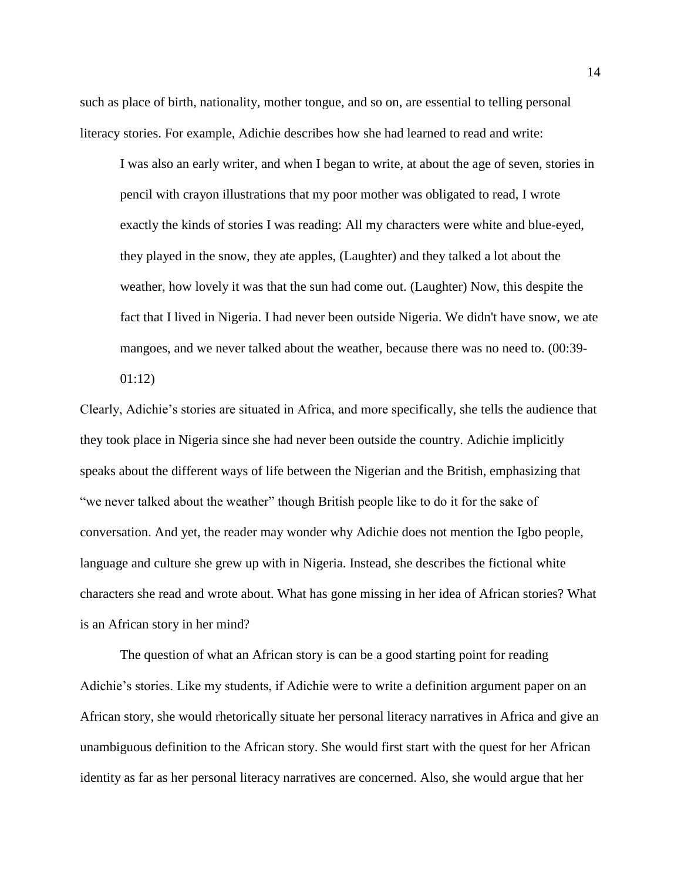such as place of birth, nationality, mother tongue, and so on, are essential to telling personal literacy stories. For example, Adichie describes how she had learned to read and write:

I was also an early writer, and when I began to write, at about the age of seven, stories in pencil with crayon illustrations that my poor mother was obligated to read, I wrote exactly the kinds of stories I was reading: All my characters were white and blue-eyed, they played in the snow, they ate apples, (Laughter) and they talked a lot about the weather, how lovely it was that the sun had come out. (Laughter) Now, this despite the fact that I lived in Nigeria. I had never been outside Nigeria. We didn't have snow, we ate mangoes, and we never talked about the weather, because there was no need to. (00:39- 01:12)

Clearly, Adichie's stories are situated in Africa, and more specifically, she tells the audience that they took place in Nigeria since she had never been outside the country. Adichie implicitly speaks about the different ways of life between the Nigerian and the British, emphasizing that "we never talked about the weather" though British people like to do it for the sake of conversation. And yet, the reader may wonder why Adichie does not mention the Igbo people, language and culture she grew up with in Nigeria. Instead, she describes the fictional white characters she read and wrote about. What has gone missing in her idea of African stories? What is an African story in her mind?

The question of what an African story is can be a good starting point for reading Adichie's stories. Like my students, if Adichie were to write a definition argument paper on an African story, she would rhetorically situate her personal literacy narratives in Africa and give an unambiguous definition to the African story. She would first start with the quest for her African identity as far as her personal literacy narratives are concerned. Also, she would argue that her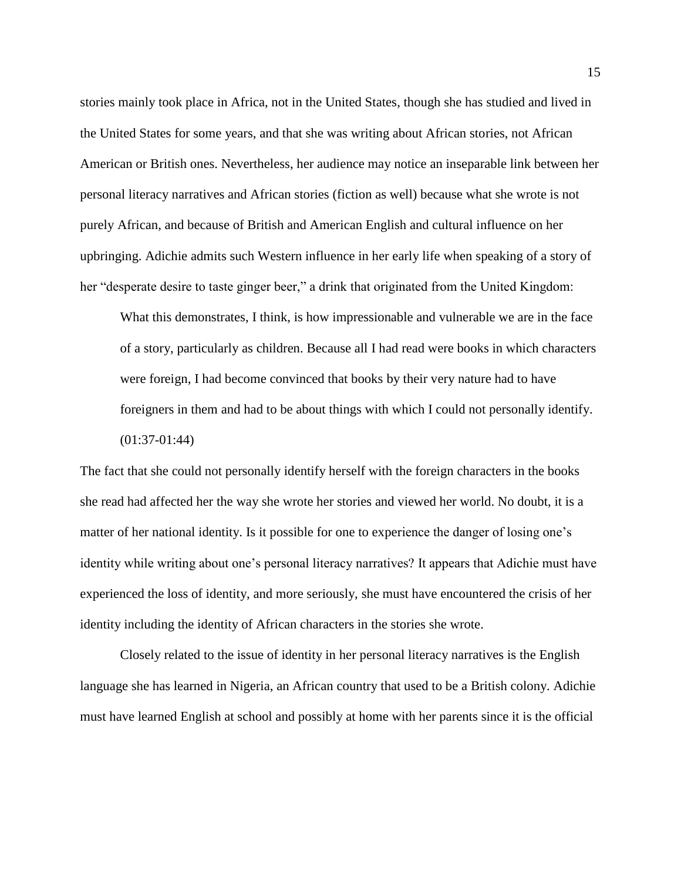stories mainly took place in Africa, not in the United States, though she has studied and lived in the United States for some years, and that she was writing about African stories, not African American or British ones. Nevertheless, her audience may notice an inseparable link between her personal literacy narratives and African stories (fiction as well) because what she wrote is not purely African, and because of British and American English and cultural influence on her upbringing. Adichie admits such Western influence in her early life when speaking of a story of her "desperate desire to taste ginger beer," a drink that originated from the United Kingdom:

What this demonstrates, I think, is how impressionable and vulnerable we are in the face of a story, particularly as children. Because all I had read were books in which characters were foreign, I had become convinced that books by their very nature had to have foreigners in them and had to be about things with which I could not personally identify. (01:37-01:44)

The fact that she could not personally identify herself with the foreign characters in the books she read had affected her the way she wrote her stories and viewed her world. No doubt, it is a matter of her national identity. Is it possible for one to experience the danger of losing one's identity while writing about one's personal literacy narratives? It appears that Adichie must have experienced the loss of identity, and more seriously, she must have encountered the crisis of her identity including the identity of African characters in the stories she wrote.

Closely related to the issue of identity in her personal literacy narratives is the English language she has learned in Nigeria, an African country that used to be a British colony. Adichie must have learned English at school and possibly at home with her parents since it is the official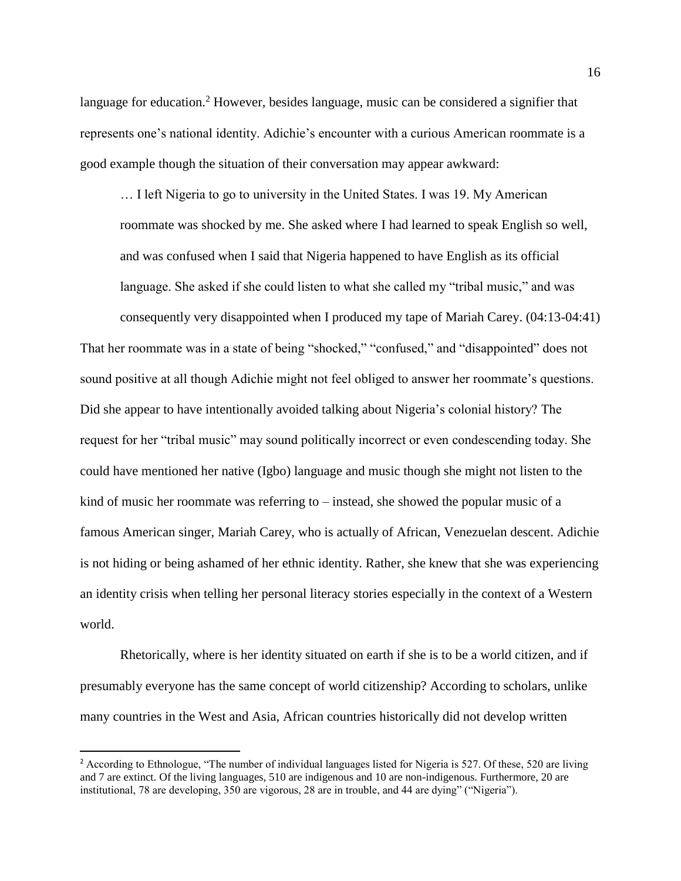language for education.<sup>2</sup> However, besides language, music can be considered a signifier that represents one's national identity. Adichie's encounter with a curious American roommate is a good example though the situation of their conversation may appear awkward:

… I left Nigeria to go to university in the United States. I was 19. My American roommate was shocked by me. She asked where I had learned to speak English so well, and was confused when I said that Nigeria happened to have English as its official language. She asked if she could listen to what she called my "tribal music," and was

consequently very disappointed when I produced my tape of Mariah Carey. (04:13-04:41) That her roommate was in a state of being "shocked," "confused," and "disappointed" does not sound positive at all though Adichie might not feel obliged to answer her roommate's questions. Did she appear to have intentionally avoided talking about Nigeria's colonial history? The request for her "tribal music" may sound politically incorrect or even condescending today. She could have mentioned her native (Igbo) language and music though she might not listen to the kind of music her roommate was referring to – instead, she showed the popular music of a famous American singer, Mariah Carey, who is actually of African, Venezuelan descent. Adichie is not hiding or being ashamed of her ethnic identity. Rather, she knew that she was experiencing an identity crisis when telling her personal literacy stories especially in the context of a Western world.

Rhetorically, where is her identity situated on earth if she is to be a world citizen, and if presumably everyone has the same concept of world citizenship? According to scholars, unlike many countries in the West and Asia, African countries historically did not develop written

l

<sup>&</sup>lt;sup>2</sup> According to Ethnologue, "The number of individual languages listed for Nigeria is 527. Of these, 520 are living and 7 are extinct. Of the living languages, 510 are indigenous and 10 are non-indigenous. Furthermore, 20 are institutional, 78 are developing, 350 are vigorous, 28 are in trouble, and 44 are dying" ("Nigeria").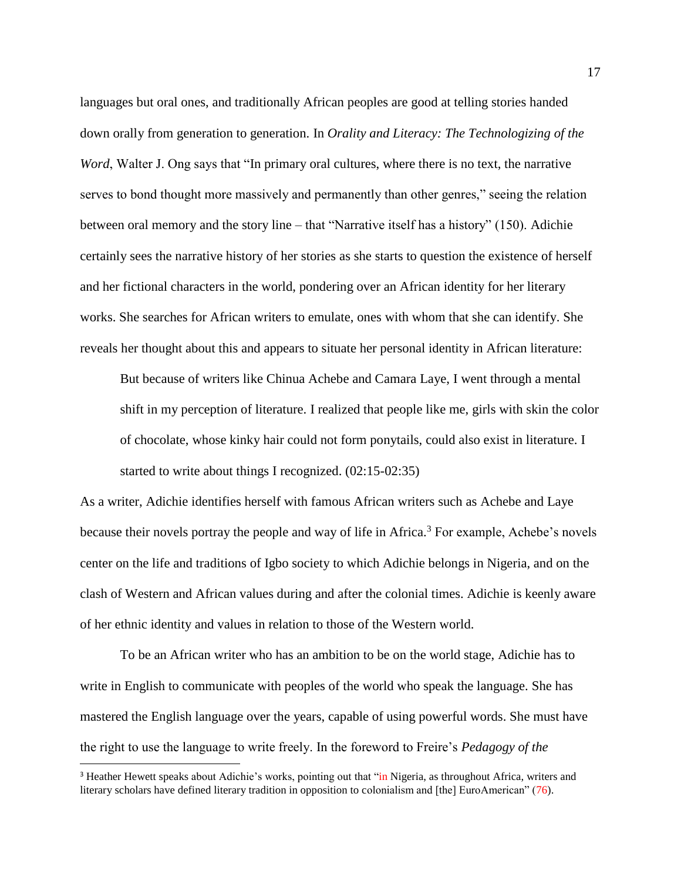languages but oral ones, and traditionally African peoples are good at telling stories handed down orally from generation to generation. In *Orality and Literacy: The Technologizing of the Word*, Walter J. Ong says that "In primary oral cultures, where there is no text, the narrative serves to bond thought more massively and permanently than other genres," seeing the relation between oral memory and the story line – that "Narrative itself has a history" (150). Adichie certainly sees the narrative history of her stories as she starts to question the existence of herself and her fictional characters in the world, pondering over an African identity for her literary works. She searches for African writers to emulate, ones with whom that she can identify. She reveals her thought about this and appears to situate her personal identity in African literature:

But because of writers like Chinua Achebe and Camara Laye, I went through a mental shift in my perception of literature. I realized that people like me, girls with skin the color of chocolate, whose kinky hair could not form ponytails, could also exist in literature. I started to write about things I recognized. (02:15-02:35)

As a writer, Adichie identifies herself with famous African writers such as Achebe and Laye because their novels portray the people and way of life in Africa.<sup>3</sup> For example, Achebe's novels center on the life and traditions of Igbo society to which Adichie belongs in Nigeria, and on the clash of Western and African values during and after the colonial times. Adichie is keenly aware of her ethnic identity and values in relation to those of the Western world.

To be an African writer who has an ambition to be on the world stage, Adichie has to write in English to communicate with peoples of the world who speak the language. She has mastered the English language over the years, capable of using powerful words. She must have the right to use the language to write freely. In the foreword to Freire's *Pedagogy of the* 

 $\overline{a}$ 

<sup>&</sup>lt;sup>3</sup> Heather Hewett speaks about Adichie's works, pointing out that "in Nigeria, as throughout Africa, writers and literary scholars have defined literary tradition in opposition to colonialism and [the] EuroAmerican" (76).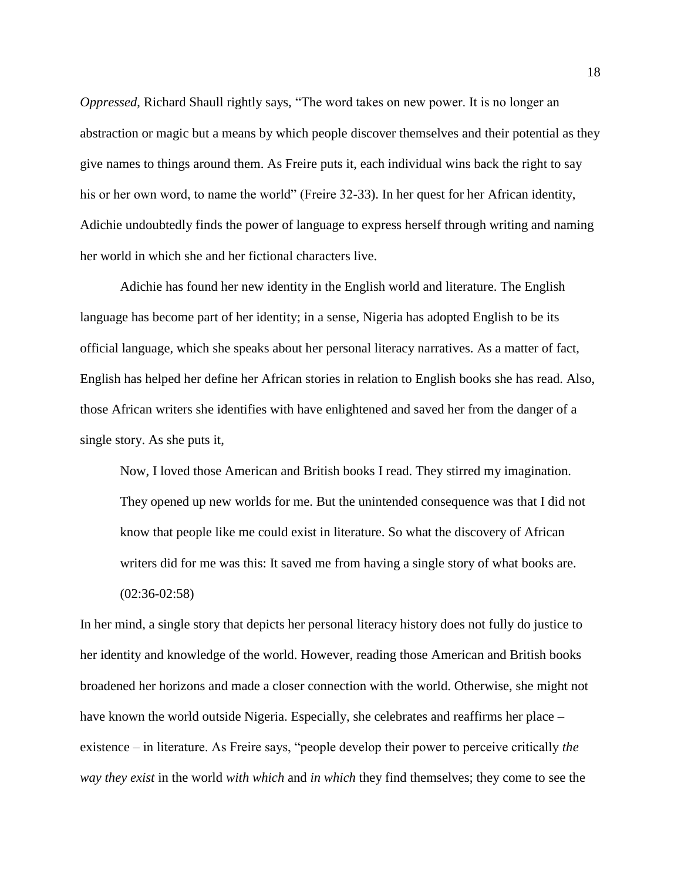*Oppressed*, Richard Shaull rightly says, "The word takes on new power. It is no longer an abstraction or magic but a means by which people discover themselves and their potential as they give names to things around them. As Freire puts it, each individual wins back the right to say his or her own word, to name the world" (Freire 32-33). In her quest for her African identity, Adichie undoubtedly finds the power of language to express herself through writing and naming her world in which she and her fictional characters live.

Adichie has found her new identity in the English world and literature. The English language has become part of her identity; in a sense, Nigeria has adopted English to be its official language, which she speaks about her personal literacy narratives. As a matter of fact, English has helped her define her African stories in relation to English books she has read. Also, those African writers she identifies with have enlightened and saved her from the danger of a single story. As she puts it,

Now, I loved those American and British books I read. They stirred my imagination. They opened up new worlds for me. But the unintended consequence was that I did not know that people like me could exist in literature. So what the discovery of African writers did for me was this: It saved me from having a single story of what books are. (02:36-02:58)

In her mind, a single story that depicts her personal literacy history does not fully do justice to her identity and knowledge of the world. However, reading those American and British books broadened her horizons and made a closer connection with the world. Otherwise, she might not have known the world outside Nigeria. Especially, she celebrates and reaffirms her place – existence – in literature. As Freire says, "people develop their power to perceive critically *the way they exist* in the world *with which* and *in which* they find themselves; they come to see the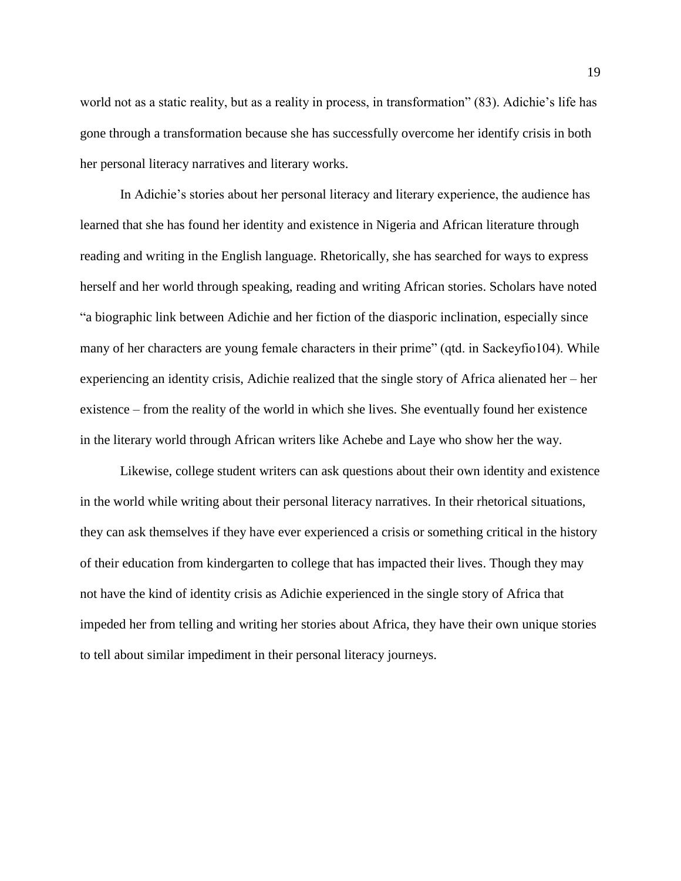world not as a static reality, but as a reality in process, in transformation" (83). Adichie's life has gone through a transformation because she has successfully overcome her identify crisis in both her personal literacy narratives and literary works.

In Adichie's stories about her personal literacy and literary experience, the audience has learned that she has found her identity and existence in Nigeria and African literature through reading and writing in the English language. Rhetorically, she has searched for ways to express herself and her world through speaking, reading and writing African stories. Scholars have noted "a biographic link between Adichie and her fiction of the diasporic inclination, especially since many of her characters are young female characters in their prime" (qtd. in Sackeyfio104). While experiencing an identity crisis, Adichie realized that the single story of Africa alienated her – her existence – from the reality of the world in which she lives. She eventually found her existence in the literary world through African writers like Achebe and Laye who show her the way.

Likewise, college student writers can ask questions about their own identity and existence in the world while writing about their personal literacy narratives. In their rhetorical situations, they can ask themselves if they have ever experienced a crisis or something critical in the history of their education from kindergarten to college that has impacted their lives. Though they may not have the kind of identity crisis as Adichie experienced in the single story of Africa that impeded her from telling and writing her stories about Africa, they have their own unique stories to tell about similar impediment in their personal literacy journeys.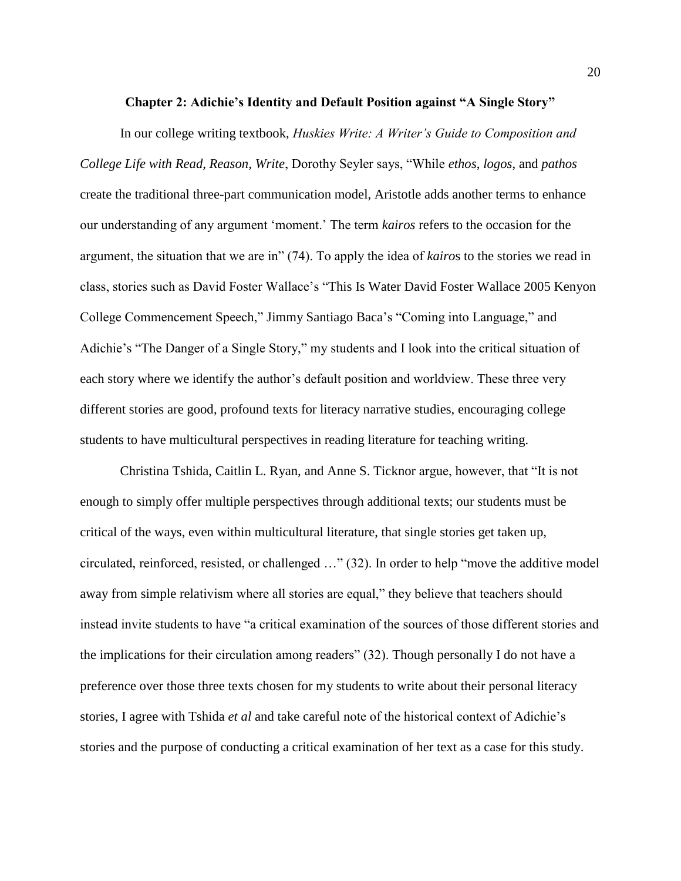#### **Chapter 2: Adichie's Identity and Default Position against "A Single Story"**

In our college writing textbook, *Huskies Write: A Writer's Guide to Composition and College Life with Read, Reason, Write*, Dorothy Seyler says, "While *ethos*, *logos*, and *pathos* create the traditional three-part communication model, Aristotle adds another terms to enhance our understanding of any argument 'moment.' The term *kairos* refers to the occasion for the argument, the situation that we are in" (74). To apply the idea of *kairo*s to the stories we read in class, stories such as David Foster Wallace's "This Is Water David Foster Wallace 2005 Kenyon College Commencement Speech," [Jimmy Santiago Baca'](http://www.pen.org/jimmy-santiago-baca)s "Coming into Language," and Adichie's "The Danger of a Single Story," my students and I look into the critical situation of each story where we identify the author's default position and worldview. These three very different stories are good, profound texts for literacy narrative studies, encouraging college students to have multicultural perspectives in reading literature for teaching writing.

Christina Tshida, Caitlin L. Ryan, and Anne S. Ticknor argue, however, that "It is not enough to simply offer multiple perspectives through additional texts; our students must be critical of the ways, even within multicultural literature, that single stories get taken up, circulated, reinforced, resisted, or challenged …" (32). In order to help "move the additive model away from simple relativism where all stories are equal," they believe that teachers should instead invite students to have "a critical examination of the sources of those different stories and the implications for their circulation among readers" (32). Though personally I do not have a preference over those three texts chosen for my students to write about their personal literacy stories, I agree with Tshida *et al* and take careful note of the historical context of Adichie's stories and the purpose of conducting a critical examination of her text as a case for this study.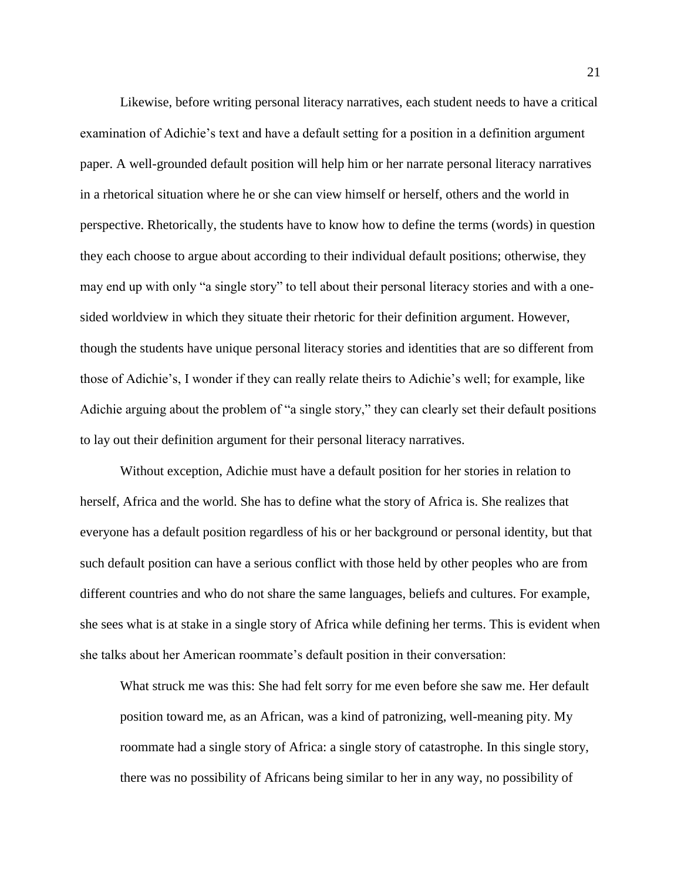Likewise, before writing personal literacy narratives, each student needs to have a critical examination of Adichie's text and have a default setting for a position in a definition argument paper. A well-grounded default position will help him or her narrate personal literacy narratives in a rhetorical situation where he or she can view himself or herself, others and the world in perspective. Rhetorically, the students have to know how to define the terms (words) in question they each choose to argue about according to their individual default positions; otherwise, they may end up with only "a single story" to tell about their personal literacy stories and with a onesided worldview in which they situate their rhetoric for their definition argument. However, though the students have unique personal literacy stories and identities that are so different from those of Adichie's, I wonder if they can really relate theirs to Adichie's well; for example, like Adichie arguing about the problem of "a single story," they can clearly set their default positions to lay out their definition argument for their personal literacy narratives.

Without exception, Adichie must have a default position for her stories in relation to herself, Africa and the world. She has to define what the story of Africa is. She realizes that everyone has a default position regardless of his or her background or personal identity, but that such default position can have a serious conflict with those held by other peoples who are from different countries and who do not share the same languages, beliefs and cultures. For example, she sees what is at stake in a single story of Africa while defining her terms. This is evident when she talks about her American roommate's default position in their conversation:

What struck me was this: She had felt sorry for me even before she saw me. Her default position toward me, as an African, was a kind of patronizing, well-meaning pity. My roommate had a single story of Africa: a single story of catastrophe. In this single story, there was no possibility of Africans being similar to her in any way, no possibility of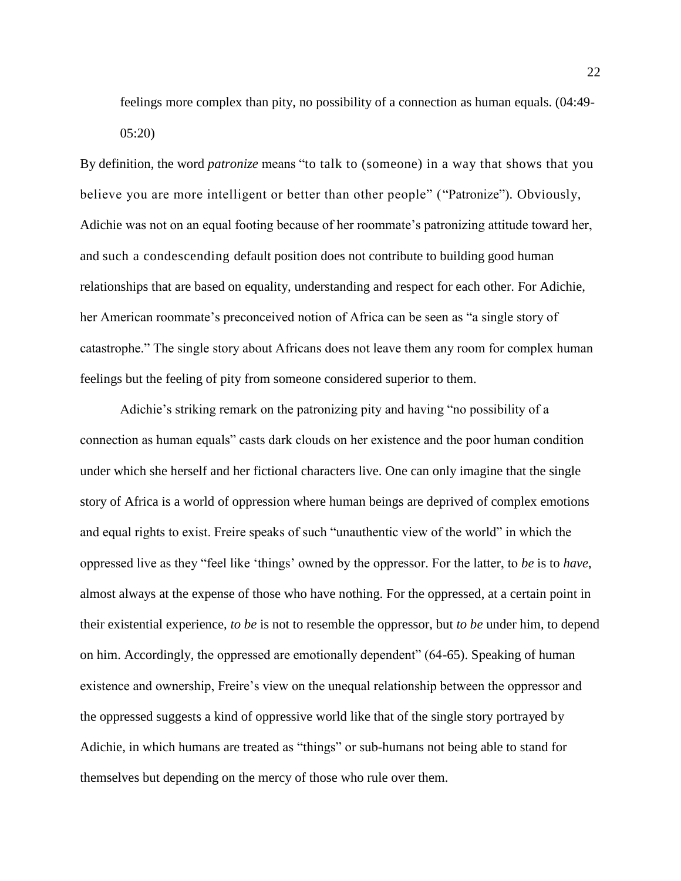feelings more complex than pity, no possibility of a connection as human equals. (04:49- 05:20)

By definition, the word *patronize* means "to talk to (someone) in a way that shows that you believe you are more intelligent or better than other people" ("Patronize"). Obviously, Adichie was not on an equal footing because of her roommate's patronizing attitude toward her, and such a condescending default position does not contribute to building good human relationships that are based on equality, understanding and respect for each other. For Adichie, her American roommate's preconceived notion of Africa can be seen as "a single story of catastrophe." The single story about Africans does not leave them any room for complex human feelings but the feeling of pity from someone considered superior to them.

Adichie's striking remark on the patronizing pity and having "no possibility of a connection as human equals" casts dark clouds on her existence and the poor human condition under which she herself and her fictional characters live. One can only imagine that the single story of Africa is a world of oppression where human beings are deprived of complex emotions and equal rights to exist. Freire speaks of such "unauthentic view of the world" in which the oppressed live as they "feel like 'things' owned by the oppressor. For the latter, to *be* is to *have*, almost always at the expense of those who have nothing. For the oppressed, at a certain point in their existential experience, *to be* is not to resemble the oppressor, but *to be* under him, to depend on him. Accordingly, the oppressed are emotionally dependent" (64-65). Speaking of human existence and ownership, Freire's view on the unequal relationship between the oppressor and the oppressed suggests a kind of oppressive world like that of the single story portrayed by Adichie, in which humans are treated as "things" or sub-humans not being able to stand for themselves but depending on the mercy of those who rule over them.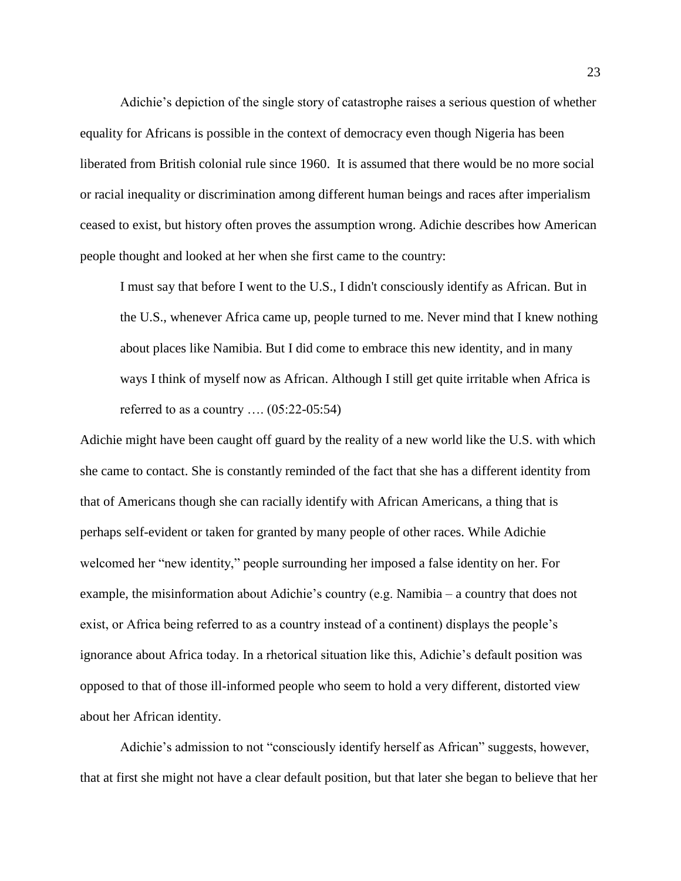Adichie's depiction of the single story of catastrophe raises a serious question of whether equality for Africans is possible in the context of democracy even though Nigeria has been liberated from British colonial rule since 1960. It is assumed that there would be no more social or racial inequality or discrimination among different human beings and races after imperialism ceased to exist, but history often proves the assumption wrong. Adichie describes how American people thought and looked at her when she first came to the country:

I must say that before I went to the U.S., I didn't consciously identify as African. But in the U.S., whenever Africa came up, people turned to me. Never mind that I knew nothing about places like Namibia. But I did come to embrace this new identity, and in many ways I think of myself now as African. Although I still get quite irritable when Africa is referred to as a country  $\dots$  (05:22-05:54)

Adichie might have been caught off guard by the reality of a new world like the U.S. with which she came to contact. She is constantly reminded of the fact that she has a different identity from that of Americans though she can racially identify with African Americans, a thing that is perhaps self-evident or taken for granted by many people of other races. While Adichie welcomed her "new identity," people surrounding her imposed a false identity on her. For example, the misinformation about Adichie's country (e.g. Namibia – a country that does not exist, or Africa being referred to as a country instead of a continent) displays the people's ignorance about Africa today. In a rhetorical situation like this, Adichie's default position was opposed to that of those ill-informed people who seem to hold a very different, distorted view about her African identity.

Adichie's admission to not "consciously identify herself as African" suggests, however, that at first she might not have a clear default position, but that later she began to believe that her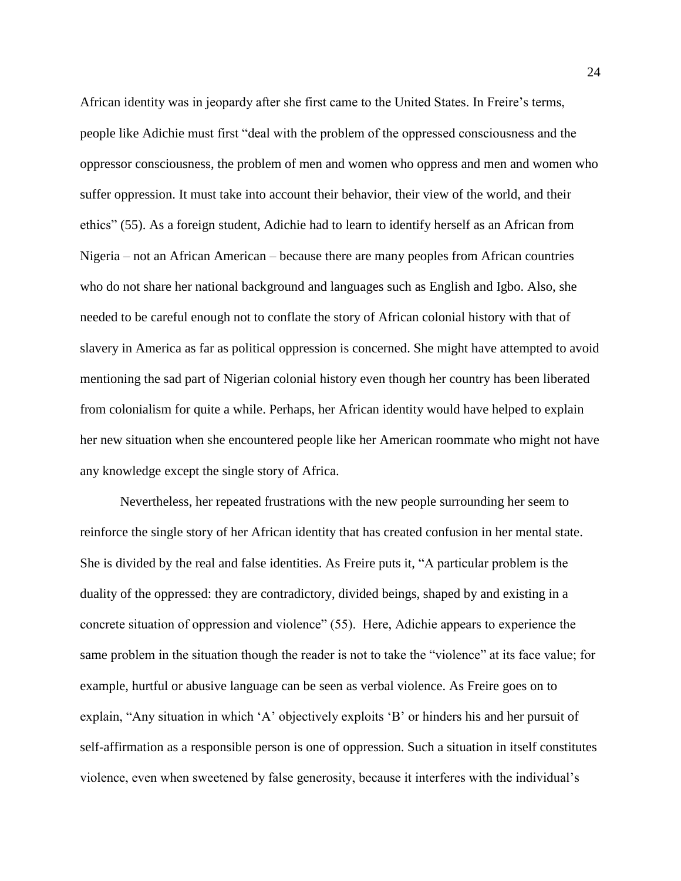African identity was in jeopardy after she first came to the United States. In Freire's terms, people like Adichie must first "deal with the problem of the oppressed consciousness and the oppressor consciousness, the problem of men and women who oppress and men and women who suffer oppression. It must take into account their behavior, their view of the world, and their ethics" (55). As a foreign student, Adichie had to learn to identify herself as an African from Nigeria – not an African American – because there are many peoples from African countries who do not share her national background and languages such as English and Igbo. Also, she needed to be careful enough not to conflate the story of African colonial history with that of slavery in America as far as political oppression is concerned. She might have attempted to avoid mentioning the sad part of Nigerian colonial history even though her country has been liberated from colonialism for quite a while. Perhaps, her African identity would have helped to explain her new situation when she encountered people like her American roommate who might not have any knowledge except the single story of Africa.

Nevertheless, her repeated frustrations with the new people surrounding her seem to reinforce the single story of her African identity that has created confusion in her mental state. She is divided by the real and false identities. As Freire puts it, "A particular problem is the duality of the oppressed: they are contradictory, divided beings, shaped by and existing in a concrete situation of oppression and violence" (55). Here, Adichie appears to experience the same problem in the situation though the reader is not to take the "violence" at its face value; for example, hurtful or abusive language can be seen as verbal violence. As Freire goes on to explain, "Any situation in which 'A' objectively exploits 'B' or hinders his and her pursuit of self-affirmation as a responsible person is one of oppression. Such a situation in itself constitutes violence, even when sweetened by false generosity, because it interferes with the individual's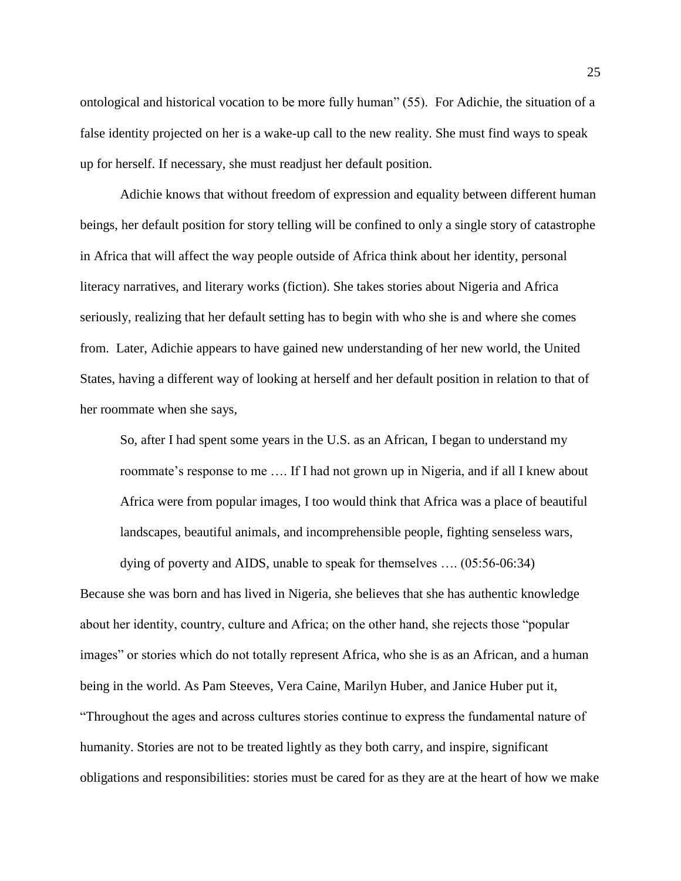ontological and historical vocation to be more fully human" (55). For Adichie, the situation of a false identity projected on her is a wake-up call to the new reality. She must find ways to speak up for herself. If necessary, she must readjust her default position.

Adichie knows that without freedom of expression and equality between different human beings, her default position for story telling will be confined to only a single story of catastrophe in Africa that will affect the way people outside of Africa think about her identity, personal literacy narratives, and literary works (fiction). She takes stories about Nigeria and Africa seriously, realizing that her default setting has to begin with who she is and where she comes from. Later, Adichie appears to have gained new understanding of her new world, the United States, having a different way of looking at herself and her default position in relation to that of her roommate when she says,

So, after I had spent some years in the U.S. as an African, I began to understand my roommate's response to me …. If I had not grown up in Nigeria, and if all I knew about Africa were from popular images, I too would think that Africa was a place of beautiful landscapes, beautiful animals, and incomprehensible people, fighting senseless wars,

Because she was born and has lived in Nigeria, she believes that she has authentic knowledge about her identity, country, culture and Africa; on the other hand, she rejects those "popular images" or stories which do not totally represent Africa, who she is as an African, and a human being in the world. As Pam Steeves, Vera Caine, Marilyn Huber, and Janice Huber put it, "Throughout the ages and across cultures stories continue to express the fundamental nature of humanity. Stories are not to be treated lightly as they both carry, and inspire, significant obligations and responsibilities: stories must be cared for as they are at the heart of how we make

dying of poverty and AIDS, unable to speak for themselves …. (05:56-06:34)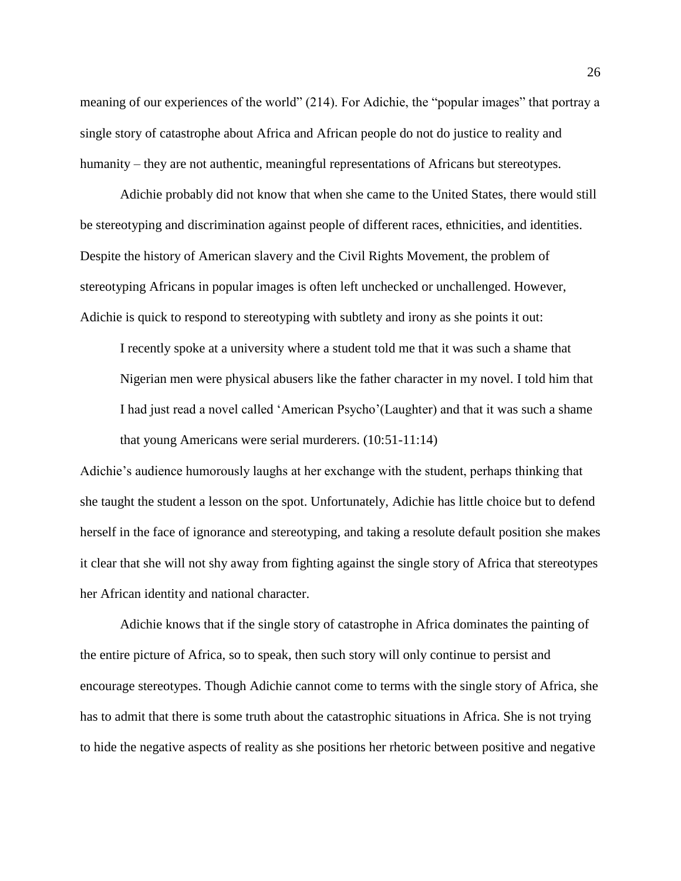meaning of our experiences of the world" (214). For Adichie, the "popular images" that portray a single story of catastrophe about Africa and African people do not do justice to reality and humanity – they are not authentic, meaningful representations of Africans but stereotypes.

Adichie probably did not know that when she came to the United States, there would still be stereotyping and discrimination against people of different races, ethnicities, and identities. Despite the history of American slavery and the Civil Rights Movement, the problem of stereotyping Africans in popular images is often left unchecked or unchallenged. However, Adichie is quick to respond to stereotyping with subtlety and irony as she points it out:

I recently spoke at a university where a student told me that it was such a shame that Nigerian men were physical abusers like the father character in my novel. I told him that I had just read a novel called 'American Psycho'(Laughter) and that it was such a shame that young Americans were serial murderers. (10:51-11:14)

Adichie's audience humorously laughs at her exchange with the student, perhaps thinking that she taught the student a lesson on the spot. Unfortunately, Adichie has little choice but to defend herself in the face of ignorance and stereotyping, and taking a resolute default position she makes it clear that she will not shy away from fighting against the single story of Africa that stereotypes her African identity and national character.

Adichie knows that if the single story of catastrophe in Africa dominates the painting of the entire picture of Africa, so to speak, then such story will only continue to persist and encourage stereotypes. Though Adichie cannot come to terms with the single story of Africa, she has to admit that there is some truth about the catastrophic situations in Africa. She is not trying to hide the negative aspects of reality as she positions her rhetoric between positive and negative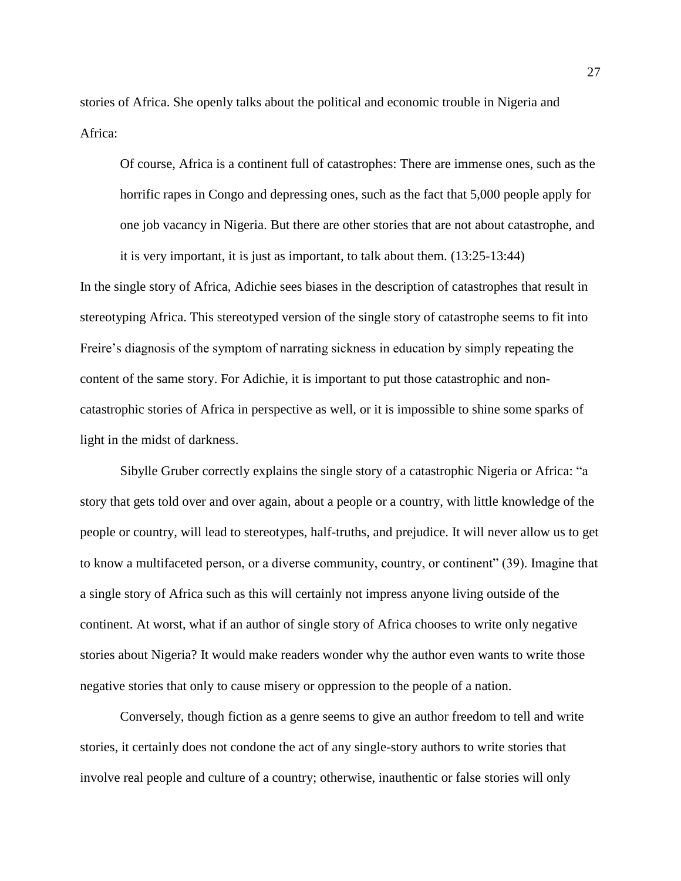stories of Africa. She openly talks about the political and economic trouble in Nigeria and Africa:

Of course, Africa is a continent full of catastrophes: There are immense ones, such as the horrific rapes in Congo and depressing ones, such as the fact that 5,000 people apply for one job vacancy in Nigeria. But there are other stories that are not about catastrophe, and it is very important, it is just as important, to talk about them. (13:25-13:44)

In the single story of Africa, Adichie sees biases in the description of catastrophes that result in stereotyping Africa. This stereotyped version of the single story of catastrophe seems to fit into Freire's diagnosis of the symptom of narrating sickness in education by simply repeating the content of the same story. For Adichie, it is important to put those catastrophic and noncatastrophic stories of Africa in perspective as well, or it is impossible to shine some sparks of light in the midst of darkness.

Sibylle Gruber correctly explains the single story of a catastrophic Nigeria or Africa: "a story that gets told over and over again, about a people or a country, with little knowledge of the people or country, will lead to stereotypes, half-truths, and prejudice. It will never allow us to get to know a multifaceted person, or a diverse community, country, or continent" (39). Imagine that a single story of Africa such as this will certainly not impress anyone living outside of the continent. At worst, what if an author of single story of Africa chooses to write only negative stories about Nigeria? It would make readers wonder why the author even wants to write those negative stories that only to cause misery or oppression to the people of a nation.

Conversely, though fiction as a genre seems to give an author freedom to tell and write stories, it certainly does not condone the act of any single-story authors to write stories that involve real people and culture of a country; otherwise, inauthentic or false stories will only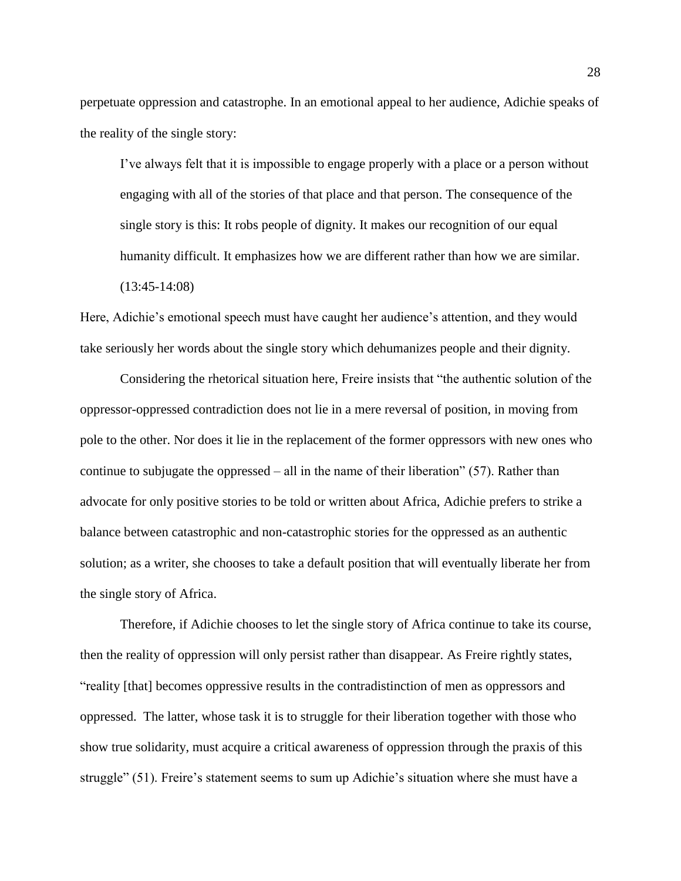perpetuate oppression and catastrophe. In an emotional appeal to her audience, Adichie speaks of the reality of the single story:

I've always felt that it is impossible to engage properly with a place or a person without engaging with all of the stories of that place and that person. The consequence of the single story is this: It robs people of dignity. It makes our recognition of our equal humanity difficult. It emphasizes how we are different rather than how we are similar. (13:45-14:08)

Here, Adichie's emotional speech must have caught her audience's attention, and they would take seriously her words about the single story which dehumanizes people and their dignity.

Considering the rhetorical situation here, Freire insists that "the authentic solution of the oppressor-oppressed contradiction does not lie in a mere reversal of position, in moving from pole to the other. Nor does it lie in the replacement of the former oppressors with new ones who continue to subjugate the oppressed – all in the name of their liberation" (57). Rather than advocate for only positive stories to be told or written about Africa, Adichie prefers to strike a balance between catastrophic and non-catastrophic stories for the oppressed as an authentic solution; as a writer, she chooses to take a default position that will eventually liberate her from the single story of Africa.

Therefore, if Adichie chooses to let the single story of Africa continue to take its course, then the reality of oppression will only persist rather than disappear. As Freire rightly states, "reality [that] becomes oppressive results in the contradistinction of men as oppressors and oppressed. The latter, whose task it is to struggle for their liberation together with those who show true solidarity, must acquire a critical awareness of oppression through the praxis of this struggle" (51). Freire's statement seems to sum up Adichie's situation where she must have a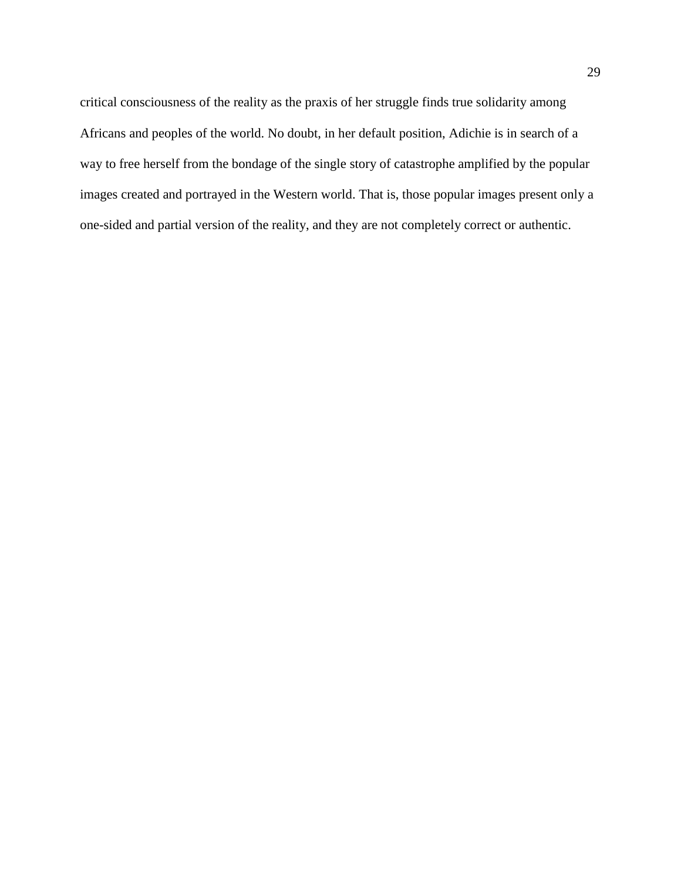critical consciousness of the reality as the praxis of her struggle finds true solidarity among Africans and peoples of the world. No doubt, in her default position, Adichie is in search of a way to free herself from the bondage of the single story of catastrophe amplified by the popular images created and portrayed in the Western world. That is, those popular images present only a one-sided and partial version of the reality, and they are not completely correct or authentic.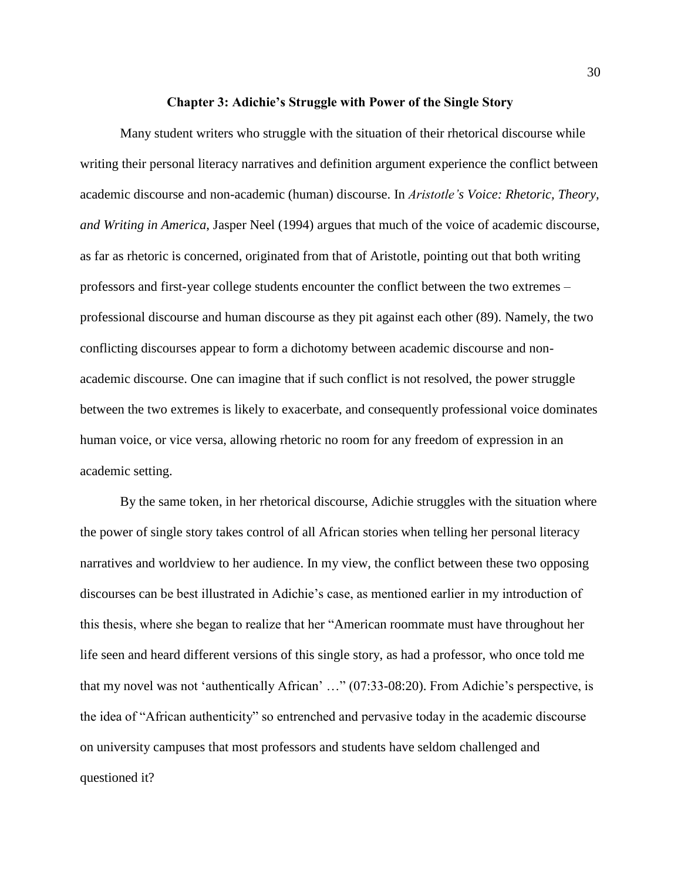### **Chapter 3: Adichie's Struggle with Power of the Single Story**

Many student writers who struggle with the situation of their rhetorical discourse while writing their personal literacy narratives and definition argument experience the conflict between academic discourse and non-academic (human) discourse. In *Aristotle's Voice: Rhetoric, Theory, and Writing in America*, Jasper Neel (1994) argues that much of the voice of academic discourse, as far as rhetoric is concerned, originated from that of Aristotle, pointing out that both writing professors and first-year college students encounter the conflict between the two extremes – professional discourse and human discourse as they pit against each other (89). Namely, the two conflicting discourses appear to form a dichotomy between academic discourse and nonacademic discourse. One can imagine that if such conflict is not resolved, the power struggle between the two extremes is likely to exacerbate, and consequently professional voice dominates human voice, or vice versa, allowing rhetoric no room for any freedom of expression in an academic setting.

By the same token, in her rhetorical discourse, Adichie struggles with the situation where the power of single story takes control of all African stories when telling her personal literacy narratives and worldview to her audience. In my view, the conflict between these two opposing discourses can be best illustrated in Adichie's case, as mentioned earlier in my introduction of this thesis, where she began to realize that her "American roommate must have throughout her life seen and heard different versions of this single story, as had a professor, who once told me that my novel was not 'authentically African' …" (07:33-08:20). From Adichie's perspective, is the idea of "African authenticity" so entrenched and pervasive today in the academic discourse on university campuses that most professors and students have seldom challenged and questioned it?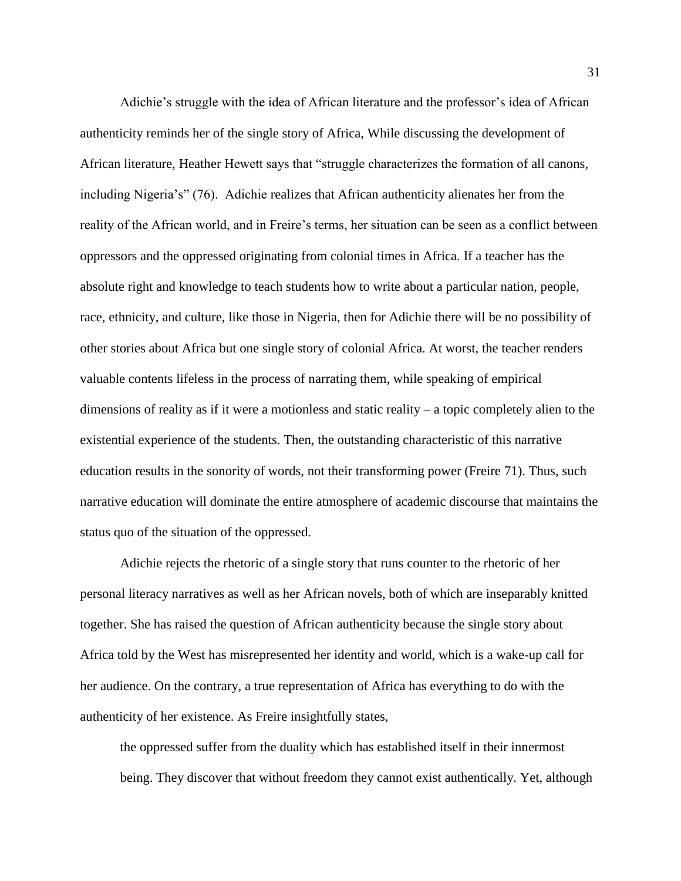Adichie's struggle with the idea of African literature and the professor's idea of African authenticity reminds her of the single story of Africa, While discussing the development of African literature, Heather Hewett says that "struggle characterizes the formation of all canons, including Nigeria's" (76). Adichie realizes that African authenticity alienates her from the reality of the African world, and in Freire's terms, her situation can be seen as a conflict between oppressors and the oppressed originating from colonial times in Africa. If a teacher has the absolute right and knowledge to teach students how to write about a particular nation, people, race, ethnicity, and culture, like those in Nigeria, then for Adichie there will be no possibility of other stories about Africa but one single story of colonial Africa. At worst, the teacher renders valuable contents lifeless in the process of narrating them, while speaking of empirical dimensions of reality as if it were a motionless and static reality – a topic completely alien to the existential experience of the students. Then, the outstanding characteristic of this narrative education results in the sonority of words, not their transforming power (Freire 71). Thus, such narrative education will dominate the entire atmosphere of academic discourse that maintains the status quo of the situation of the oppressed.

Adichie rejects the rhetoric of a single story that runs counter to the rhetoric of her personal literacy narratives as well as her African novels, both of which are inseparably knitted together. She has raised the question of African authenticity because the single story about Africa told by the West has misrepresented her identity and world, which is a wake-up call for her audience. On the contrary, a true representation of Africa has everything to do with the authenticity of her existence. As Freire insightfully states,

the oppressed suffer from the duality which has established itself in their innermost being. They discover that without freedom they cannot exist authentically. Yet, although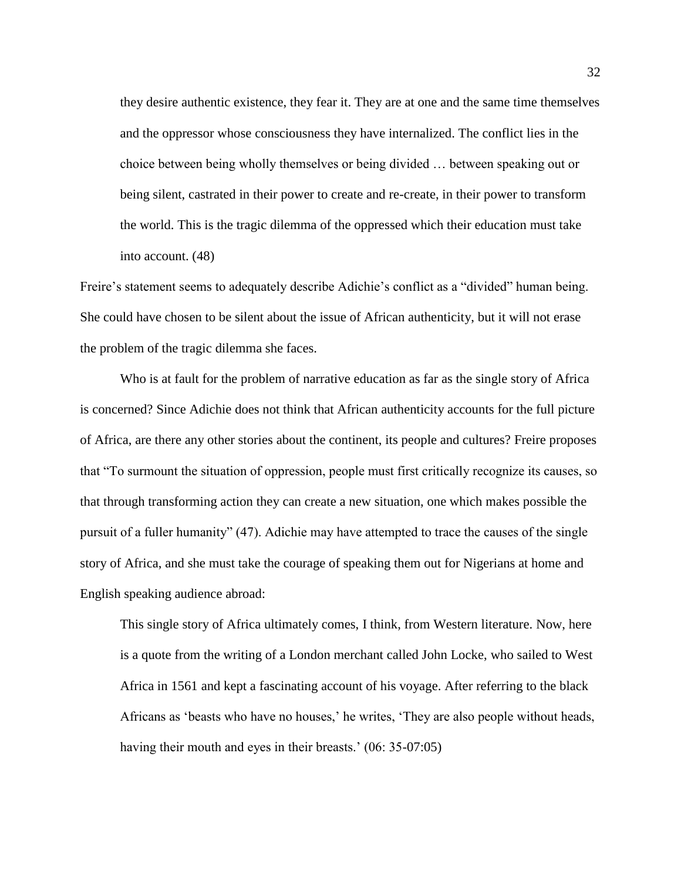they desire authentic existence, they fear it. They are at one and the same time themselves and the oppressor whose consciousness they have internalized. The conflict lies in the choice between being wholly themselves or being divided … between speaking out or being silent, castrated in their power to create and re-create, in their power to transform the world. This is the tragic dilemma of the oppressed which their education must take into account. (48)

Freire's statement seems to adequately describe Adichie's conflict as a "divided" human being. She could have chosen to be silent about the issue of African authenticity, but it will not erase the problem of the tragic dilemma she faces.

Who is at fault for the problem of narrative education as far as the single story of Africa is concerned? Since Adichie does not think that African authenticity accounts for the full picture of Africa, are there any other stories about the continent, its people and cultures? Freire proposes that "To surmount the situation of oppression, people must first critically recognize its causes, so that through transforming action they can create a new situation, one which makes possible the pursuit of a fuller humanity" (47). Adichie may have attempted to trace the causes of the single story of Africa, and she must take the courage of speaking them out for Nigerians at home and English speaking audience abroad:

This single story of Africa ultimately comes, I think, from Western literature. Now, here is a quote from the writing of a London merchant called John Locke, who sailed to West Africa in 1561 and kept a fascinating account of his voyage. After referring to the black Africans as 'beasts who have no houses,' he writes, 'They are also people without heads, having their mouth and eyes in their breasts.' (06: 35-07:05)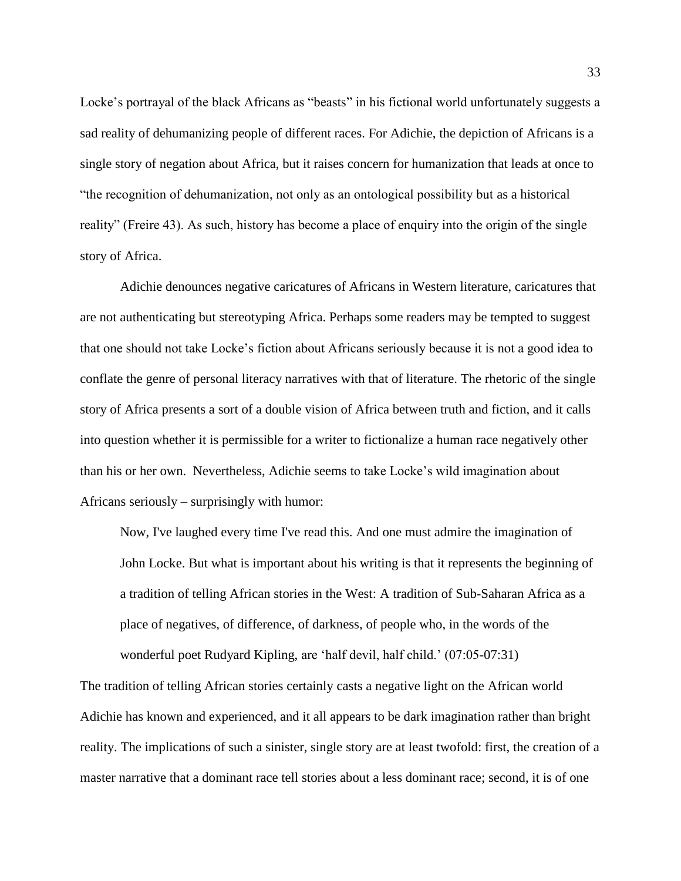Locke's portrayal of the black Africans as "beasts" in his fictional world unfortunately suggests a sad reality of dehumanizing people of different races. For Adichie, the depiction of Africans is a single story of negation about Africa, but it raises concern for humanization that leads at once to "the recognition of dehumanization, not only as an ontological possibility but as a historical reality" (Freire 43). As such, history has become a place of enquiry into the origin of the single story of Africa.

Adichie denounces negative caricatures of Africans in Western literature, caricatures that are not authenticating but stereotyping Africa. Perhaps some readers may be tempted to suggest that one should not take Locke's fiction about Africans seriously because it is not a good idea to conflate the genre of personal literacy narratives with that of literature. The rhetoric of the single story of Africa presents a sort of a double vision of Africa between truth and fiction, and it calls into question whether it is permissible for a writer to fictionalize a human race negatively other than his or her own. Nevertheless, Adichie seems to take Locke's wild imagination about Africans seriously – surprisingly with humor:

Now, I've laughed every time I've read this. And one must admire the imagination of John Locke. But what is important about his writing is that it represents the beginning of a tradition of telling African stories in the West: A tradition of Sub-Saharan Africa as a place of negatives, of difference, of darkness, of people who, in the words of the wonderful poet Rudyard Kipling, are 'half devil, half child.' (07:05-07:31)

The tradition of telling African stories certainly casts a negative light on the African world Adichie has known and experienced, and it all appears to be dark imagination rather than bright reality. The implications of such a sinister, single story are at least twofold: first, the creation of a master narrative that a dominant race tell stories about a less dominant race; second, it is of one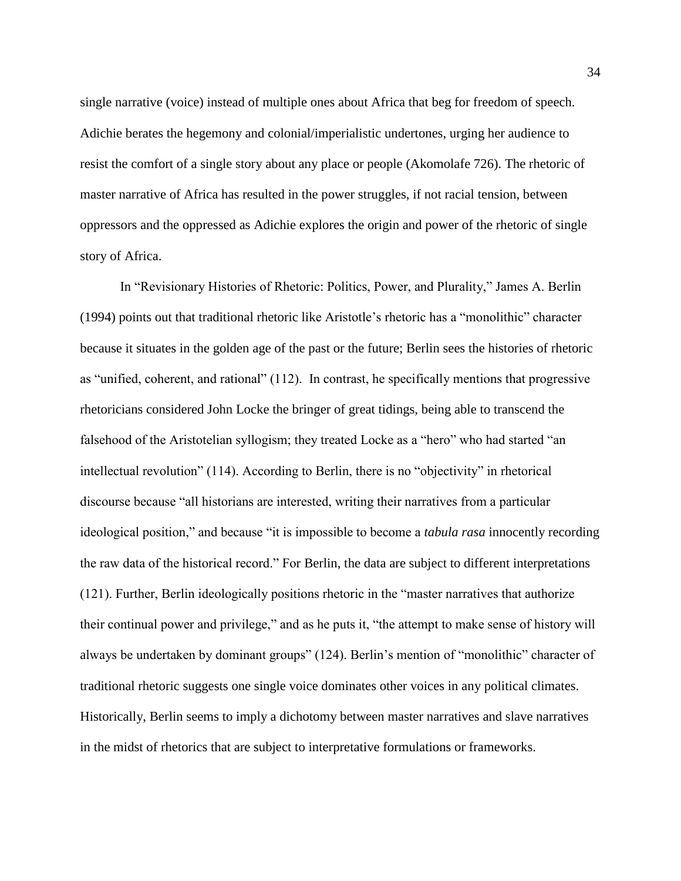single narrative (voice) instead of multiple ones about Africa that beg for freedom of speech. Adichie berates the hegemony and colonial/imperialistic undertones, urging her audience to resist the comfort of a single story about any place or people (Akomolafe 726). The rhetoric of master narrative of Africa has resulted in the power struggles, if not racial tension, between oppressors and the oppressed as Adichie explores the origin and power of the rhetoric of single story of Africa.

In "Revisionary Histories of Rhetoric: Politics, Power, and Plurality," James A. Berlin (1994) points out that traditional rhetoric like Aristotle's rhetoric has a "monolithic" character because it situates in the golden age of the past or the future; Berlin sees the histories of rhetoric as "unified, coherent, and rational" (112). In contrast, he specifically mentions that progressive rhetoricians considered John Locke the bringer of great tidings, being able to transcend the falsehood of the Aristotelian syllogism; they treated Locke as a "hero" who had started "an intellectual revolution" (114). According to Berlin, there is no "objectivity" in rhetorical discourse because "all historians are interested, writing their narratives from a particular ideological position," and because "it is impossible to become a *tabula rasa* innocently recording the raw data of the historical record." For Berlin, the data are subject to different interpretations (121). Further, Berlin ideologically positions rhetoric in the "master narratives that authorize their continual power and privilege," and as he puts it, "the attempt to make sense of history will always be undertaken by dominant groups" (124). Berlin's mention of "monolithic" character of traditional rhetoric suggests one single voice dominates other voices in any political climates. Historically, Berlin seems to imply a dichotomy between master narratives and slave narratives in the midst of rhetorics that are subject to interpretative formulations or frameworks.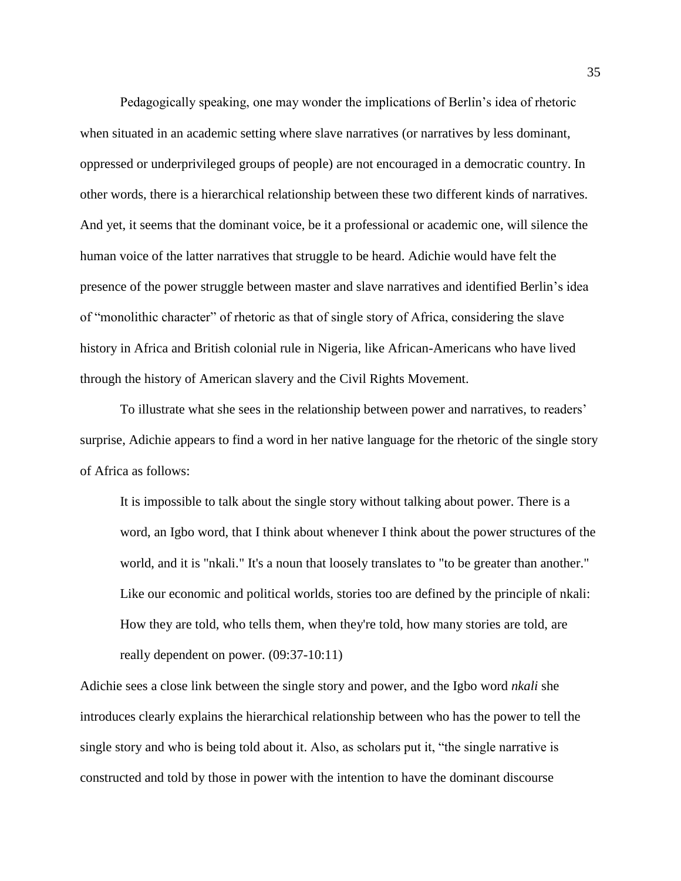Pedagogically speaking, one may wonder the implications of Berlin's idea of rhetoric when situated in an academic setting where slave narratives (or narratives by less dominant, oppressed or underprivileged groups of people) are not encouraged in a democratic country. In other words, there is a hierarchical relationship between these two different kinds of narratives. And yet, it seems that the dominant voice, be it a professional or academic one, will silence the human voice of the latter narratives that struggle to be heard. Adichie would have felt the presence of the power struggle between master and slave narratives and identified Berlin's idea of "monolithic character" of rhetoric as that of single story of Africa, considering the slave history in Africa and British colonial rule in Nigeria, like African-Americans who have lived through the history of American slavery and the Civil Rights Movement.

To illustrate what she sees in the relationship between power and narratives, to readers' surprise, Adichie appears to find a word in her native language for the rhetoric of the single story of Africa as follows:

It is impossible to talk about the single story without talking about power. There is a word, an Igbo word, that I think about whenever I think about the power structures of the world, and it is "nkali." It's a noun that loosely translates to "to be greater than another." Like our economic and political worlds, stories too are defined by the principle of nkali: How they are told, who tells them, when they're told, how many stories are told, are really dependent on power. (09:37-10:11)

Adichie sees a close link between the single story and power, and the Igbo word *nkali* she introduces clearly explains the hierarchical relationship between who has the power to tell the single story and who is being told about it. Also, as scholars put it, "the single narrative is constructed and told by those in power with the intention to have the dominant discourse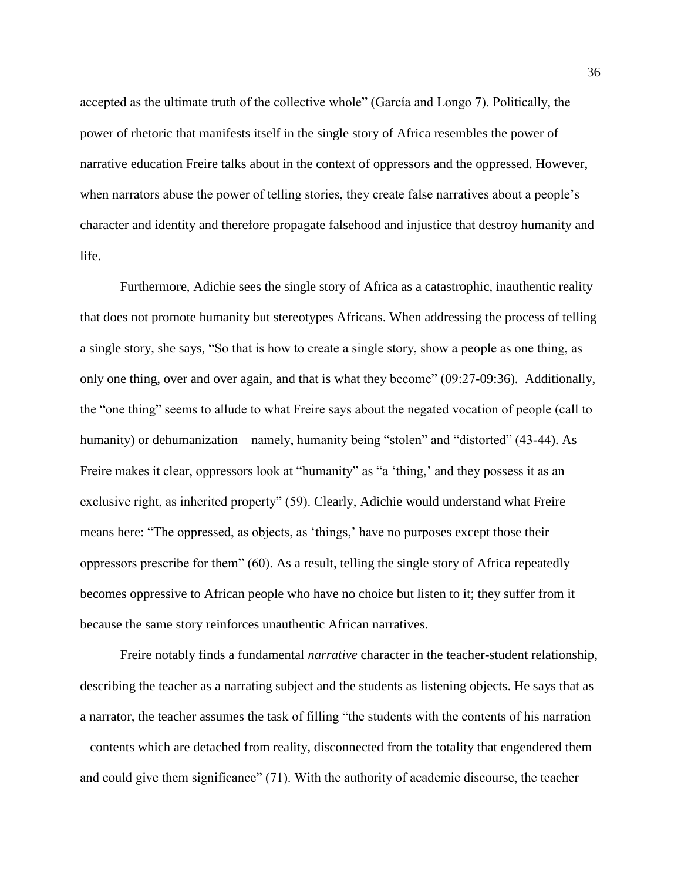accepted as the ultimate truth of the collective whole" (García and Longo 7). Politically, the power of rhetoric that manifests itself in the single story of Africa resembles the power of narrative education Freire talks about in the context of oppressors and the oppressed. However, when narrators abuse the power of telling stories, they create false narratives about a people's character and identity and therefore propagate falsehood and injustice that destroy humanity and life.

Furthermore, Adichie sees the single story of Africa as a catastrophic, inauthentic reality that does not promote humanity but stereotypes Africans. When addressing the process of telling a single story, she says, "So that is how to create a single story, show a people as one thing, as only one thing, over and over again, and that is what they become" (09:27-09:36). Additionally, the "one thing" seems to allude to what Freire says about the negated vocation of people (call to humanity) or dehumanization – namely, humanity being "stolen" and "distorted" (43-44). As Freire makes it clear, oppressors look at "humanity" as "a 'thing,' and they possess it as an exclusive right, as inherited property" (59). Clearly, Adichie would understand what Freire means here: "The oppressed, as objects, as 'things,' have no purposes except those their oppressors prescribe for them" (60). As a result, telling the single story of Africa repeatedly becomes oppressive to African people who have no choice but listen to it; they suffer from it because the same story reinforces unauthentic African narratives.

Freire notably finds a fundamental *narrative* character in the teacher-student relationship, describing the teacher as a narrating subject and the students as listening objects. He says that as a narrator, the teacher assumes the task of filling "the students with the contents of his narration – contents which are detached from reality, disconnected from the totality that engendered them and could give them significance" (71). With the authority of academic discourse, the teacher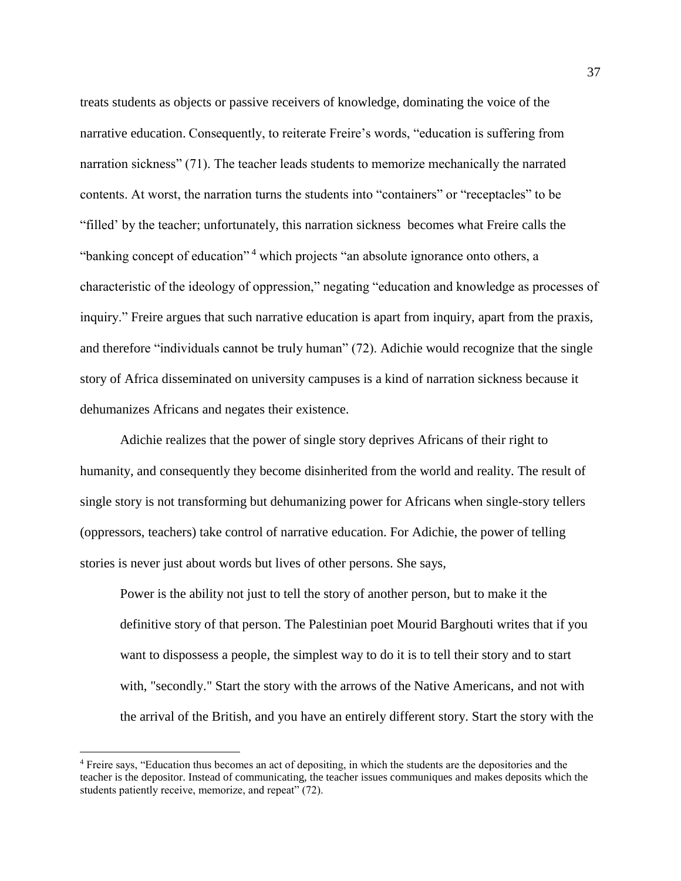treats students as objects or passive receivers of knowledge, dominating the voice of the narrative education. Consequently, to reiterate Freire's words, "education is suffering from narration sickness" (71). The teacher leads students to memorize mechanically the narrated contents. At worst, the narration turns the students into "containers" or "receptacles" to be "filled' by the teacher; unfortunately, this narration sickness becomes what Freire calls the "banking concept of education"<sup>4</sup> which projects "an absolute ignorance onto others, a characteristic of the ideology of oppression," negating "education and knowledge as processes of inquiry." Freire argues that such narrative education is apart from inquiry, apart from the praxis, and therefore "individuals cannot be truly human" (72). Adichie would recognize that the single story of Africa disseminated on university campuses is a kind of narration sickness because it dehumanizes Africans and negates their existence.

Adichie realizes that the power of single story deprives Africans of their right to humanity, and consequently they become disinherited from the world and reality. The result of single story is not transforming but dehumanizing power for Africans when single-story tellers (oppressors, teachers) take control of narrative education. For Adichie, the power of telling stories is never just about words but lives of other persons. She says,

Power is the ability not just to tell the story of another person, but to make it the definitive story of that person. The Palestinian poet Mourid Barghouti writes that if you want to dispossess a people, the simplest way to do it is to tell their story and to start with, "secondly." Start the story with the arrows of the Native Americans, and not with the arrival of the British, and you have an entirely different story. Start the story with the

l

<sup>4</sup> Freire says, "Education thus becomes an act of depositing, in which the students are the depositories and the teacher is the depositor. Instead of communicating, the teacher issues communiques and makes deposits which the students patiently receive, memorize, and repeat" (72).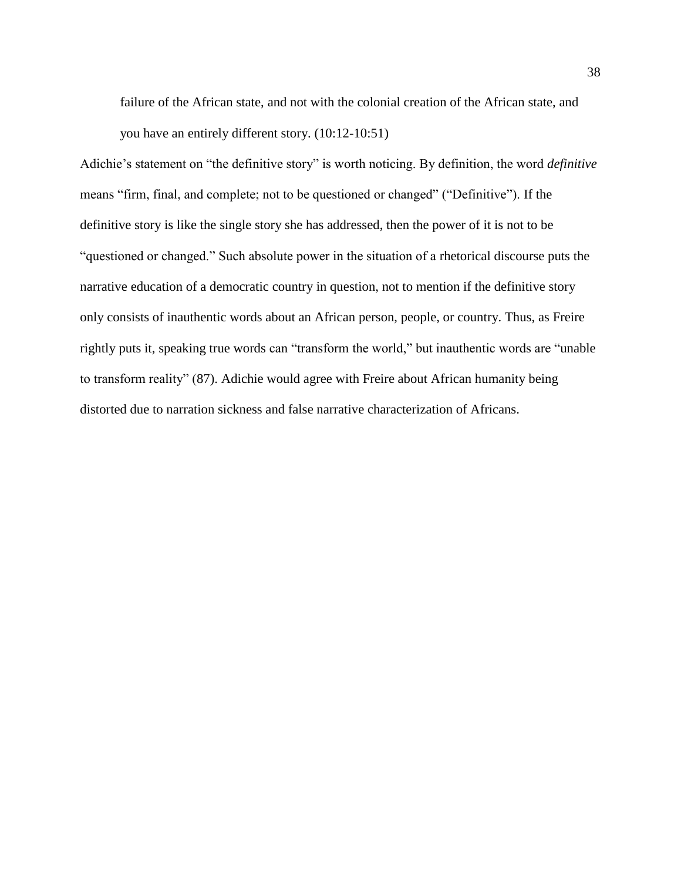failure of the African state, and not with the colonial creation of the African state, and you have an entirely different story. (10:12-10:51)

Adichie's statement on "the definitive story" is worth noticing. By definition, the word *definitive* means "firm, final, and complete; not to be questioned or changed" ("Definitive"). If the definitive story is like the single story she has addressed, then the power of it is not to be "questioned or changed." Such absolute power in the situation of a rhetorical discourse puts the narrative education of a democratic country in question, not to mention if the definitive story only consists of inauthentic words about an African person, people, or country. Thus, as Freire rightly puts it, speaking true words can "transform the world," but inauthentic words are "unable to transform reality" (87). Adichie would agree with Freire about African humanity being distorted due to narration sickness and false narrative characterization of Africans.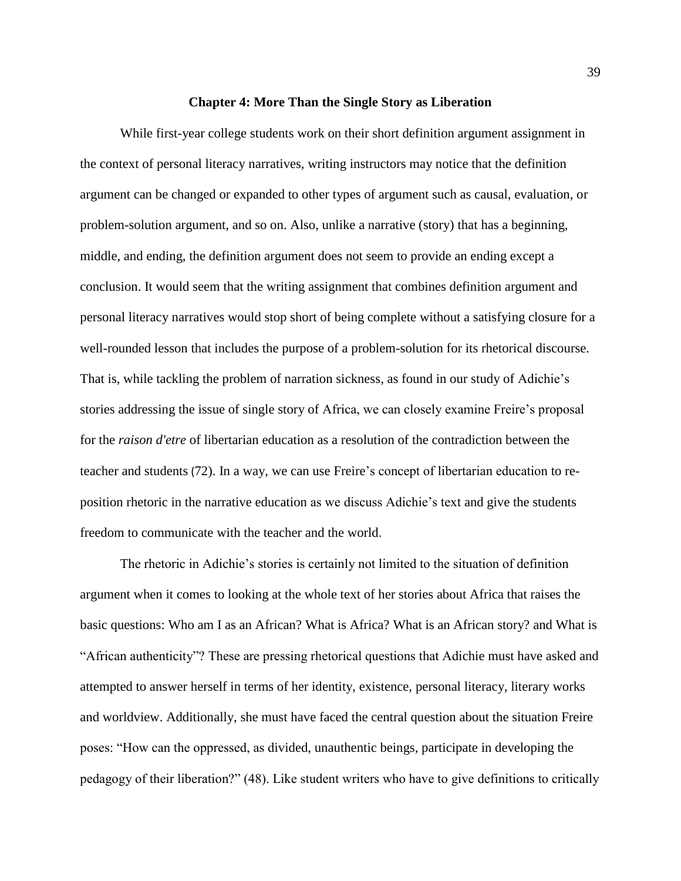#### **Chapter 4: More Than the Single Story as Liberation**

While first-year college students work on their short definition argument assignment in the context of personal literacy narratives, writing instructors may notice that the definition argument can be changed or expanded to other types of argument such as causal, evaluation, or problem-solution argument, and so on. Also, unlike a narrative (story) that has a beginning, middle, and ending, the definition argument does not seem to provide an ending except a conclusion. It would seem that the writing assignment that combines definition argument and personal literacy narratives would stop short of being complete without a satisfying closure for a well-rounded lesson that includes the purpose of a problem-solution for its rhetorical discourse. That is, while tackling the problem of narration sickness, as found in our study of Adichie's stories addressing the issue of single story of Africa, we can closely examine Freire's proposal for the *raison d'etre* of libertarian education as a resolution of the contradiction between the teacher and students (72). In a way, we can use Freire's concept of libertarian education to reposition rhetoric in the narrative education as we discuss Adichie's text and give the students freedom to communicate with the teacher and the world.

The rhetoric in Adichie's stories is certainly not limited to the situation of definition argument when it comes to looking at the whole text of her stories about Africa that raises the basic questions: Who am I as an African? What is Africa? What is an African story? and What is "African authenticity"? These are pressing rhetorical questions that Adichie must have asked and attempted to answer herself in terms of her identity, existence, personal literacy, literary works and worldview. Additionally, she must have faced the central question about the situation Freire poses: "How can the oppressed, as divided, unauthentic beings, participate in developing the pedagogy of their liberation?" (48). Like student writers who have to give definitions to critically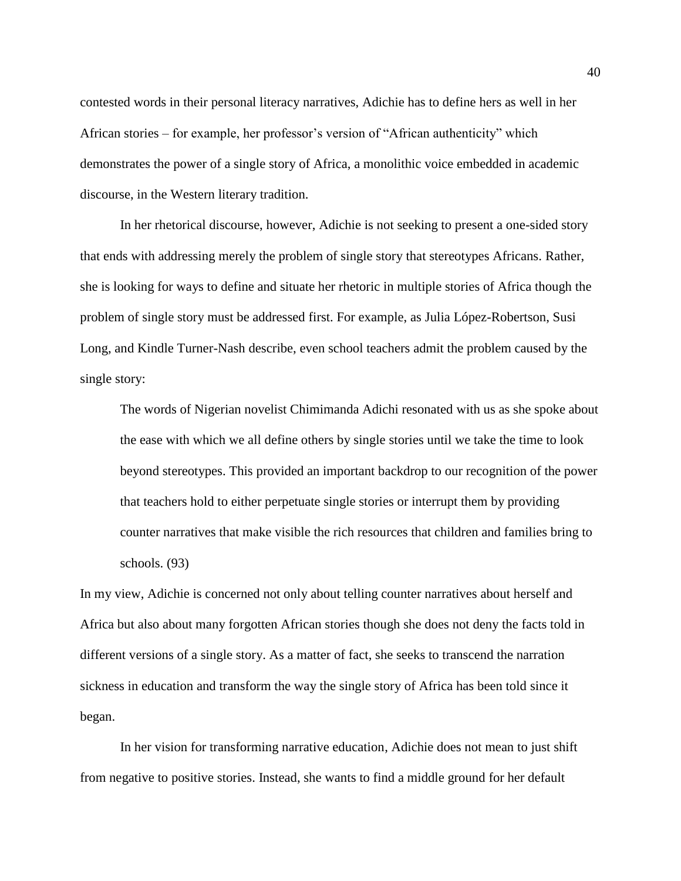contested words in their personal literacy narratives, Adichie has to define hers as well in her African stories – for example, her professor's version of "African authenticity" which demonstrates the power of a single story of Africa, a monolithic voice embedded in academic discourse, in the Western literary tradition.

In her rhetorical discourse, however, Adichie is not seeking to present a one-sided story that ends with addressing merely the problem of single story that stereotypes Africans. Rather, she is looking for ways to define and situate her rhetoric in multiple stories of Africa though the problem of single story must be addressed first. For example, as Julia López-Robertson, Susi Long, and Kindle Turner-Nash describe, even school teachers admit the problem caused by the single story:

The words of Nigerian novelist Chimimanda Adichi resonated with us as she spoke about the ease with which we all define others by single stories until we take the time to look beyond stereotypes. This provided an important backdrop to our recognition of the power that teachers hold to either perpetuate single stories or interrupt them by providing counter narratives that make visible the rich resources that children and families bring to schools. (93)

In my view, Adichie is concerned not only about telling counter narratives about herself and Africa but also about many forgotten African stories though she does not deny the facts told in different versions of a single story. As a matter of fact, she seeks to transcend the narration sickness in education and transform the way the single story of Africa has been told since it began.

In her vision for transforming narrative education, Adichie does not mean to just shift from negative to positive stories. Instead, she wants to find a middle ground for her default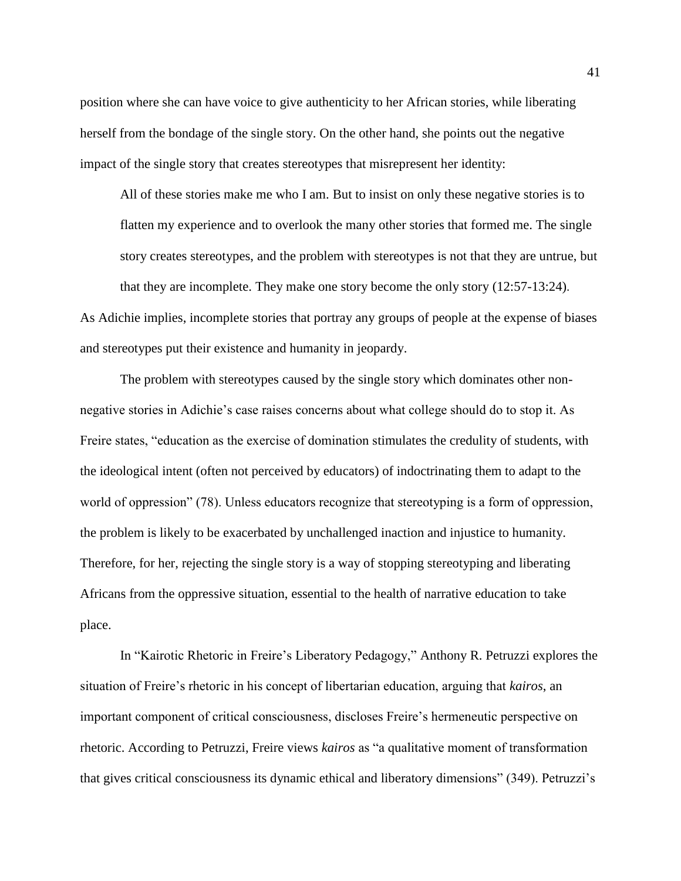position where she can have voice to give authenticity to her African stories, while liberating herself from the bondage of the single story. On the other hand, she points out the negative impact of the single story that creates stereotypes that misrepresent her identity:

All of these stories make me who I am. But to insist on only these negative stories is to flatten my experience and to overlook the many other stories that formed me. The single story creates stereotypes, and the problem with stereotypes is not that they are untrue, but that they are incomplete. They make one story become the only story (12:57-13:24).

As Adichie implies, incomplete stories that portray any groups of people at the expense of biases and stereotypes put their existence and humanity in jeopardy.

The problem with stereotypes caused by the single story which dominates other nonnegative stories in Adichie's case raises concerns about what college should do to stop it. As Freire states, "education as the exercise of domination stimulates the credulity of students, with the ideological intent (often not perceived by educators) of indoctrinating them to adapt to the world of oppression" (78). Unless educators recognize that stereotyping is a form of oppression, the problem is likely to be exacerbated by unchallenged inaction and injustice to humanity. Therefore, for her, rejecting the single story is a way of stopping stereotyping and liberating Africans from the oppressive situation, essential to the health of narrative education to take place.

In "Kairotic Rhetoric in Freire's Liberatory Pedagogy," Anthony R. Petruzzi explores the situation of Freire's rhetoric in his concept of libertarian education, arguing that *kairos*, an important component of critical consciousness, discloses Freire's hermeneutic perspective on rhetoric. According to Petruzzi, Freire views *kairos* as "a qualitative moment of transformation that gives critical consciousness its dynamic ethical and liberatory dimensions" (349). Petruzzi's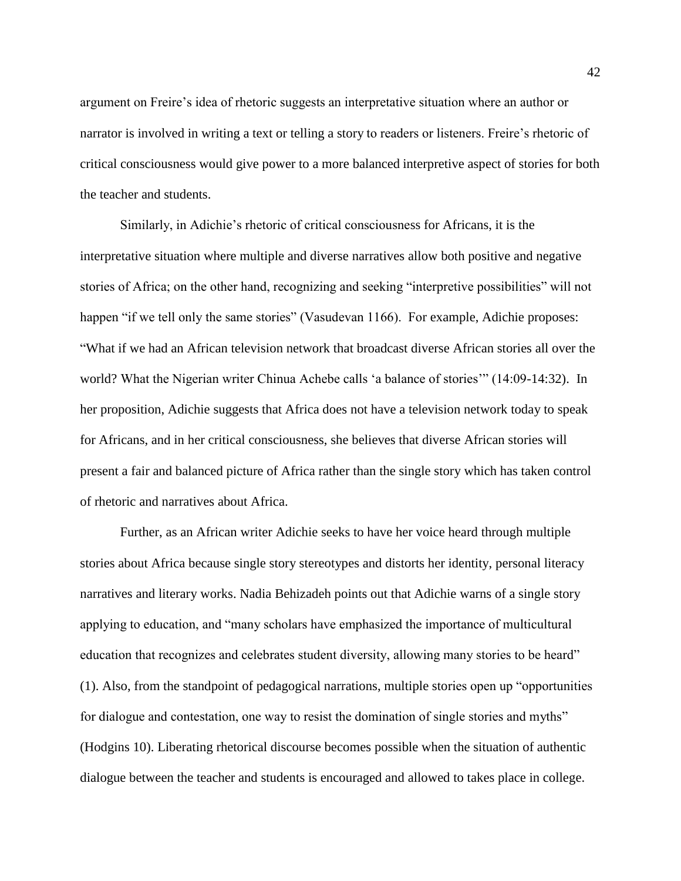argument on Freire's idea of rhetoric suggests an interpretative situation where an author or narrator is involved in writing a text or telling a story to readers or listeners. Freire's rhetoric of critical consciousness would give power to a more balanced interpretive aspect of stories for both the teacher and students.

Similarly, in Adichie's rhetoric of critical consciousness for Africans, it is the interpretative situation where multiple and diverse narratives allow both positive and negative stories of Africa; on the other hand, recognizing and seeking "interpretive possibilities" will not happen "if we tell only the same stories" (Vasudevan 1166). For example, Adichie proposes: "What if we had an African television network that broadcast diverse African stories all over the world? What the Nigerian writer Chinua Achebe calls 'a balance of stories'" (14:09-14:32). In her proposition, Adichie suggests that Africa does not have a television network today to speak for Africans, and in her critical consciousness, she believes that diverse African stories will present a fair and balanced picture of Africa rather than the single story which has taken control of rhetoric and narratives about Africa.

Further, as an African writer Adichie seeks to have her voice heard through multiple stories about Africa because single story stereotypes and distorts her identity, personal literacy narratives and literary works. Nadia Behizadeh points out that Adichie warns of a single story applying to education, and "many scholars have emphasized the importance of multicultural education that recognizes and celebrates student diversity, allowing many stories to be heard" (1). Also, from the standpoint of pedagogical narrations, multiple stories open up "opportunities for dialogue and contestation, one way to resist the domination of single stories and myths" (Hodgins 10). Liberating rhetorical discourse becomes possible when the situation of authentic dialogue between the teacher and students is encouraged and allowed to takes place in college.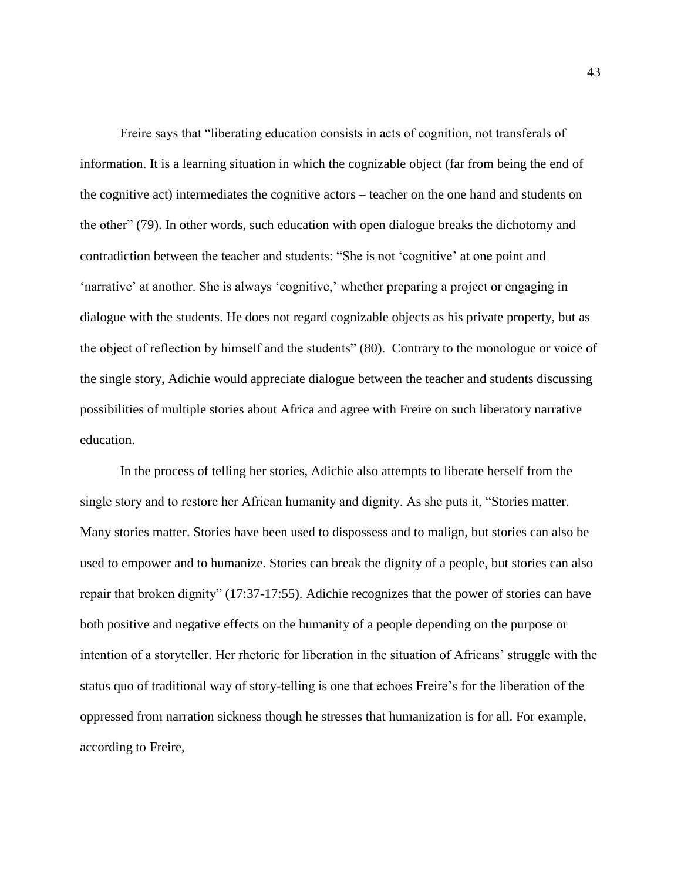Freire says that "liberating education consists in acts of cognition, not transferals of information. It is a learning situation in which the cognizable object (far from being the end of the cognitive act) intermediates the cognitive actors – teacher on the one hand and students on the other" (79). In other words, such education with open dialogue breaks the dichotomy and contradiction between the teacher and students: "She is not 'cognitive' at one point and 'narrative' at another. She is always 'cognitive,' whether preparing a project or engaging in dialogue with the students. He does not regard cognizable objects as his private property, but as the object of reflection by himself and the students" (80). Contrary to the monologue or voice of the single story, Adichie would appreciate dialogue between the teacher and students discussing possibilities of multiple stories about Africa and agree with Freire on such liberatory narrative education.

In the process of telling her stories, Adichie also attempts to liberate herself from the single story and to restore her African humanity and dignity. As she puts it, "Stories matter. Many stories matter. Stories have been used to dispossess and to malign, but stories can also be used to empower and to humanize. Stories can break the dignity of a people, but stories can also repair that broken dignity" (17:37-17:55). Adichie recognizes that the power of stories can have both positive and negative effects on the humanity of a people depending on the purpose or intention of a storyteller. Her rhetoric for liberation in the situation of Africans' struggle with the status quo of traditional way of story-telling is one that echoes Freire's for the liberation of the oppressed from narration sickness though he stresses that humanization is for all. For example, according to Freire,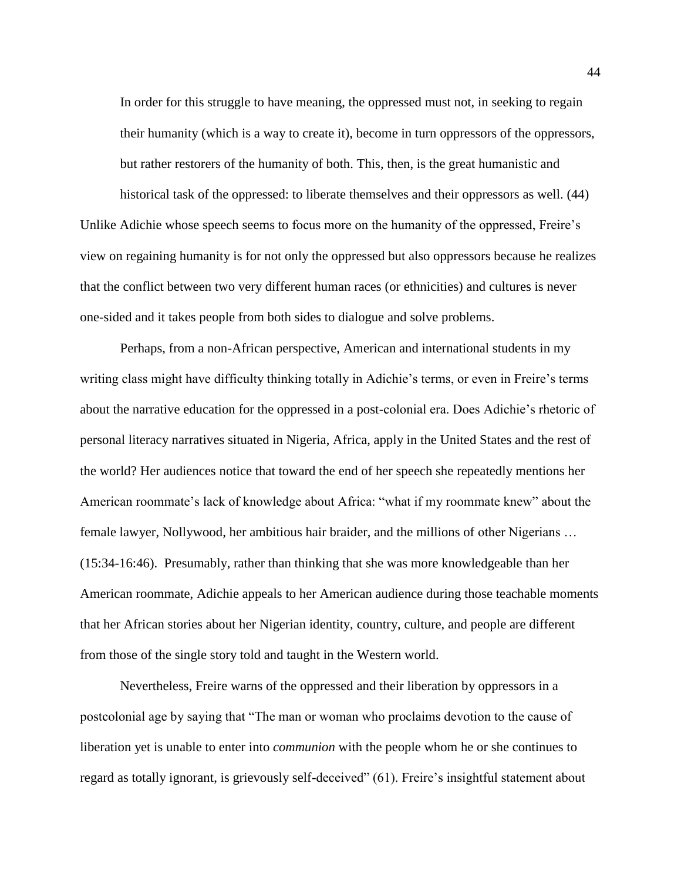In order for this struggle to have meaning, the oppressed must not, in seeking to regain their humanity (which is a way to create it), become in turn oppressors of the oppressors, but rather restorers of the humanity of both. This, then, is the great humanistic and

historical task of the oppressed: to liberate themselves and their oppressors as well. (44) Unlike Adichie whose speech seems to focus more on the humanity of the oppressed, Freire's view on regaining humanity is for not only the oppressed but also oppressors because he realizes that the conflict between two very different human races (or ethnicities) and cultures is never one-sided and it takes people from both sides to dialogue and solve problems.

Perhaps, from a non-African perspective, American and international students in my writing class might have difficulty thinking totally in Adichie's terms, or even in Freire's terms about the narrative education for the oppressed in a post-colonial era. Does Adichie's rhetoric of personal literacy narratives situated in Nigeria, Africa, apply in the United States and the rest of the world? Her audiences notice that toward the end of her speech she repeatedly mentions her American roommate's lack of knowledge about Africa: "what if my roommate knew" about the female lawyer, Nollywood, her ambitious hair braider, and the millions of other Nigerians … (15:34-16:46). Presumably, rather than thinking that she was more knowledgeable than her American roommate, Adichie appeals to her American audience during those teachable moments that her African stories about her Nigerian identity, country, culture, and people are different from those of the single story told and taught in the Western world.

Nevertheless, Freire warns of the oppressed and their liberation by oppressors in a postcolonial age by saying that "The man or woman who proclaims devotion to the cause of liberation yet is unable to enter into *communion* with the people whom he or she continues to regard as totally ignorant, is grievously self-deceived" (61). Freire's insightful statement about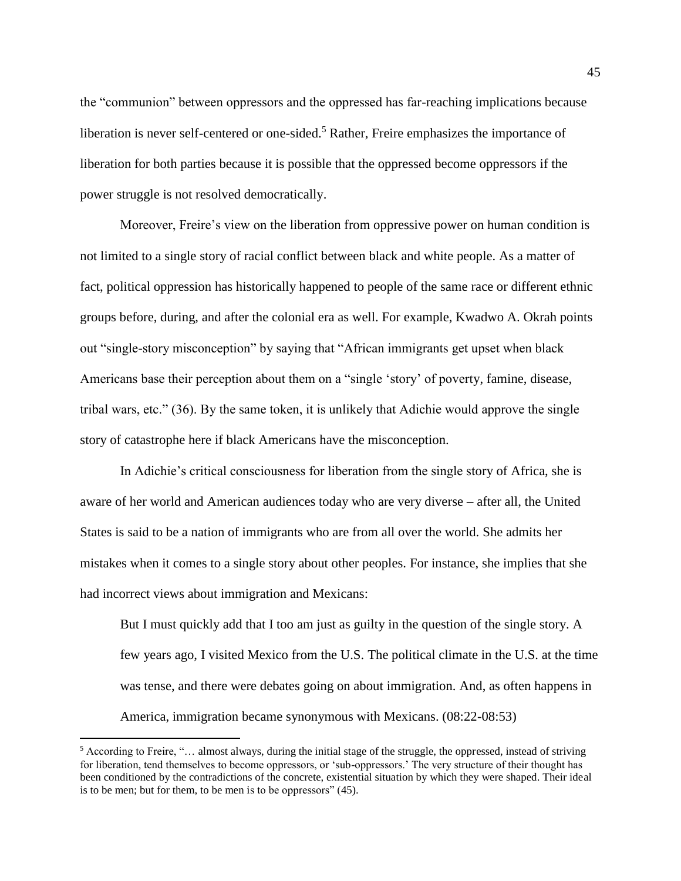the "communion" between oppressors and the oppressed has far-reaching implications because liberation is never self-centered or one-sided.<sup>5</sup> Rather, Freire emphasizes the importance of liberation for both parties because it is possible that the oppressed become oppressors if the power struggle is not resolved democratically.

Moreover, Freire's view on the liberation from oppressive power on human condition is not limited to a single story of racial conflict between black and white people. As a matter of fact, political oppression has historically happened to people of the same race or different ethnic groups before, during, and after the colonial era as well. For example, Kwadwo A. Okrah points out "single-story misconception" by saying that "African immigrants get upset when black Americans base their perception about them on a "single 'story' of poverty, famine, disease, tribal wars, etc." (36). By the same token, it is unlikely that Adichie would approve the single story of catastrophe here if black Americans have the misconception.

In Adichie's critical consciousness for liberation from the single story of Africa, she is aware of her world and American audiences today who are very diverse – after all, the United States is said to be a nation of immigrants who are from all over the world. She admits her mistakes when it comes to a single story about other peoples. For instance, she implies that she had incorrect views about immigration and Mexicans:

But I must quickly add that I too am just as guilty in the question of the single story. A few years ago, I visited Mexico from the U.S. The political climate in the U.S. at the time was tense, and there were debates going on about immigration. And, as often happens in America, immigration became synonymous with Mexicans. (08:22-08:53)

 $\overline{\phantom{a}}$ 

<sup>5</sup> According to Freire, "… almost always, during the initial stage of the struggle, the oppressed, instead of striving for liberation, tend themselves to become oppressors, or 'sub-oppressors.' The very structure of their thought has been conditioned by the contradictions of the concrete, existential situation by which they were shaped. Their ideal is to be men; but for them, to be men is to be oppressors" (45).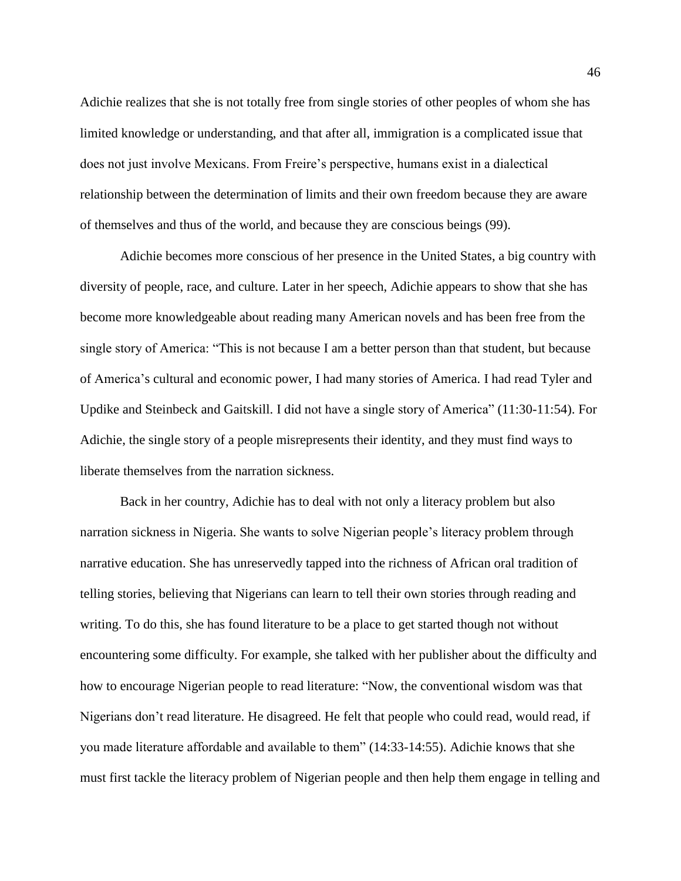Adichie realizes that she is not totally free from single stories of other peoples of whom she has limited knowledge or understanding, and that after all, immigration is a complicated issue that does not just involve Mexicans. From Freire's perspective, humans exist in a dialectical relationship between the determination of limits and their own freedom because they are aware of themselves and thus of the world, and because they are conscious beings (99).

Adichie becomes more conscious of her presence in the United States, a big country with diversity of people, race, and culture. Later in her speech, Adichie appears to show that she has become more knowledgeable about reading many American novels and has been free from the single story of America: "This is not because I am a better person than that student, but because of America's cultural and economic power, I had many stories of America. I had read Tyler and Updike and Steinbeck and Gaitskill. I did not have a single story of America" (11:30-11:54). For Adichie, the single story of a people misrepresents their identity, and they must find ways to liberate themselves from the narration sickness.

Back in her country, Adichie has to deal with not only a literacy problem but also narration sickness in Nigeria. She wants to solve Nigerian people's literacy problem through narrative education. She has unreservedly tapped into the richness of African oral tradition of telling stories, believing that Nigerians can learn to tell their own stories through reading and writing. To do this, she has found literature to be a place to get started though not without encountering some difficulty. For example, she talked with her publisher about the difficulty and how to encourage Nigerian people to read literature: "Now, the conventional wisdom was that Nigerians don't read literature. He disagreed. He felt that people who could read, would read, if you made literature affordable and available to them" (14:33-14:55). Adichie knows that she must first tackle the literacy problem of Nigerian people and then help them engage in telling and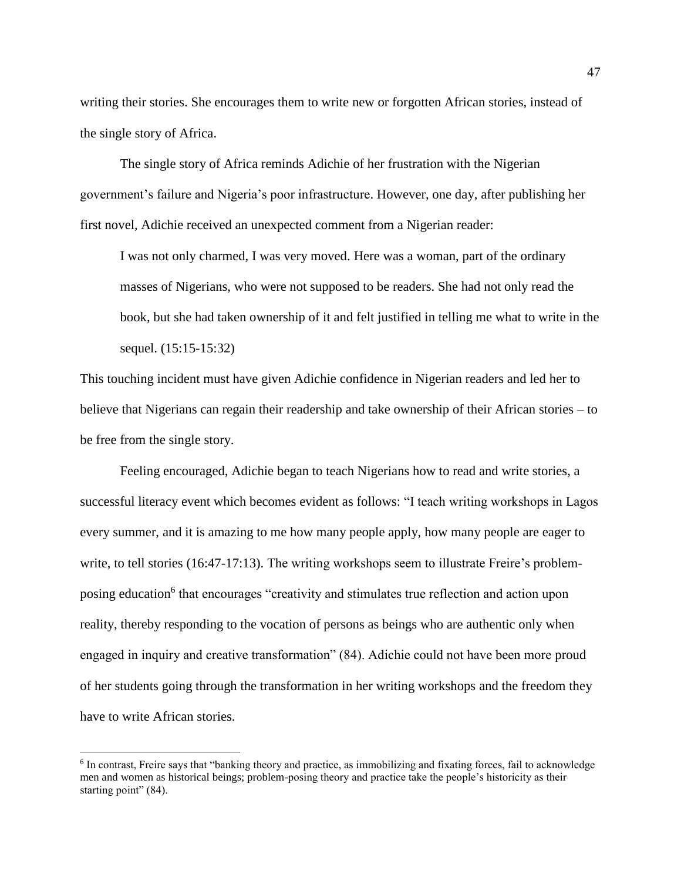writing their stories. She encourages them to write new or forgotten African stories, instead of the single story of Africa.

The single story of Africa reminds Adichie of her frustration with the Nigerian government's failure and Nigeria's poor infrastructure. However, one day, after publishing her first novel, Adichie received an unexpected comment from a Nigerian reader:

I was not only charmed, I was very moved. Here was a woman, part of the ordinary masses of Nigerians, who were not supposed to be readers. She had not only read the book, but she had taken ownership of it and felt justified in telling me what to write in the sequel. (15:15-15:32)

This touching incident must have given Adichie confidence in Nigerian readers and led her to believe that Nigerians can regain their readership and take ownership of their African stories – to be free from the single story.

Feeling encouraged, Adichie began to teach Nigerians how to read and write stories, a successful literacy event which becomes evident as follows: "I teach writing workshops in Lagos every summer, and it is amazing to me how many people apply, how many people are eager to write, to tell stories (16:47-17:13). The writing workshops seem to illustrate Freire's problemposing education<sup>6</sup> that encourages "creativity and stimulates true reflection and action upon reality, thereby responding to the vocation of persons as beings who are authentic only when engaged in inquiry and creative transformation" (84). Adichie could not have been more proud of her students going through the transformation in her writing workshops and the freedom they have to write African stories.

l

<sup>&</sup>lt;sup>6</sup> In contrast, Freire says that "banking theory and practice, as immobilizing and fixating forces, fail to acknowledge men and women as historical beings; problem-posing theory and practice take the people's historicity as their starting point" (84).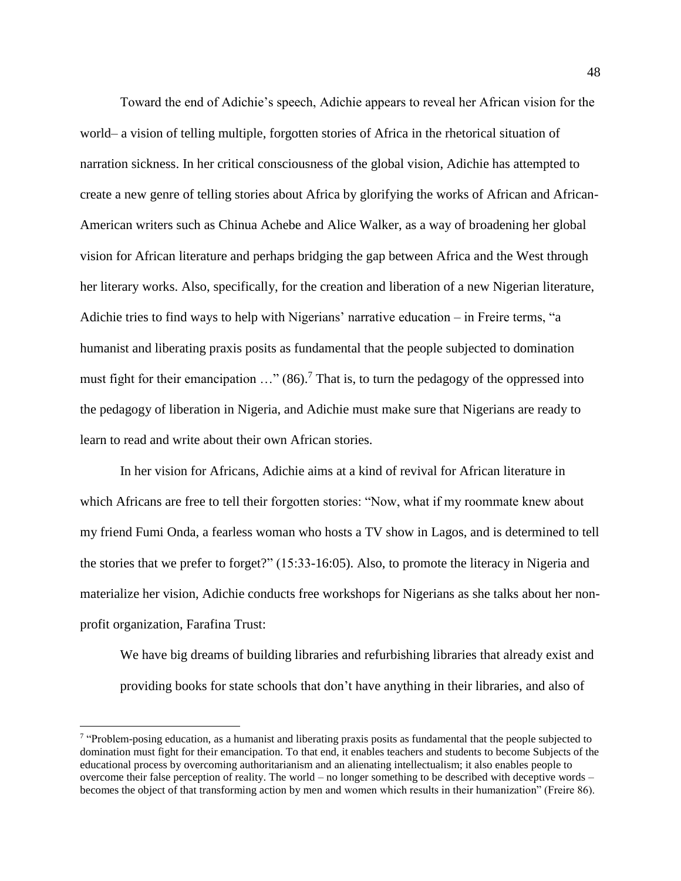Toward the end of Adichie's speech, Adichie appears to reveal her African vision for the world– a vision of telling multiple, forgotten stories of Africa in the rhetorical situation of narration sickness. In her critical consciousness of the global vision, Adichie has attempted to create a new genre of telling stories about Africa by glorifying the works of African and African-American writers such as Chinua Achebe and Alice Walker, as a way of broadening her global vision for African literature and perhaps bridging the gap between Africa and the West through her literary works. Also, specifically, for the creation and liberation of a new Nigerian literature, Adichie tries to find ways to help with Nigerians' narrative education – in Freire terms, "a humanist and liberating praxis posits as fundamental that the people subjected to domination must fight for their emancipation  $\ldots$ " (86).<sup>7</sup> That is, to turn the pedagogy of the oppressed into the pedagogy of liberation in Nigeria, and Adichie must make sure that Nigerians are ready to learn to read and write about their own African stories.

In her vision for Africans, Adichie aims at a kind of revival for African literature in which Africans are free to tell their forgotten stories: "Now, what if my roommate knew about my friend Fumi Onda, a fearless woman who hosts a TV show in Lagos, and is determined to tell the stories that we prefer to forget?" (15:33-16:05). Also, to promote the literacy in Nigeria and materialize her vision, Adichie conducts free workshops for Nigerians as she talks about her nonprofit organization, Farafina Trust:

We have big dreams of building libraries and refurbishing libraries that already exist and providing books for state schools that don't have anything in their libraries, and also of

 $\overline{\phantom{a}}$ 

<sup>&</sup>lt;sup>7</sup> "Problem-posing education, as a humanist and liberating praxis posits as fundamental that the people subjected to domination must fight for their emancipation. To that end, it enables teachers and students to become Subjects of the educational process by overcoming authoritarianism and an alienating intellectualism; it also enables people to overcome their false perception of reality. The world – no longer something to be described with deceptive words – becomes the object of that transforming action by men and women which results in their humanization" (Freire 86).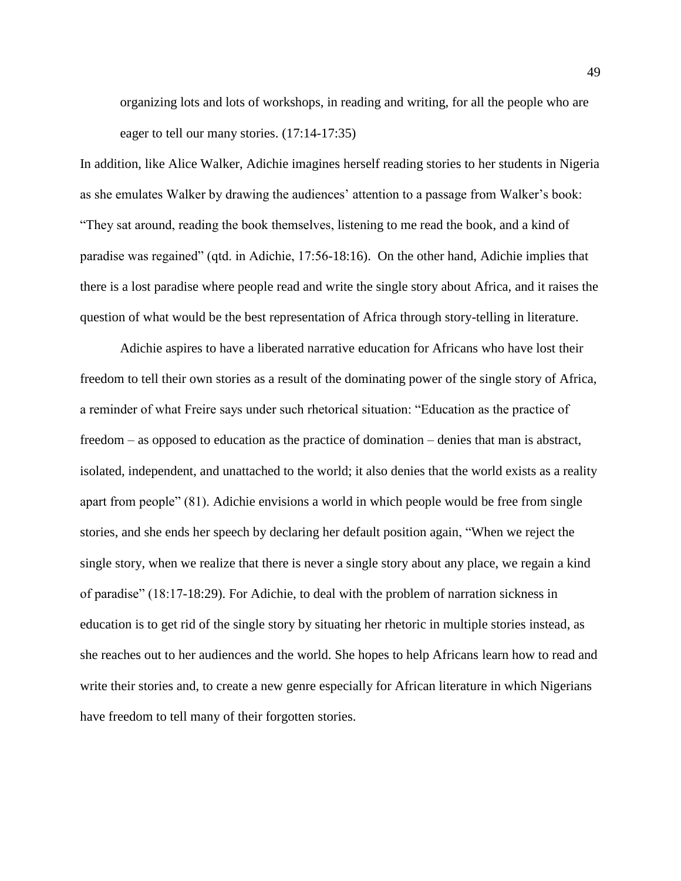organizing lots and lots of workshops, in reading and writing, for all the people who are eager to tell our many stories. (17:14-17:35)

In addition, like Alice Walker, Adichie imagines herself reading stories to her students in Nigeria as she emulates Walker by drawing the audiences' attention to a passage from Walker's book: "They sat around, reading the book themselves, listening to me read the book, and a kind of paradise was regained" (qtd. in Adichie, 17:56-18:16). On the other hand, Adichie implies that there is a lost paradise where people read and write the single story about Africa, and it raises the question of what would be the best representation of Africa through story-telling in literature.

Adichie aspires to have a liberated narrative education for Africans who have lost their freedom to tell their own stories as a result of the dominating power of the single story of Africa, a reminder of what Freire says under such rhetorical situation: "Education as the practice of freedom – as opposed to education as the practice of domination – denies that man is abstract, isolated, independent, and unattached to the world; it also denies that the world exists as a reality apart from people" (81). Adichie envisions a world in which people would be free from single stories, and she ends her speech by declaring her default position again, "When we reject the single story, when we realize that there is never a single story about any place, we regain a kind of paradise" (18:17-18:29). For Adichie, to deal with the problem of narration sickness in education is to get rid of the single story by situating her rhetoric in multiple stories instead, as she reaches out to her audiences and the world. She hopes to help Africans learn how to read and write their stories and, to create a new genre especially for African literature in which Nigerians have freedom to tell many of their forgotten stories.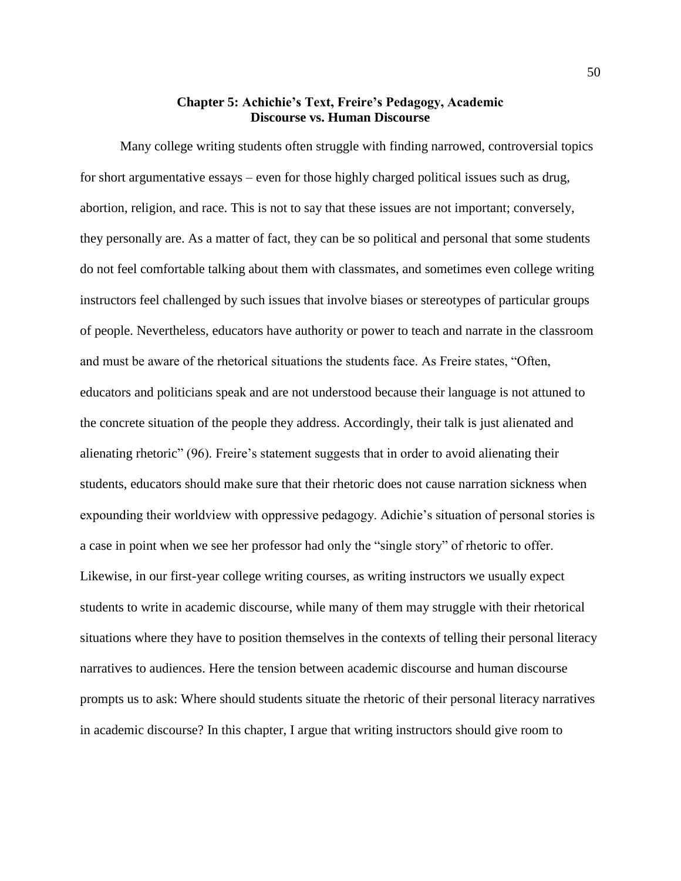### **Chapter 5: Achichie's Text, Freire's Pedagogy, Academic Discourse vs. Human Discourse**

Many college writing students often struggle with finding narrowed, controversial topics for short argumentative essays – even for those highly charged political issues such as drug, abortion, religion, and race. This is not to say that these issues are not important; conversely, they personally are. As a matter of fact, they can be so political and personal that some students do not feel comfortable talking about them with classmates, and sometimes even college writing instructors feel challenged by such issues that involve biases or stereotypes of particular groups of people. Nevertheless, educators have authority or power to teach and narrate in the classroom and must be aware of the rhetorical situations the students face. As Freire states, "Often, educators and politicians speak and are not understood because their language is not attuned to the concrete situation of the people they address. Accordingly, their talk is just alienated and alienating rhetoric" (96). Freire's statement suggests that in order to avoid alienating their students, educators should make sure that their rhetoric does not cause narration sickness when expounding their worldview with oppressive pedagogy. Adichie's situation of personal stories is a case in point when we see her professor had only the "single story" of rhetoric to offer. Likewise, in our first-year college writing courses, as writing instructors we usually expect students to write in academic discourse, while many of them may struggle with their rhetorical situations where they have to position themselves in the contexts of telling their personal literacy narratives to audiences. Here the tension between academic discourse and human discourse prompts us to ask: Where should students situate the rhetoric of their personal literacy narratives in academic discourse? In this chapter, I argue that writing instructors should give room to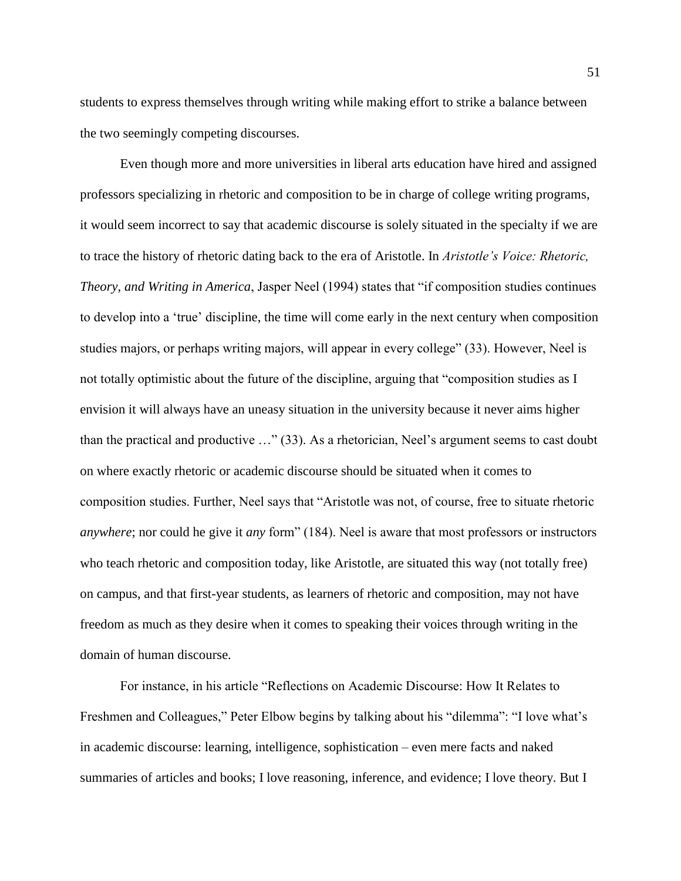students to express themselves through writing while making effort to strike a balance between the two seemingly competing discourses.

Even though more and more universities in liberal arts education have hired and assigned professors specializing in rhetoric and composition to be in charge of college writing programs, it would seem incorrect to say that academic discourse is solely situated in the specialty if we are to trace the history of rhetoric dating back to the era of Aristotle. In *Aristotle's Voice: Rhetoric, Theory, and Writing in America*, Jasper Neel (1994) states that "if composition studies continues to develop into a 'true' discipline, the time will come early in the next century when composition studies majors, or perhaps writing majors, will appear in every college" (33). However, Neel is not totally optimistic about the future of the discipline, arguing that "composition studies as I envision it will always have an uneasy situation in the university because it never aims higher than the practical and productive …" (33). As a rhetorician, Neel's argument seems to cast doubt on where exactly rhetoric or academic discourse should be situated when it comes to composition studies. Further, Neel says that "Aristotle was not, of course, free to situate rhetoric *anywhere*; nor could he give it *any* form" (184). Neel is aware that most professors or instructors who teach rhetoric and composition today, like Aristotle, are situated this way (not totally free) on campus, and that first-year students, as learners of rhetoric and composition, may not have freedom as much as they desire when it comes to speaking their voices through writing in the domain of human discourse.

For instance, in his article "Reflections on Academic Discourse: How It Relates to Freshmen and Colleagues," Peter Elbow begins by talking about his "dilemma": "I love what's in academic discourse: learning, intelligence, sophistication – even mere facts and naked summaries of articles and books; I love reasoning, inference, and evidence; I love theory. But I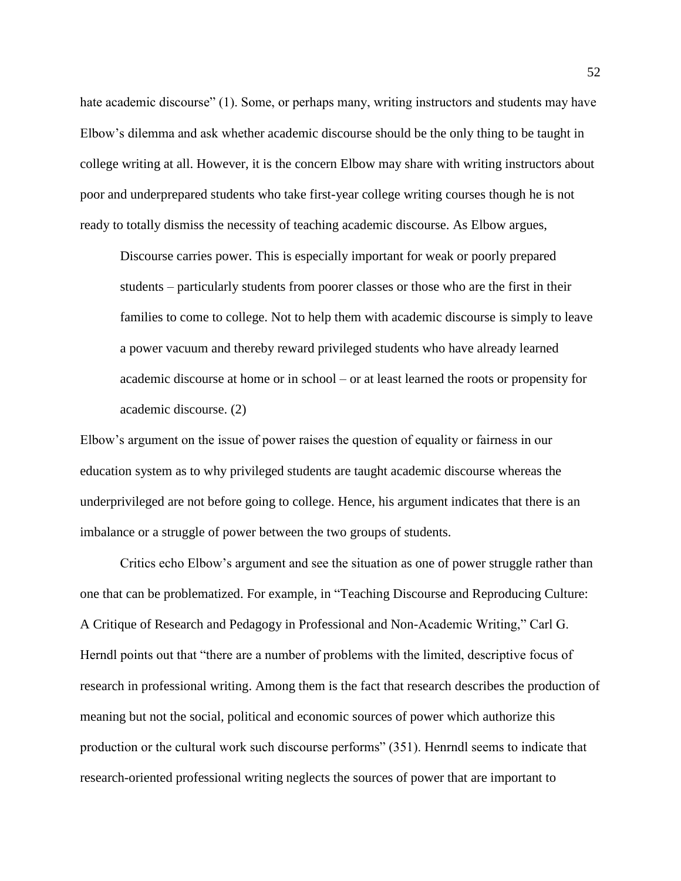hate academic discourse" (1). Some, or perhaps many, writing instructors and students may have Elbow's dilemma and ask whether academic discourse should be the only thing to be taught in college writing at all. However, it is the concern Elbow may share with writing instructors about poor and underprepared students who take first-year college writing courses though he is not ready to totally dismiss the necessity of teaching academic discourse. As Elbow argues,

Discourse carries power. This is especially important for weak or poorly prepared students – particularly students from poorer classes or those who are the first in their families to come to college. Not to help them with academic discourse is simply to leave a power vacuum and thereby reward privileged students who have already learned academic discourse at home or in school – or at least learned the roots or propensity for academic discourse. (2)

Elbow's argument on the issue of power raises the question of equality or fairness in our education system as to why privileged students are taught academic discourse whereas the underprivileged are not before going to college. Hence, his argument indicates that there is an imbalance or a struggle of power between the two groups of students.

Critics echo Elbow's argument and see the situation as one of power struggle rather than one that can be problematized. For example, in "Teaching Discourse and Reproducing Culture: A Critique of Research and Pedagogy in Professional and Non-Academic Writing," Carl G. Herndl points out that "there are a number of problems with the limited, descriptive focus of research in professional writing. Among them is the fact that research describes the production of meaning but not the social, political and economic sources of power which authorize this production or the cultural work such discourse performs" (351). Henrndl seems to indicate that research-oriented professional writing neglects the sources of power that are important to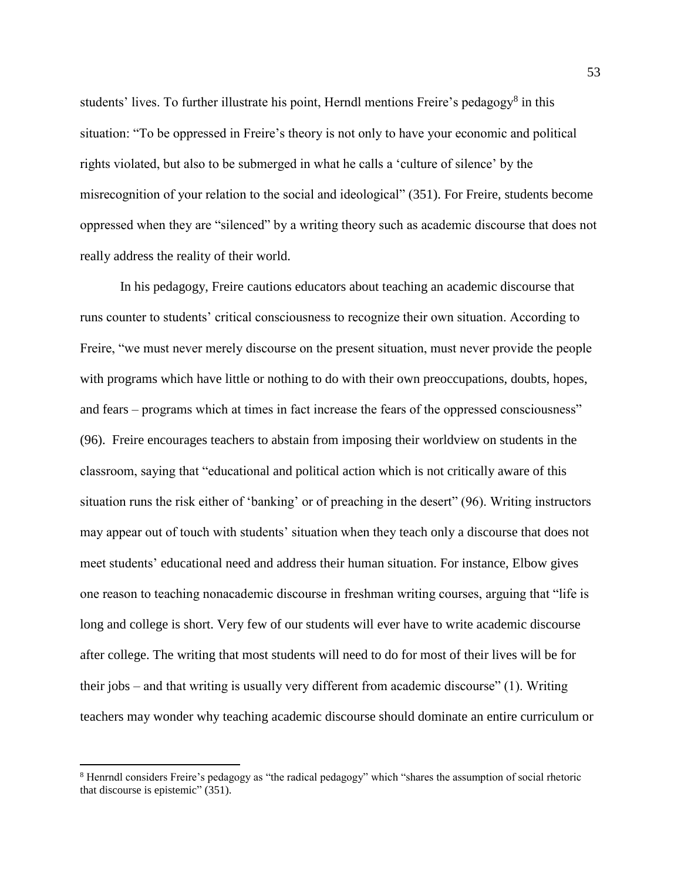students' lives. To further illustrate his point, Herndl mentions Freire's pedagogy<sup>8</sup> in this situation: "To be oppressed in Freire's theory is not only to have your economic and political rights violated, but also to be submerged in what he calls a 'culture of silence' by the misrecognition of your relation to the social and ideological" (351). For Freire, students become oppressed when they are "silenced" by a writing theory such as academic discourse that does not really address the reality of their world.

In his pedagogy, Freire cautions educators about teaching an academic discourse that runs counter to students' critical consciousness to recognize their own situation. According to Freire, "we must never merely discourse on the present situation, must never provide the people with programs which have little or nothing to do with their own preoccupations, doubts, hopes, and fears – programs which at times in fact increase the fears of the oppressed consciousness" (96). Freire encourages teachers to abstain from imposing their worldview on students in the classroom, saying that "educational and political action which is not critically aware of this situation runs the risk either of 'banking' or of preaching in the desert" (96). Writing instructors may appear out of touch with students' situation when they teach only a discourse that does not meet students' educational need and address their human situation. For instance, Elbow gives one reason to teaching nonacademic discourse in freshman writing courses, arguing that "life is long and college is short. Very few of our students will ever have to write academic discourse after college. The writing that most students will need to do for most of their lives will be for their jobs – and that writing is usually very different from academic discourse" (1). Writing teachers may wonder why teaching academic discourse should dominate an entire curriculum or

 $\overline{\phantom{a}}$ 

<sup>&</sup>lt;sup>8</sup> Henrndl considers Freire's pedagogy as "the radical pedagogy" which "shares the assumption of social rhetoric that discourse is epistemic" (351).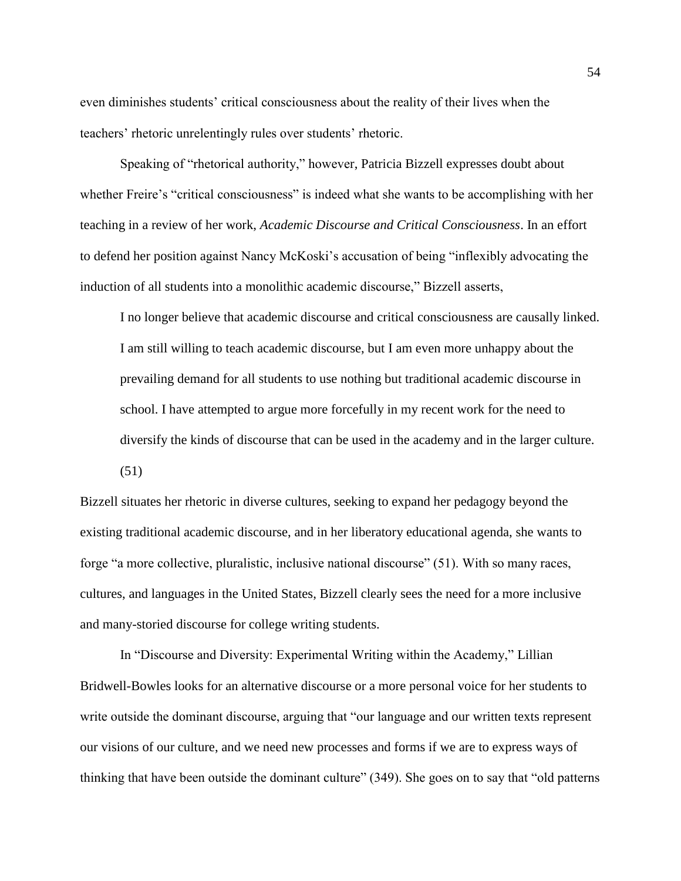even diminishes students' critical consciousness about the reality of their lives when the teachers' rhetoric unrelentingly rules over students' rhetoric.

Speaking of "rhetorical authority," however, Patricia Bizzell expresses doubt about whether Freire's "critical consciousness" is indeed what she wants to be accomplishing with her teaching in a review of her work, *Academic Discourse and Critical Consciousness*. In an effort to defend her position against Nancy McKoski's accusation of being "inflexibly advocating the induction of all students into a monolithic academic discourse," Bizzell asserts,

I no longer believe that academic discourse and critical consciousness are causally linked. I am still willing to teach academic discourse, but I am even more unhappy about the prevailing demand for all students to use nothing but traditional academic discourse in school. I have attempted to argue more forcefully in my recent work for the need to diversify the kinds of discourse that can be used in the academy and in the larger culture. (51)

Bizzell situates her rhetoric in diverse cultures, seeking to expand her pedagogy beyond the existing traditional academic discourse, and in her liberatory educational agenda, she wants to forge "a more collective, pluralistic, inclusive national discourse" (51). With so many races, cultures, and languages in the United States, Bizzell clearly sees the need for a more inclusive and many-storied discourse for college writing students.

In "Discourse and Diversity: Experimental Writing within the Academy," Lillian Bridwell-Bowles looks for an alternative discourse or a more personal voice for her students to write outside the dominant discourse, arguing that "our language and our written texts represent our visions of our culture, and we need new processes and forms if we are to express ways of thinking that have been outside the dominant culture" (349). She goes on to say that "old patterns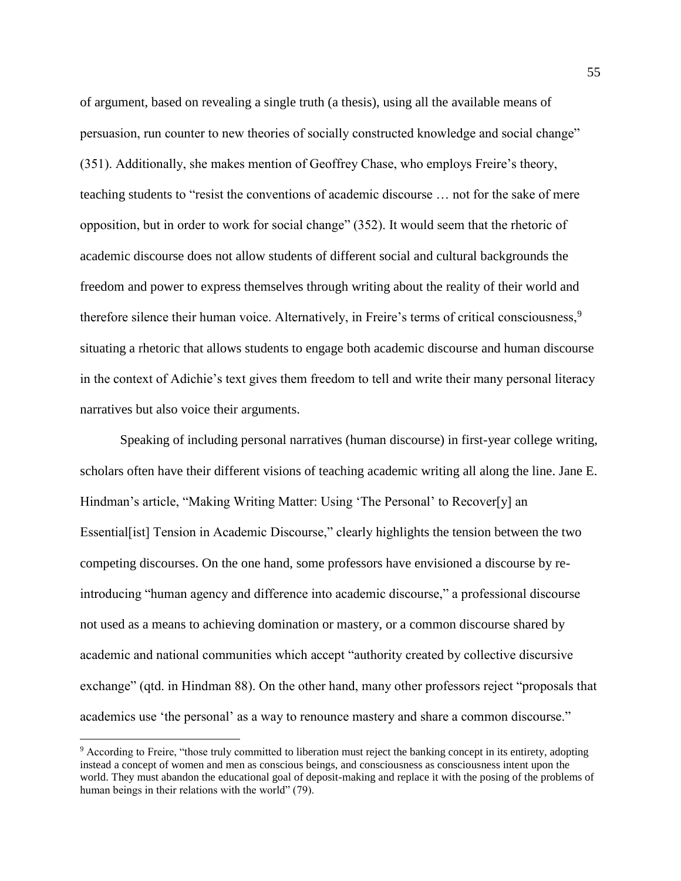of argument, based on revealing a single truth (a thesis), using all the available means of persuasion, run counter to new theories of socially constructed knowledge and social change" (351). Additionally, she makes mention of Geoffrey Chase, who employs Freire's theory, teaching students to "resist the conventions of academic discourse … not for the sake of mere opposition, but in order to work for social change" (352). It would seem that the rhetoric of academic discourse does not allow students of different social and cultural backgrounds the freedom and power to express themselves through writing about the reality of their world and therefore silence their human voice. Alternatively, in Freire's terms of critical consciousness,<sup>9</sup> situating a rhetoric that allows students to engage both academic discourse and human discourse in the context of Adichie's text gives them freedom to tell and write their many personal literacy narratives but also voice their arguments.

Speaking of including personal narratives (human discourse) in first-year college writing, scholars often have their different visions of teaching academic writing all along the line. Jane E. Hindman's article, "Making Writing Matter: Using 'The Personal' to Recover[y] an Essential[ist] Tension in Academic Discourse," clearly highlights the tension between the two competing discourses. On the one hand, some professors have envisioned a discourse by reintroducing "human agency and difference into academic discourse," a professional discourse not used as a means to achieving domination or mastery, or a common discourse shared by academic and national communities which accept "authority created by collective discursive exchange" (qtd. in Hindman 88). On the other hand, many other professors reject "proposals that academics use 'the personal' as a way to renounce mastery and share a common discourse."

 $\overline{\phantom{a}}$ 

<sup>9</sup> According to Freire, "those truly committed to liberation must reject the banking concept in its entirety, adopting instead a concept of women and men as conscious beings, and consciousness as consciousness intent upon the world. They must abandon the educational goal of deposit-making and replace it with the posing of the problems of human beings in their relations with the world" (79).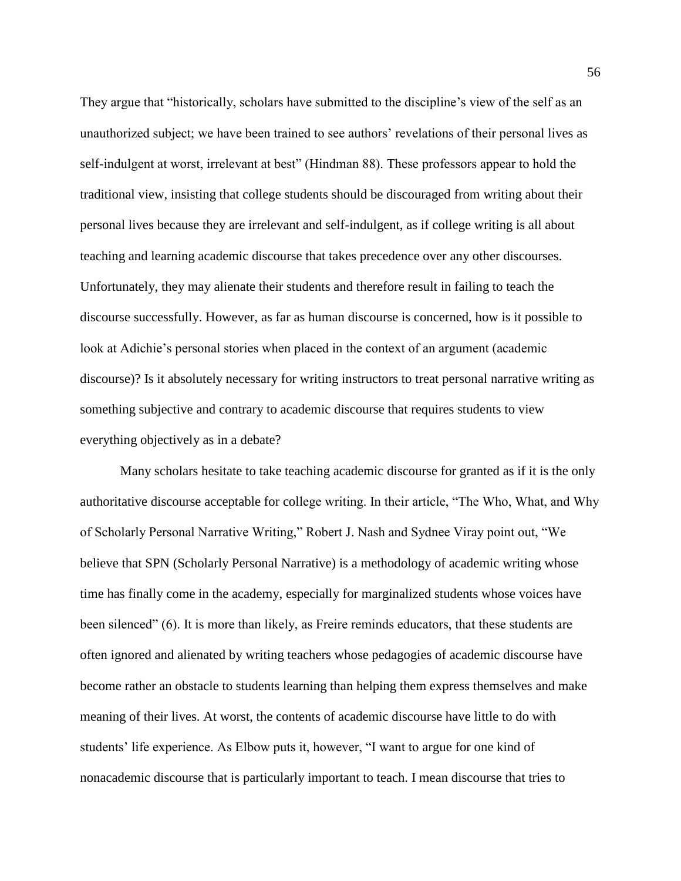They argue that "historically, scholars have submitted to the discipline's view of the self as an unauthorized subject; we have been trained to see authors' revelations of their personal lives as self-indulgent at worst, irrelevant at best" (Hindman 88). These professors appear to hold the traditional view, insisting that college students should be discouraged from writing about their personal lives because they are irrelevant and self-indulgent, as if college writing is all about teaching and learning academic discourse that takes precedence over any other discourses. Unfortunately, they may alienate their students and therefore result in failing to teach the discourse successfully. However, as far as human discourse is concerned, how is it possible to look at Adichie's personal stories when placed in the context of an argument (academic discourse)? Is it absolutely necessary for writing instructors to treat personal narrative writing as something subjective and contrary to academic discourse that requires students to view everything objectively as in a debate?

Many scholars hesitate to take teaching academic discourse for granted as if it is the only authoritative discourse acceptable for college writing. In their article, "The Who, What, and Why of Scholarly Personal Narrative Writing," Robert J. Nash and Sydnee Viray point out, "We believe that SPN (Scholarly Personal Narrative) is a methodology of academic writing whose time has finally come in the academy, especially for marginalized students whose voices have been silenced" (6). It is more than likely, as Freire reminds educators, that these students are often ignored and alienated by writing teachers whose pedagogies of academic discourse have become rather an obstacle to students learning than helping them express themselves and make meaning of their lives. At worst, the contents of academic discourse have little to do with students' life experience. As Elbow puts it, however, "I want to argue for one kind of nonacademic discourse that is particularly important to teach. I mean discourse that tries to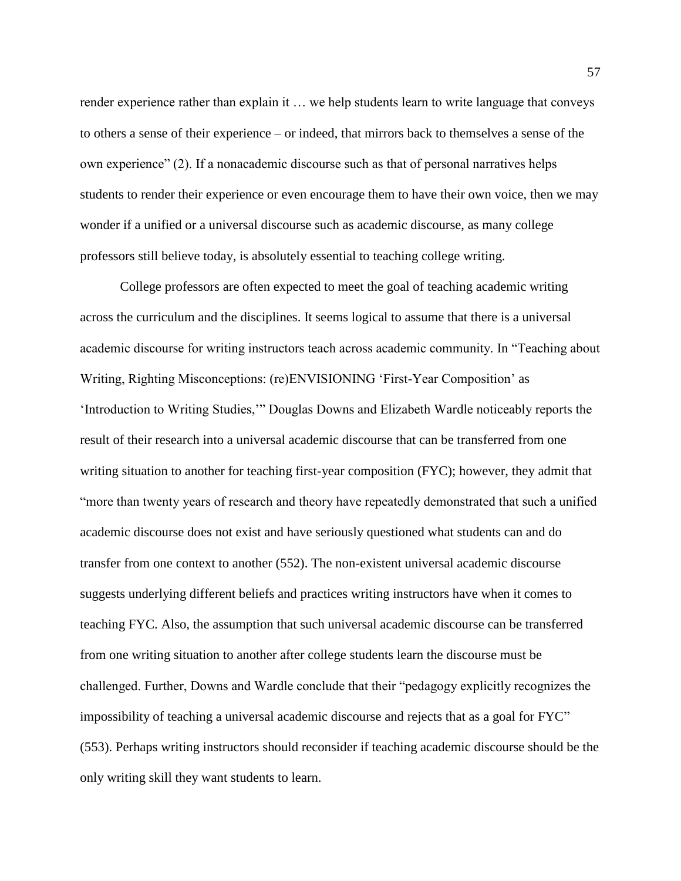render experience rather than explain it … we help students learn to write language that conveys to others a sense of their experience – or indeed, that mirrors back to themselves a sense of the own experience" (2). If a nonacademic discourse such as that of personal narratives helps students to render their experience or even encourage them to have their own voice, then we may wonder if a unified or a universal discourse such as academic discourse, as many college professors still believe today, is absolutely essential to teaching college writing.

College professors are often expected to meet the goal of teaching academic writing across the curriculum and the disciplines. It seems logical to assume that there is a universal academic discourse for writing instructors teach across academic community. In "Teaching about Writing, Righting Misconceptions: (re)ENVISIONING 'First-Year Composition' as 'Introduction to Writing Studies,'" Douglas Downs and Elizabeth Wardle noticeably reports the result of their research into a universal academic discourse that can be transferred from one writing situation to another for teaching first-year composition (FYC); however, they admit that "more than twenty years of research and theory have repeatedly demonstrated that such a unified academic discourse does not exist and have seriously questioned what students can and do transfer from one context to another (552). The non-existent universal academic discourse suggests underlying different beliefs and practices writing instructors have when it comes to teaching FYC. Also, the assumption that such universal academic discourse can be transferred from one writing situation to another after college students learn the discourse must be challenged. Further, Downs and Wardle conclude that their "pedagogy explicitly recognizes the impossibility of teaching a universal academic discourse and rejects that as a goal for FYC" (553). Perhaps writing instructors should reconsider if teaching academic discourse should be the only writing skill they want students to learn.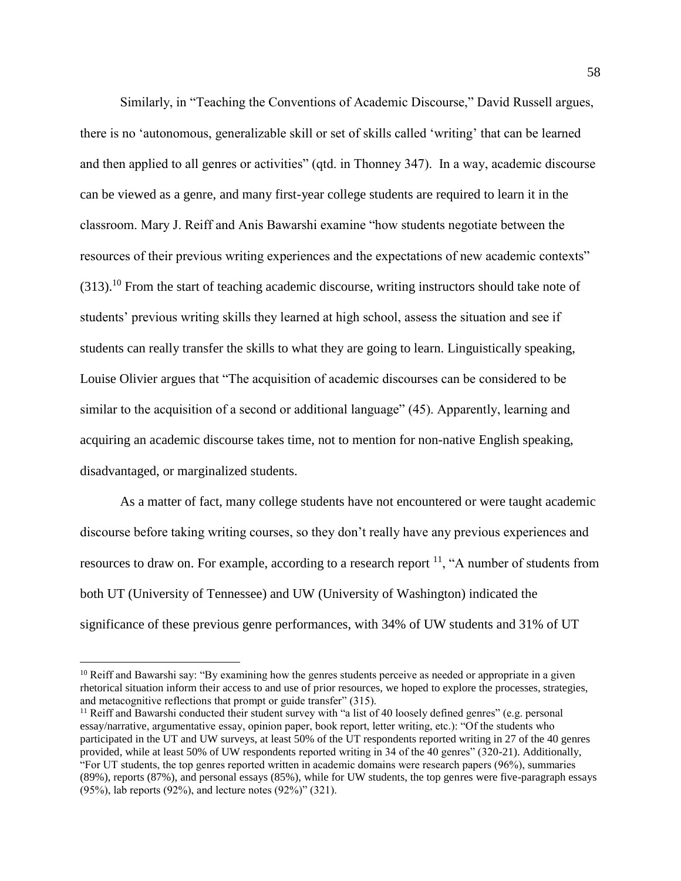Similarly, in "Teaching the Conventions of Academic Discourse," David Russell argues, there is no 'autonomous, generalizable skill or set of skills called 'writing' that can be learned and then applied to all genres or activities" (qtd. in Thonney 347). In a way, academic discourse can be viewed as a genre, and many first-year college students are required to learn it in the classroom. Mary J. Reiff and Anis Bawarshi examine "how students negotiate between the resources of their previous writing experiences and the expectations of new academic contexts"  $(313).$ <sup>10</sup> From the start of teaching academic discourse, writing instructors should take note of students' previous writing skills they learned at high school, assess the situation and see if students can really transfer the skills to what they are going to learn. Linguistically speaking, Louise Olivier argues that "The acquisition of academic discourses can be considered to be similar to the acquisition of a second or additional language" (45). Apparently, learning and acquiring an academic discourse takes time, not to mention for non-native English speaking, disadvantaged, or marginalized students.

As a matter of fact, many college students have not encountered or were taught academic discourse before taking writing courses, so they don't really have any previous experiences and resources to draw on. For example, according to a research report  $<sup>11</sup>$ , "A number of students from</sup> both UT (University of Tennessee) and UW (University of Washington) indicated the significance of these previous genre performances, with 34% of UW students and 31% of UT

 $\overline{\phantom{a}}$ 

<sup>&</sup>lt;sup>10</sup> Reiff and Bawarshi say: "By examining how the genres students perceive as needed or appropriate in a given rhetorical situation inform their access to and use of prior resources, we hoped to explore the processes, strategies, and metacognitive reflections that prompt or guide transfer" (315).

<sup>11</sup> Reiff and Bawarshi conducted their student survey with "a list of 40 loosely defined genres" (e.g. personal essay/narrative, argumentative essay, opinion paper, book report, letter writing, etc.): "Of the students who participated in the UT and UW surveys, at least 50% of the UT respondents reported writing in 27 of the 40 genres provided, while at least 50% of UW respondents reported writing in 34 of the 40 genres" (320-21). Additionally, "For UT students, the top genres reported written in academic domains were research papers (96%), summaries (89%), reports (87%), and personal essays (85%), while for UW students, the top genres were five-paragraph essays (95%), lab reports (92%), and lecture notes (92%)" (321).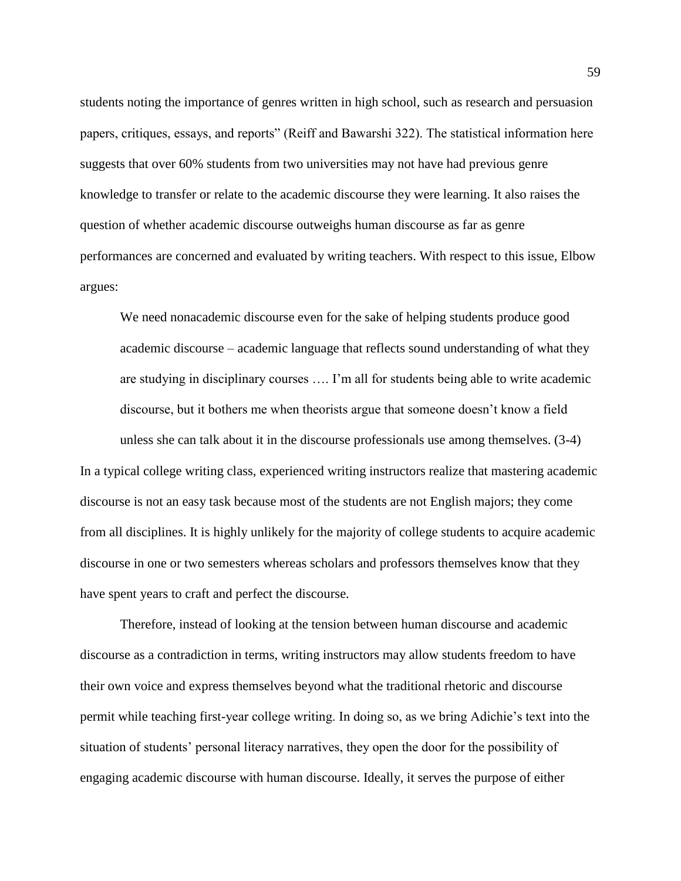students noting the importance of genres written in high school, such as research and persuasion papers, critiques, essays, and reports" (Reiff and Bawarshi 322). The statistical information here suggests that over 60% students from two universities may not have had previous genre knowledge to transfer or relate to the academic discourse they were learning. It also raises the question of whether academic discourse outweighs human discourse as far as genre performances are concerned and evaluated by writing teachers. With respect to this issue, Elbow argues:

We need nonacademic discourse even for the sake of helping students produce good academic discourse – academic language that reflects sound understanding of what they are studying in disciplinary courses …. I'm all for students being able to write academic discourse, but it bothers me when theorists argue that someone doesn't know a field

unless she can talk about it in the discourse professionals use among themselves. (3-4) In a typical college writing class, experienced writing instructors realize that mastering academic discourse is not an easy task because most of the students are not English majors; they come from all disciplines. It is highly unlikely for the majority of college students to acquire academic discourse in one or two semesters whereas scholars and professors themselves know that they have spent years to craft and perfect the discourse.

Therefore, instead of looking at the tension between human discourse and academic discourse as a contradiction in terms, writing instructors may allow students freedom to have their own voice and express themselves beyond what the traditional rhetoric and discourse permit while teaching first-year college writing. In doing so, as we bring Adichie's text into the situation of students' personal literacy narratives, they open the door for the possibility of engaging academic discourse with human discourse. Ideally, it serves the purpose of either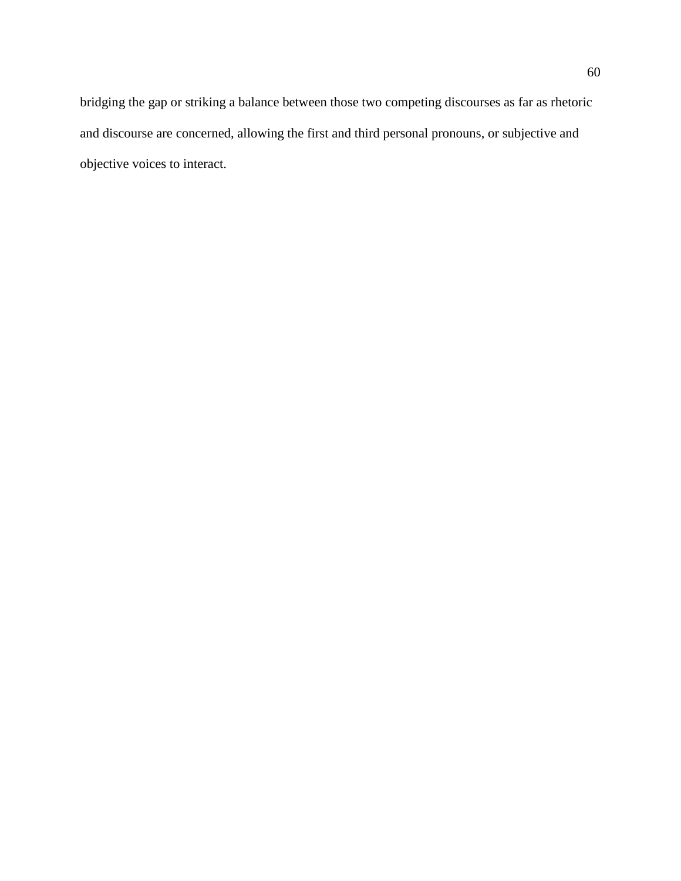bridging the gap or striking a balance between those two competing discourses as far as rhetoric and discourse are concerned, allowing the first and third personal pronouns, or subjective and objective voices to interact.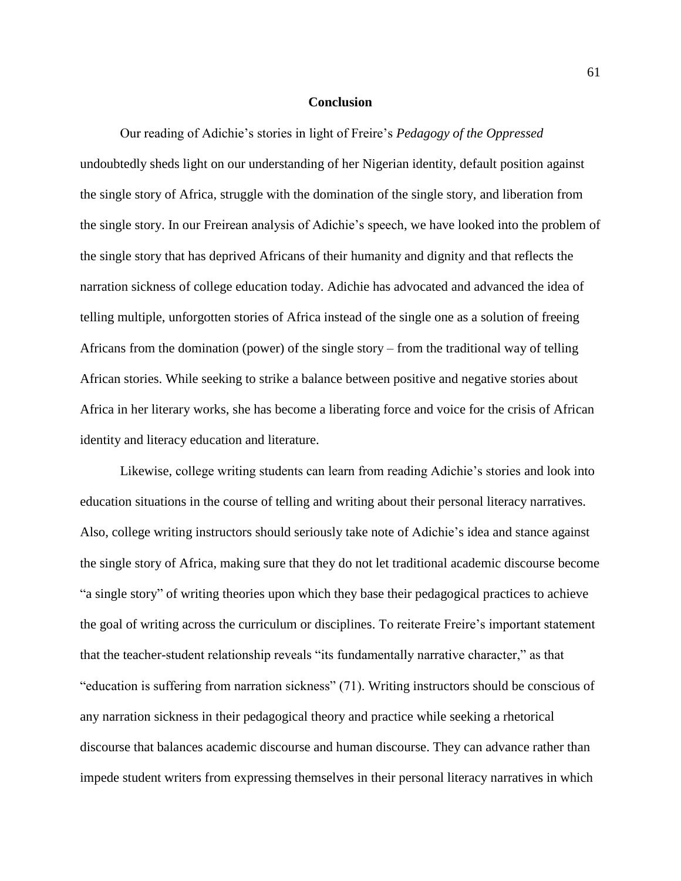#### **Conclusion**

Our reading of Adichie's stories in light of Freire's *Pedagogy of the Oppressed* undoubtedly sheds light on our understanding of her Nigerian identity, default position against the single story of Africa, struggle with the domination of the single story, and liberation from the single story. In our Freirean analysis of Adichie's speech, we have looked into the problem of the single story that has deprived Africans of their humanity and dignity and that reflects the narration sickness of college education today. Adichie has advocated and advanced the idea of telling multiple, unforgotten stories of Africa instead of the single one as a solution of freeing Africans from the domination (power) of the single story – from the traditional way of telling African stories. While seeking to strike a balance between positive and negative stories about Africa in her literary works, she has become a liberating force and voice for the crisis of African identity and literacy education and literature.

Likewise, college writing students can learn from reading Adichie's stories and look into education situations in the course of telling and writing about their personal literacy narratives. Also, college writing instructors should seriously take note of Adichie's idea and stance against the single story of Africa, making sure that they do not let traditional academic discourse become "a single story" of writing theories upon which they base their pedagogical practices to achieve the goal of writing across the curriculum or disciplines. To reiterate Freire's important statement that the teacher-student relationship reveals "its fundamentally narrative character," as that "education is suffering from narration sickness" (71). Writing instructors should be conscious of any narration sickness in their pedagogical theory and practice while seeking a rhetorical discourse that balances academic discourse and human discourse. They can advance rather than impede student writers from expressing themselves in their personal literacy narratives in which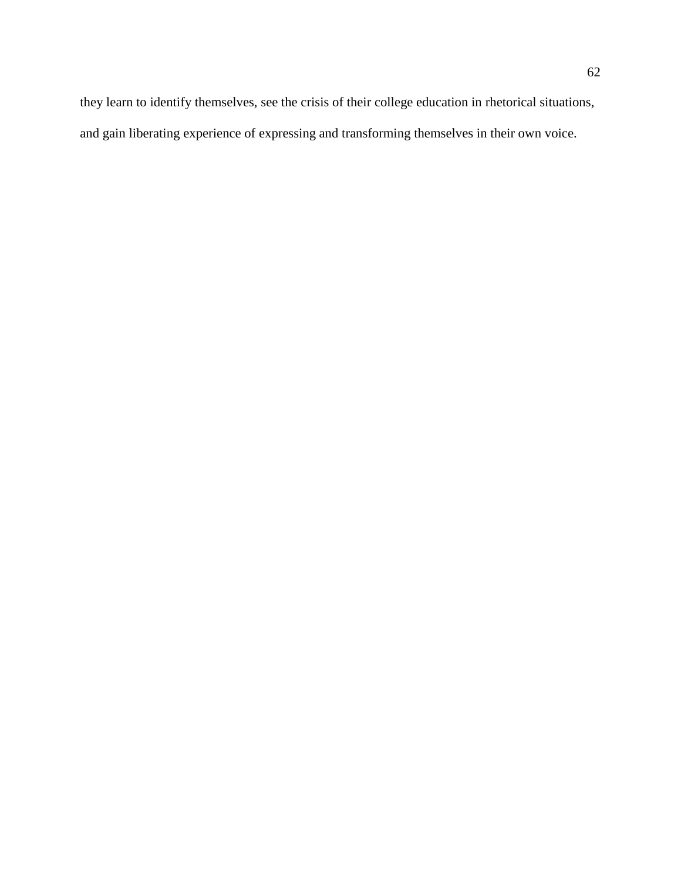they learn to identify themselves, see the crisis of their college education in rhetorical situations, and gain liberating experience of expressing and transforming themselves in their own voice.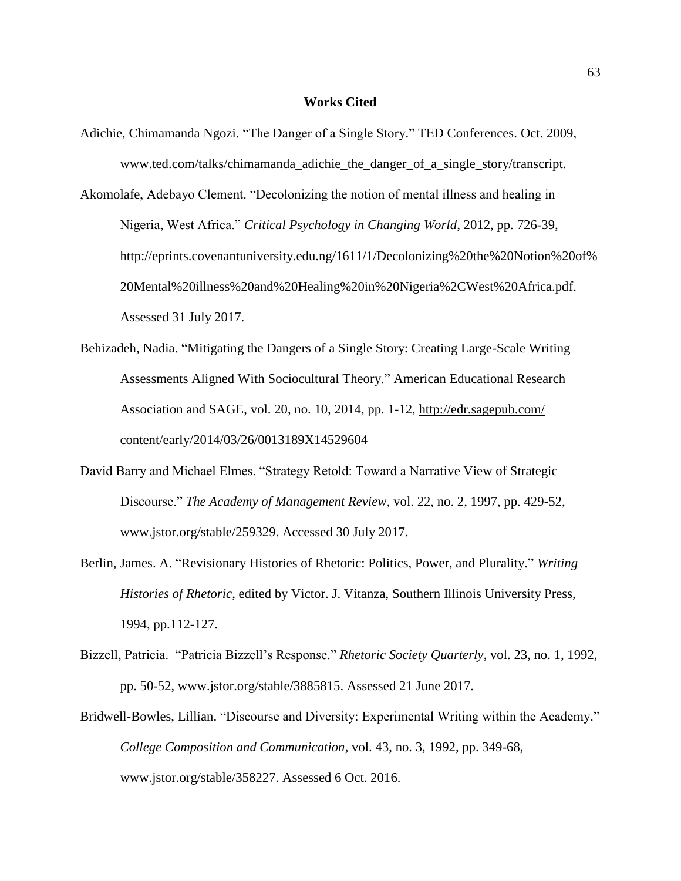#### **Works Cited**

- Adichie, Chimamanda Ngozi. "The Danger of a Single Story." TED Conferences. Oct. 2009, www.ted.com/talks/chimamanda\_adichie\_the\_danger\_of\_a\_single\_story/transcript.
- Akomolafe, Adebayo Clement. "Decolonizing the notion of mental illness and healing in Nigeria, West Africa." *Critical Psychology in Changing World*, 2012, pp. 726-39, http://eprints.covenantuniversity.edu.ng/1611/1/Decolonizing%20the%20Notion%20of% 20Mental%20illness%20and%20Healing%20in%20Nigeria%2CWest%20Africa.pdf. Assessed 31 July 2017.
- Behizadeh, Nadia. "Mitigating the Dangers of a Single Story: Creating Large-Scale Writing Assessments Aligned With Sociocultural Theory." American Educational Research Association and SAGE, vol. 20, no. 10, 2014, pp. 1-12,<http://edr.sagepub.com/> content/early/2014/03/26/0013189X14529604
- David Barry and Michael Elmes. "Strategy Retold: Toward a Narrative View of Strategic Discourse." *The Academy of Management Review*, vol. 22, no. 2, 1997, pp. 429-52, www.jstor.org/stable/259329. Accessed 30 July 2017.
- Berlin, James. A. "Revisionary Histories of Rhetoric: Politics, Power, and Plurality." *Writing Histories of Rhetoric*, edited by Victor. J. Vitanza, Southern Illinois University Press, 1994, pp.112-127.
- Bizzell, Patricia. "Patricia Bizzell's Response." *Rhetoric Society Quarterly*, vol. 23, no. 1, 1992, pp. 50-52, [www.jstor.org/stable/3885815.](http://www.jstor.org/stable/3885815) Assessed 21 June 2017.
- Bridwell-Bowles, Lillian. "Discourse and Diversity: Experimental Writing within the Academy." *College Composition and Communication*, vol. 43, no. 3, 1992, pp. 349-68, [www.jstor.org/stable/358227.](http://www.jstor.org/stable/358227) Assessed 6 Oct. 2016.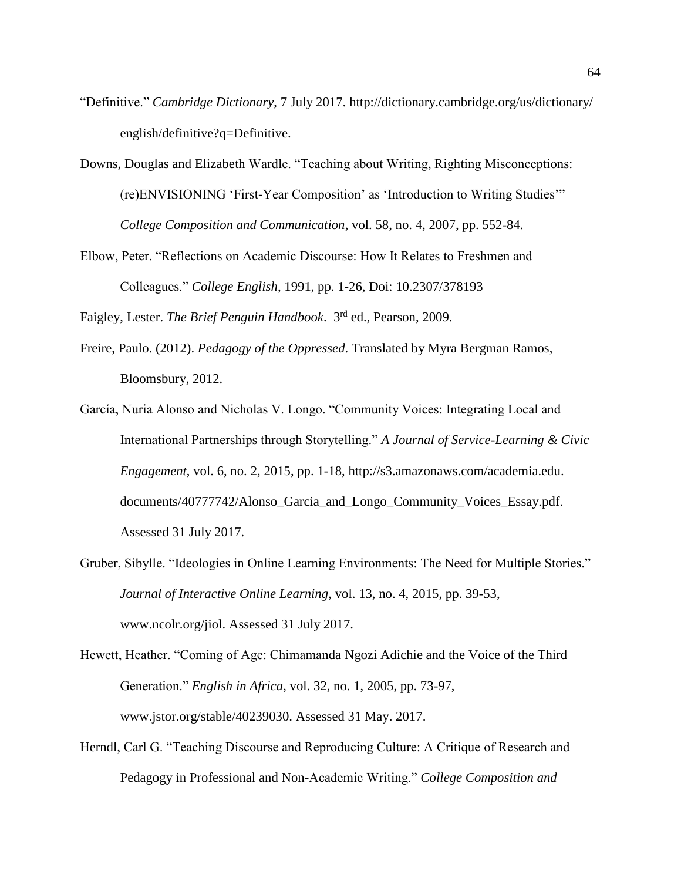- "Definitive." *Cambridge Dictionary*, 7 July 2017. http://dictionary.cambridge.org/us/dictionary/ english/definitive?q=Definitive.
- Downs, Douglas and Elizabeth Wardle. "Teaching about Writing, Righting Misconceptions: (re)ENVISIONING 'First-Year Composition' as 'Introduction to Writing Studies'" *College Composition and Communication*, vol. 58, no. 4, 2007, pp. 552-84.
- Elbow, Peter. "Reflections on Academic Discourse: How It Relates to Freshmen and Colleagues." *College English*, 1991, pp. 1-26, Doi: 10.2307/378193

Faigley, Lester. *The Brief Penguin Handbook*. 3rd ed., Pearson, 2009.

- Freire, Paulo. (2012). *Pedagogy of the Oppressed*. Translated by Myra Bergman Ramos, Bloomsbury, 2012.
- García, Nuria Alonso and Nicholas V. Longo. "Community Voices: Integrating Local and International Partnerships through Storytelling." *A Journal of Service-Learning & Civic Engagement*, vol. 6, no. 2, 2015, pp. 1-18, [http://s3.amazonaws.com/academia.edu.](http://s3.amazonaws.com/academia.edu) documents/40777742/Alonso\_Garcia\_and\_Longo\_Community\_Voices\_Essay.pdf. Assessed 31 July 2017.
- Gruber, Sibylle. "Ideologies in Online Learning Environments: The Need for Multiple Stories." *Journal of Interactive Online Learning*, vol. 13, no. 4, 2015, pp. 39-53, [www.ncolr.org/jiol.](http://www.ncolr.org/jiol) Assessed 31 July 2017.
- Hewett, Heather. "Coming of Age: Chimamanda Ngozi Adichie and the Voice of the Third Generation." *English in Africa*, vol. 32, no. 1, 2005, pp. 73-97, [www.jstor.org/stable/40239030. Assessed 31 May. 2017.](http://www.jstor.org/stable/40239030.%20Assessed%2031%20May.%202017)
- Herndl, Carl G. "Teaching Discourse and Reproducing Culture: A Critique of Research and Pedagogy in Professional and Non-Academic Writing." *College Composition and*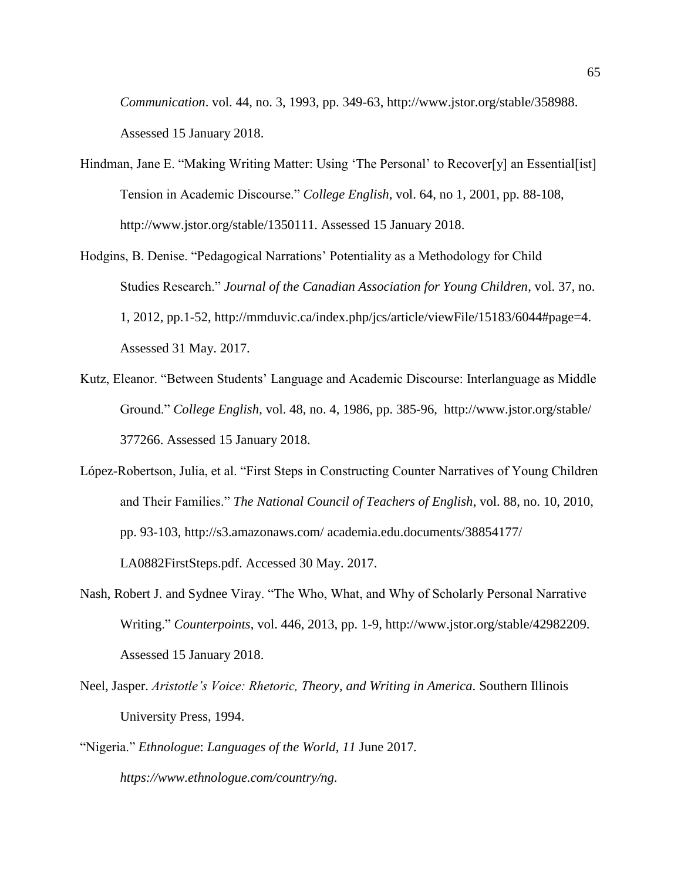*Communication*. vol. 44, no. 3, 1993, pp. 349-63, [http://www.jstor.org/stable/358988.](http://www.jstor.org/stable/358988) Assessed 15 January 2018.

- Hindman, Jane E. "Making Writing Matter: Using 'The Personal' to Recover[y] an Essential[ist] Tension in Academic Discourse." *College English*, vol. 64, no 1, 2001, pp. 88-108, http://www.jstor.org/stable/1350111. Assessed 15 January 2018.
- Hodgins, B. Denise. "Pedagogical Narrations' Potentiality as a Methodology for Child Studies Research." *Journal of the Canadian Association for Young Children*, vol. 37, no. 1, 2012, pp.1-52, http://mmduvic.ca/index.php/jcs/article/viewFile/15183/6044#page=4. Assessed 31 May. 2017.
- Kutz, Eleanor. "Between Students' Language and Academic Discourse: Interlanguage as Middle Ground." *College English*, vol. 48, no. 4, 1986, pp. 385-96, http://www.jstor.org/stable/ 377266. Assessed 15 January 2018.
- López-Robertson, Julia, et al. "First Steps in Constructing Counter Narratives of Young Children and Their Families." *The National Council of Teachers of English*, vol. 88, no. 10, 2010, pp. 93-103, http://s3.amazonaws.com/ academia.edu.documents/38854177/ LA0882FirstSteps.pdf. Accessed 30 May. 2017.
- Nash, Robert J. and Sydnee Viray. "The Who, What, and Why of Scholarly Personal Narrative Writing." *Counterpoints*, vol. 446, 2013, pp. 1-9, http://www.jstor.org/stable/42982209. Assessed 15 January 2018.
- Neel, Jasper. *Aristotle's Voice: Rhetoric, Theory, and Writing in America*. Southern Illinois University Press, 1994.
- "Nigeria." *[Ethnologue](https://en.wikipedia.org/wiki/Ethnologue)*: *Languages of the World*, *11* June 2017*. [https://www.ethnologue.com/country/ng.](https://www.ethnologue.com/country/ng)*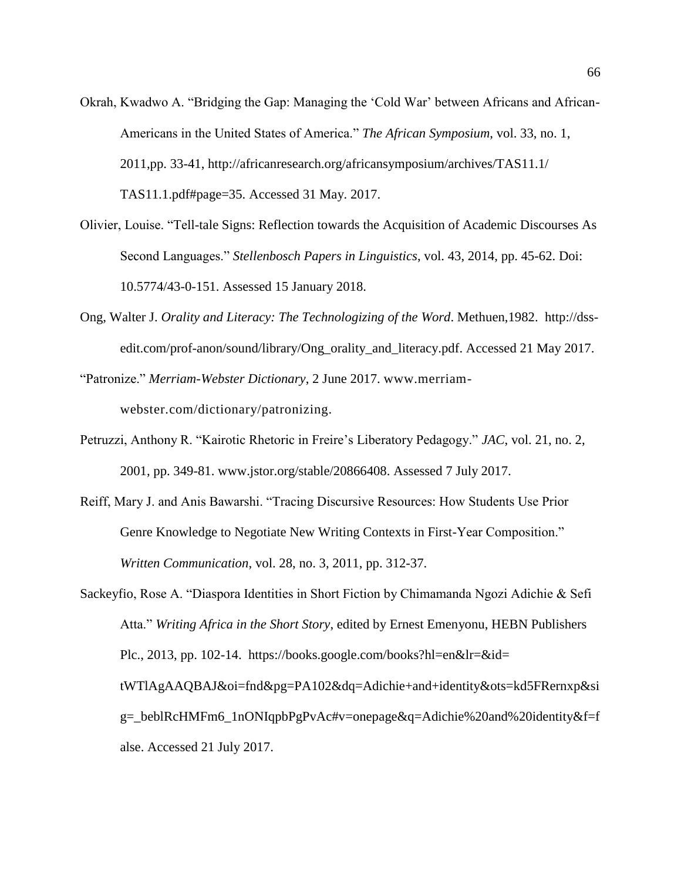- Okrah, Kwadwo A. "Bridging the Gap: Managing the 'Cold War' between Africans and African-Americans in the United States of America." *The African Symposium*, vol. 33, no. 1, 2011,pp. 33-41,<http://africanresearch.org/africansymposium/archives/TAS11.1/> TAS11.1.pdf#page=35. Accessed 31 May. 2017.
- Olivier, Louise. "Tell-tale Signs: Reflection towards the Acquisition of Academic Discourses As Second Languages." *Stellenbosch Papers in Linguistics*, vol. 43, 2014, pp. 45-62. Doi: 10.5774/43-0-151. Assessed 15 January 2018.
- Ong, Walter J. *Orality and Literacy: The Technologizing of the Word*. Methuen,1982. [http://dss](http://dss-edit.com/prof-anon/sound/library/Ong_orality_and_literacy.pdf)[edit.com/prof-anon/sound/library/Ong\\_orality\\_and\\_literacy.pdf.](http://dss-edit.com/prof-anon/sound/library/Ong_orality_and_literacy.pdf) Accessed 21 May 2017.

"Patronize." *Merriam-Webster Dictionary*, 2 June 2017. www.merriamwebster.com/dictionary/patronizing.

- Petruzzi, Anthony R. "Kairotic Rhetoric in Freire's Liberatory Pedagogy." *JAC*, vol. 21, no. 2, 2001, pp. 349-81. www.jstor.org/stable/20866408. Assessed 7 July 2017.
- Reiff, Mary J. and Anis Bawarshi. "Tracing Discursive Resources: How Students Use Prior Genre Knowledge to Negotiate New Writing Contexts in First-Year Composition." *Written Communication*, vol. 28, no. 3, 2011, pp. 312-37.

Sackeyfio, Rose A. "Diaspora Identities in Short Fiction by Chimamanda Ngozi Adichie & Sefi Atta." *Writing Africa in the Short Story*, edited by Ernest Emenyonu, HEBN Publishers Plc., 2013, pp. 102-14. https://books.google.com/books?hl=en&lr=&id= tWTlAgAAQBAJ&oi=fnd&pg=PA102&dq=Adichie+and+identity&ots=kd5FRernxp&si g=\_beblRcHMFm6\_1nONIqpbPgPvAc#v=onepage&q=Adichie%20and%20identity&f=f alse. Accessed 21 July 2017.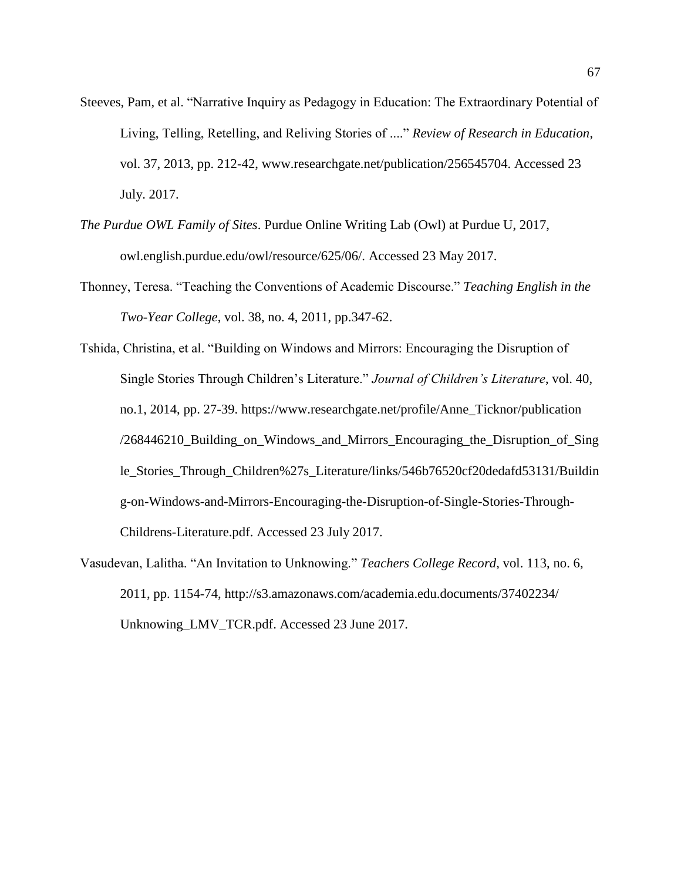- Steeves, Pam, et al. "Narrative Inquiry as Pedagogy in Education: The Extraordinary Potential of Living, Telling, Retelling, and Reliving Stories of ...." *Review of Research in Education*, vol. 37, 2013, pp. 212-42, www.researchgate.net/publication/256545704. Accessed 23 July. 2017.
- *The Purdue OWL Family of Sites*. Purdue Online Writing Lab (Owl) at Purdue U, 2017, owl.english.purdue.edu/owl/resource/625/06/. Accessed 23 May 2017.
- Thonney, Teresa. "Teaching the Conventions of Academic Discourse." *Teaching English in the Two-Year College*, vol. 38, no. 4, 2011, pp.347-62.
- Tshida, Christina, et al. "Building on Windows and Mirrors: Encouraging the Disruption of Single Stories Through Children's Literature." *Journal of Children's Literature*, vol. 40, no.1, 2014, pp. 27-39. [https://www.researchgate.net/profile/Anne\\_Ticknor/p](https://www.researchgate.net/profile/Anne_Ticknor/)ublication /268446210\_Building\_on\_Windows\_and\_Mirrors\_Encouraging\_the\_Disruption\_of\_Sing le\_Stories\_Through\_Children%27s\_Literature/links/546b76520cf20dedafd53131/Buildin g-on-Windows-and-Mirrors-Encouraging-the-Disruption-of-Single-Stories-Through-Childrens-Literature.pdf. Accessed 23 July 2017.
- Vasudevan, Lalitha. "An Invitation to Unknowing." *Teachers College Record*, vol. 113, no. 6, 2011, pp. 1154-74, http://s3.amazonaws.com/academia.edu.documents/37402234/ Unknowing\_LMV\_TCR.pdf. Accessed 23 June 2017.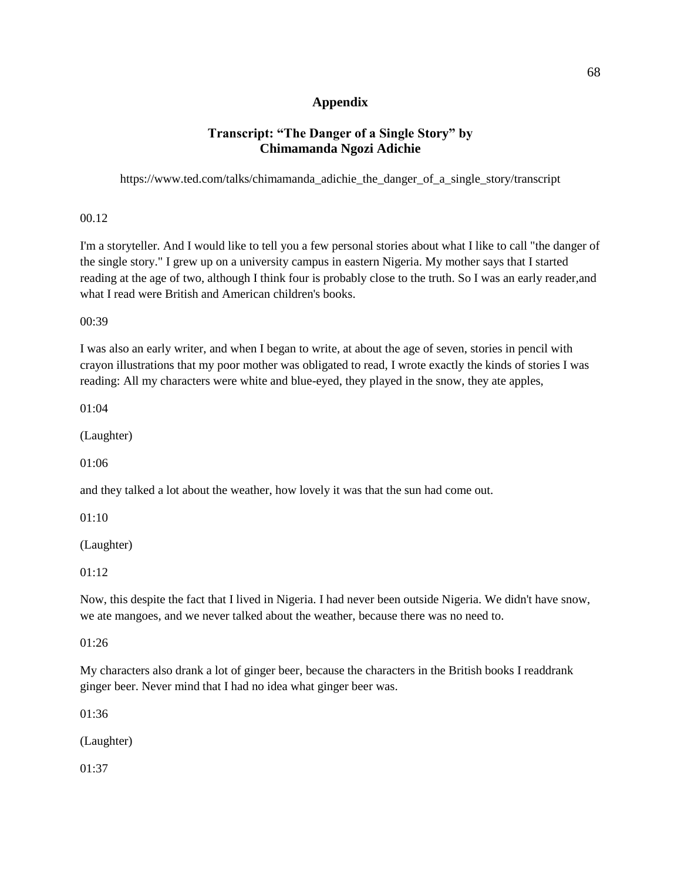# **Appendix**

# **Transcript: "The Danger of a Single Story" by Chimamanda Ngozi Adichie**

https://www.ted.com/talks/chimamanda\_adichie\_the\_danger\_of\_a\_single\_story/transcript

00.12

I'm a storyteller. And I would like to tell you a few personal stories about what I like to call "the danger of the single story." I grew up on a university campus in eastern Nigeria. My mother says that I started reading at the age of two, although I think four is probably close to the truth. So I was an early reader,and what I read were British and American children's books.

 $00.39$ 

I was also an early writer, and when I began to write, at about the age of seven, stories in pencil with crayon illustrations that my poor mother was obligated to read, I wrote exactly the kinds of stories I was reading: All my characters were white and blue-eyed, they played in the snow, they ate apples,

01:04

(Laughter)

01:06

and they talked a lot about the weather, how lovely it was that the sun had come out.

 $01:10$ 

(Laughter)

01:12

Now, this despite the fact that I lived in Nigeria. I had never been outside Nigeria. We didn't have snow, we ate mangoes, and we never talked about the weather, because there was no need to.

01:26

My characters also drank a lot of ginger beer, because the characters in the British books I readdrank ginger beer. Never mind that I had no idea what ginger beer was.

01:36

(Laughter)

01:37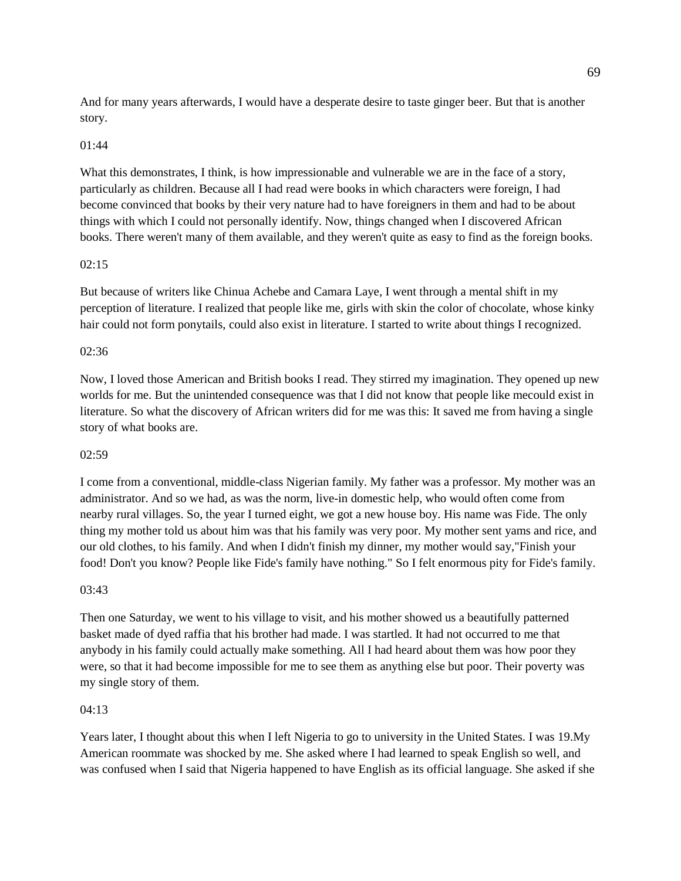And for many years afterwards, I would have a desperate desire to taste ginger beer. But that is another story.

# 01:44

What this demonstrates, I think, is how impressionable and vulnerable we are in the face of a story, particularly as children. Because all I had read were books in which characters were foreign, I had become convinced that books by their very nature had to have foreigners in them and had to be about things with which I could not personally identify. Now, things changed when I discovered African books. There weren't many of them available, and they weren't quite as easy to find as the foreign books.

# 02:15

But because of writers like Chinua Achebe and Camara Laye, I went through a mental shift in my perception of literature. I realized that people like me, girls with skin the color of chocolate, whose kinky hair could not form ponytails, could also exist in literature. I started to write about things I recognized.

# 02:36

Now, I loved those American and British books I read. They stirred my imagination. They opened up new worlds for me. But the unintended consequence was that I did not know that people like mecould exist in literature. So what the discovery of African writers did for me was this: It saved me from having a single story of what books are.

## 02:59

I come from a conventional, middle-class Nigerian family. My father was a professor. My mother was an administrator. And so we had, as was the norm, live-in domestic help, who would often come from nearby rural villages. So, the year I turned eight, we got a new house boy. His name was Fide. The only thing my mother told us about him was that his family was very poor. My mother sent yams and rice, and our old clothes, to his family. And when I didn't finish my dinner, my mother would say,"Finish your food! Don't you know? People like Fide's family have nothing." So I felt enormous pity for Fide's family.

## 03:43

Then one Saturday, we went to his village to visit, and his mother showed us a beautifully patterned basket made of dyed raffia that his brother had made. I was startled. It had not occurred to me that anybody in his family could actually make something. All I had heard about them was how poor they were, so that it had become impossible for me to see them as anything else but poor. Their poverty was my single story of them.

## 04:13

Years later, I thought about this when I left Nigeria to go to university in the United States. I was 19.My American roommate was shocked by me. She asked where I had learned to speak English so well, and was confused when I said that Nigeria happened to have English as its official language. She asked if she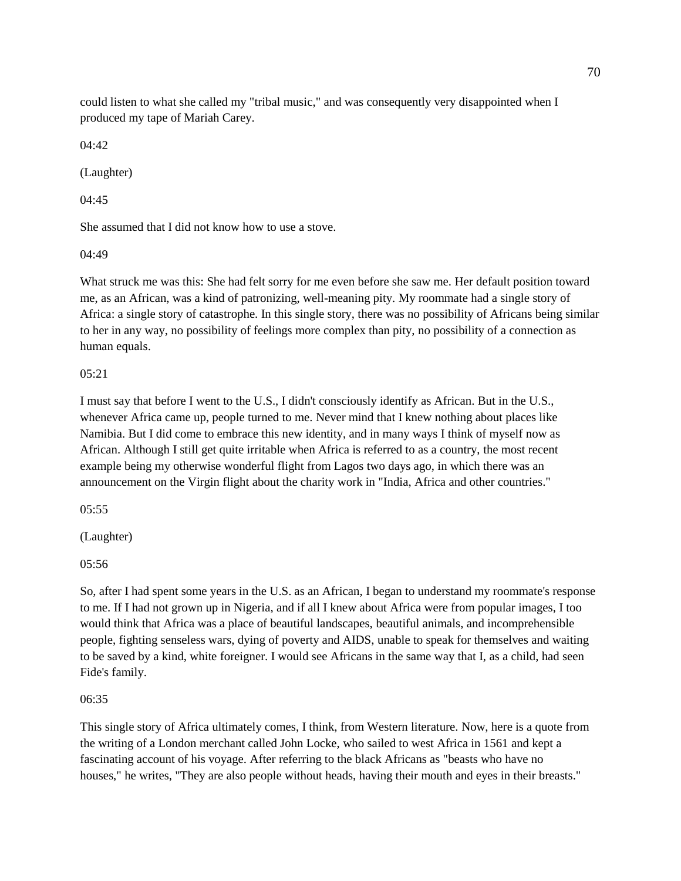could listen to what she called my "tribal music," and was consequently very disappointed when I produced my tape of Mariah Carey.

04:42

(Laughter)

04:45

She assumed that I did not know how to use a stove.

04:49

What struck me was this: She had felt sorry for me even before she saw me. Her default position toward me, as an African, was a kind of patronizing, well-meaning pity. My roommate had a single story of Africa: a single story of catastrophe. In this single story, there was no possibility of Africans being similar to her in any way, no possibility of feelings more complex than pity, no possibility of a connection as human equals.

05:21

I must say that before I went to the U.S., I didn't consciously identify as African. But in the U.S., whenever Africa came up, people turned to me. Never mind that I knew nothing about places like Namibia. But I did come to embrace this new identity, and in many ways I think of myself now as African. Although I still get quite irritable when Africa is referred to as a country, the most recent example being my otherwise wonderful flight from Lagos two days ago, in which there was an announcement on the Virgin flight about the charity work in "India, Africa and other countries."

 $05:55$ 

(Laughter)

05:56

So, after I had spent some years in the U.S. as an African, I began to understand my roommate's response to me. If I had not grown up in Nigeria, and if all I knew about Africa were from popular images, I too would think that Africa was a place of beautiful landscapes, beautiful animals, and incomprehensible people, fighting senseless wars, dying of poverty and AIDS, unable to speak for themselves and waiting to be saved by a kind, white foreigner. I would see Africans in the same way that I, as a child, had seen Fide's family.

06:35

This single story of Africa ultimately comes, I think, from Western literature. Now, here is a quote from the writing of a London merchant called John Locke, who sailed to west Africa in 1561 and kept a fascinating account of his voyage. After referring to the black Africans as "beasts who have no houses," he writes, "They are also people without heads, having their mouth and eyes in their breasts."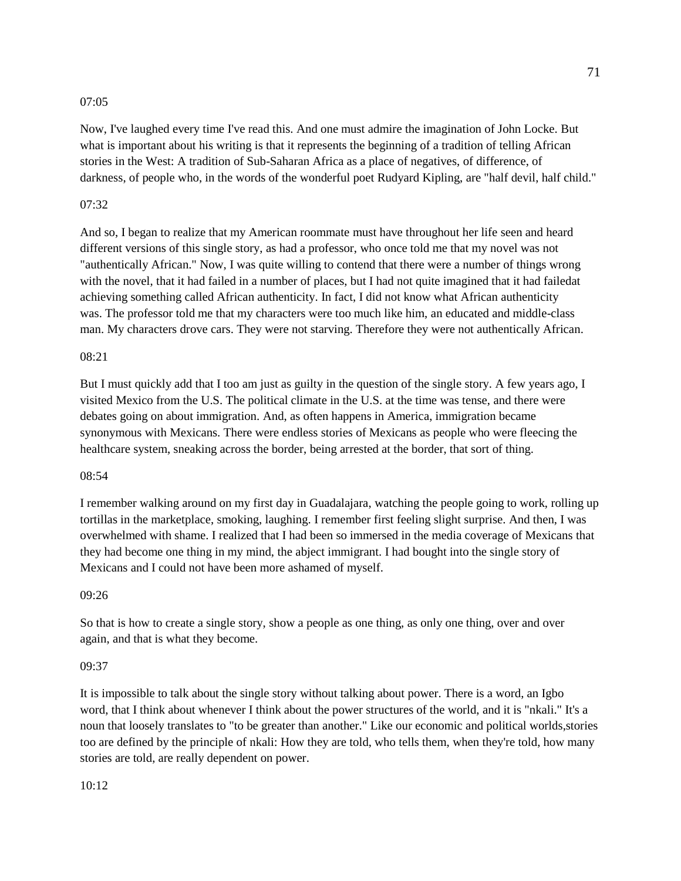## 07:05

Now, I've laughed every time I've read this. And one must admire the imagination of John Locke. But what is important about his writing is that it represents the beginning of a tradition of telling African stories in the West: A tradition of Sub-Saharan Africa as a place of negatives, of difference, of darkness, of people who, in the words of the wonderful poet Rudyard Kipling, are "half devil, half child."

# 07:32

And so, I began to realize that my American roommate must have throughout her life seen and heard different versions of this single story, as had a professor, who once told me that my novel was not "authentically African." Now, I was quite willing to contend that there were a number of things wrong with the novel, that it had failed in a number of places, but I had not quite imagined that it had failedat achieving something called African authenticity. In fact, I did not know what African authenticity was. The professor told me that my characters were too much like him, an educated and middle-class man. My characters drove cars. They were not starving. Therefore they were not authentically African.

# 08:21

But I must quickly add that I too am just as guilty in the question of the single story. A few years ago, I visited Mexico from the U.S. The political climate in the U.S. at the time was tense, and there were debates going on about immigration. And, as often happens in America, immigration became synonymous with Mexicans. There were endless stories of Mexicans as people who were fleecing the healthcare system, sneaking across the border, being arrested at the border, that sort of thing.

## 08:54

I remember walking around on my first day in Guadalajara, watching the people going to work, rolling up tortillas in the marketplace, smoking, laughing. I remember first feeling slight surprise. And then, I was overwhelmed with shame. I realized that I had been so immersed in the media coverage of Mexicans that they had become one thing in my mind, the abject immigrant. I had bought into the single story of Mexicans and I could not have been more ashamed of myself.

## 09:26

So that is how to create a single story, show a people as one thing, as only one thing, over and over again, and that is what they become.

## 09:37

It is impossible to talk about the single story without talking about power. There is a word, an Igbo word, that I think about whenever I think about the power structures of the world, and it is "nkali." It's a noun that loosely translates to "to be greater than another." Like our economic and political worlds,stories too are defined by the principle of nkali: How they are told, who tells them, when they're told, how many stories are told, are really dependent on power.

## $10.12$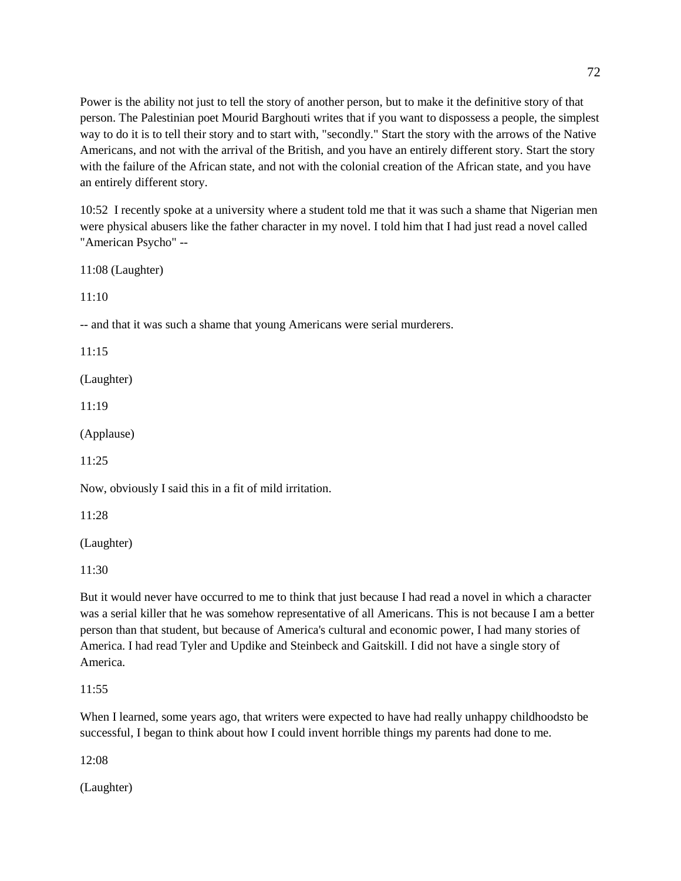Power is the ability not just to tell the story of another person, but to make it the definitive story of that person. The Palestinian poet Mourid Barghouti writes that if you want to dispossess a people, the simplest way to do it is to tell their story and to start with, "secondly." Start the story with the arrows of the Native Americans, and not with the arrival of the British, and you have an entirely different story. Start the story with the failure of the African state, and not with the colonial creation of the African state, and you have an entirely different story.

10:52 I recently spoke at a university where a student told me that it was such a shame that Nigerian men were physical abusers like the father character in my novel. I told him that I had just read a novel called "American Psycho" --

11:08 (Laughter)

11:10

-- and that it was such a shame that young Americans were serial murderers.

 $11:15$ 

(Laughter)

11:19

(Applause)

11:25

Now, obviously I said this in a fit of mild irritation.

11:28

(Laughter)

11:30

But it would never have occurred to me to think that just because I had read a novel in which a character was a serial killer that he was somehow representative of all Americans. This is not because I am a better person than that student, but because of America's cultural and economic power, I had many stories of America. I had read Tyler and Updike and Steinbeck and Gaitskill. I did not have a single story of America.

## 11:55

When I learned, some years ago, that writers were expected to have had really unhappy childhoodsto be successful, I began to think about how I could invent horrible things my parents had done to me.

12:08

(Laughter)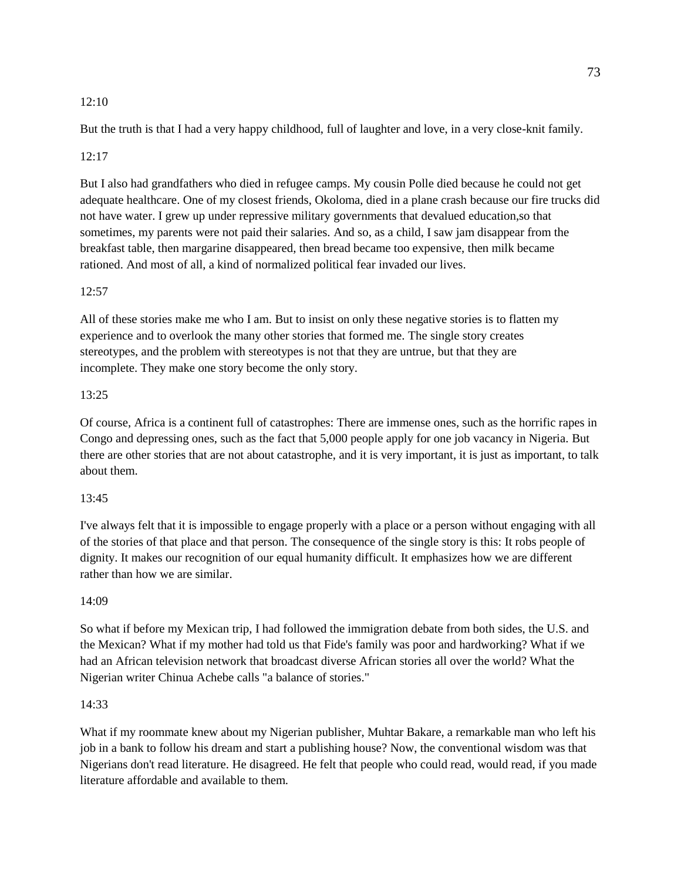## 12:10

But the truth is that I had a very happy childhood, full of laughter and love, in a very close-knit family.

# $12:17$

But I also had grandfathers who died in refugee camps. My cousin Polle died because he could not get adequate healthcare. One of my closest friends, Okoloma, died in a plane crash because our fire trucks did not have water. I grew up under repressive military governments that devalued education,so that sometimes, my parents were not paid their salaries. And so, as a child, I saw jam disappear from the breakfast table, then margarine disappeared, then bread became too expensive, then milk became rationed. And most of all, a kind of normalized political fear invaded our lives.

# 12:57

All of these stories make me who I am. But to insist on only these negative stories is to flatten my experience and to overlook the many other stories that formed me. The single story creates stereotypes, and the problem with stereotypes is not that they are untrue, but that they are incomplete. They make one story become the only story.

# $13.25$

Of course, Africa is a continent full of catastrophes: There are immense ones, such as the horrific rapes in Congo and depressing ones, such as the fact that 5,000 people apply for one job vacancy in Nigeria. But there are other stories that are not about catastrophe, and it is very important, it is just as important, to talk about them.

## 13:45

I've always felt that it is impossible to engage properly with a place or a person without engaging with all of the stories of that place and that person. The consequence of the single story is this: It robs people of dignity. It makes our recognition of our equal humanity difficult. It emphasizes how we are different rather than how we are similar.

## 14:09

So what if before my Mexican trip, I had followed the immigration debate from both sides, the U.S. and the Mexican? What if my mother had told us that Fide's family was poor and hardworking? What if we had an African television network that broadcast diverse African stories all over the world? What the Nigerian writer Chinua Achebe calls "a balance of stories."

## 14:33

What if my roommate knew about my Nigerian publisher, Muhtar Bakare, a remarkable man who left his job in a bank to follow his dream and start a publishing house? Now, the conventional wisdom was that Nigerians don't read literature. He disagreed. He felt that people who could read, would read, if you made literature affordable and available to them.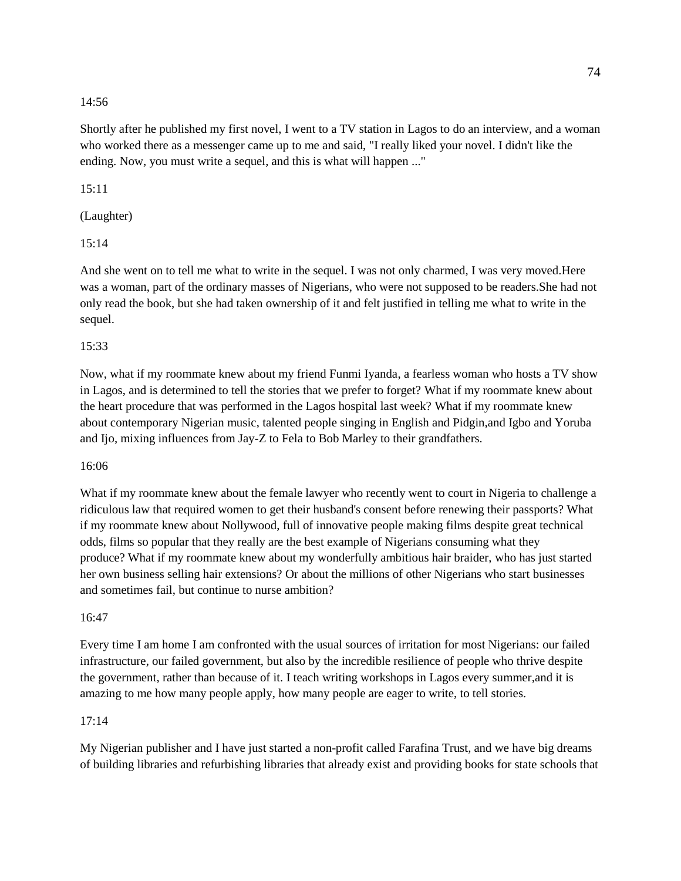#### 14:56

Shortly after he published my first novel, I went to a TV station in Lagos to do an interview, and a woman who worked there as a messenger came up to me and said, "I really liked your novel. I didn't like the ending. Now, you must write a sequel, and this is what will happen ..."

15:11

(Laughter)

15:14

And she went on to tell me what to write in the sequel. I was not only charmed, I was very moved. Here was a woman, part of the ordinary masses of Nigerians, who were not supposed to be readers.She had not only read the book, but she had taken ownership of it and felt justified in telling me what to write in the sequel.

15:33

Now, what if my roommate knew about my friend Funmi Iyanda, a fearless woman who hosts a TV show in Lagos, and is determined to tell the stories that we prefer to forget? What if my roommate knew about the heart procedure that was performed in the Lagos hospital last week? What if my roommate knew about contemporary Nigerian music, talented people singing in English and Pidgin,and Igbo and Yoruba and Ijo, mixing influences from Jay-Z to Fela to Bob Marley to their grandfathers.

#### 16:06

What if my roommate knew about the female lawyer who recently went to court in Nigeria to challenge a ridiculous law that required women to get their husband's consent before renewing their passports? What if my roommate knew about Nollywood, full of innovative people making films despite great technical odds, films so popular that they really are the best example of Nigerians consuming what they produce? What if my roommate knew about my wonderfully ambitious hair braider, who has just started her own business selling hair extensions? Or about the millions of other Nigerians who start businesses and sometimes fail, but continue to nurse ambition?

#### 16:47

Every time I am home I am confronted with the usual sources of irritation for most Nigerians: our failed infrastructure, our failed government, but also by the incredible resilience of people who thrive despite the government, rather than because of it. I teach writing workshops in Lagos every summer,and it is amazing to me how many people apply, how many people are eager to write, to tell stories.

#### 17:14

My Nigerian publisher and I have just started a non-profit called Farafina Trust, and we have big dreams of building libraries and refurbishing libraries that already exist and providing books for state schools that